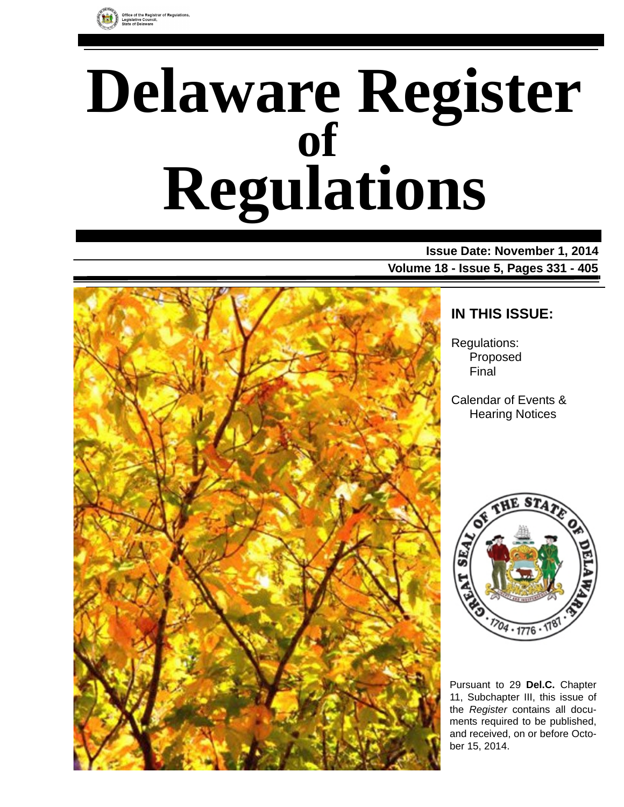

# **Delaware Register Regulations of**

**Issue Date: November 1, 2014 Volume 18 - Issue 5, Pages 331 - 405**



# **IN THIS ISSUE:**

Regulations: Proposed Final

Calendar of Events & Hearing Notices



Pursuant to 29 **Del.C.** Chapter 11, Subchapter III, this issue of the *Register* contains all documents required to be published, and received, on or before October 15, 2014.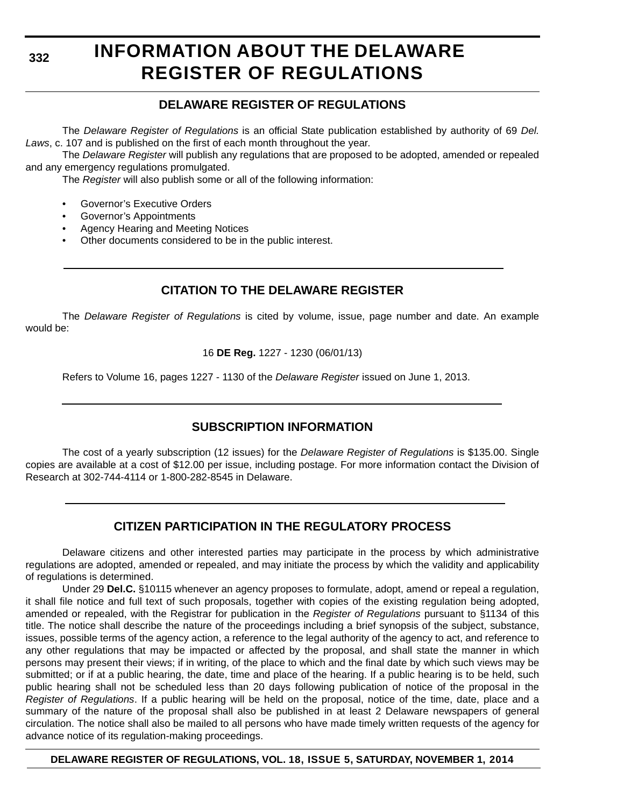**332**

# **INFORMATION ABOUT THE DELAWARE REGISTER OF REGULATIONS**

# **DELAWARE REGISTER OF REGULATIONS**

The *Delaware Register of Regulations* is an official State publication established by authority of 69 *Del. Laws*, c. 107 and is published on the first of each month throughout the year.

The *Delaware Register* will publish any regulations that are proposed to be adopted, amended or repealed and any emergency regulations promulgated.

The *Register* will also publish some or all of the following information:

- Governor's Executive Orders
- Governor's Appointments
- Agency Hearing and Meeting Notices
- Other documents considered to be in the public interest.

# **CITATION TO THE DELAWARE REGISTER**

The *Delaware Register of Regulations* is cited by volume, issue, page number and date. An example would be:

16 **DE Reg.** 1227 - 1230 (06/01/13)

Refers to Volume 16, pages 1227 - 1130 of the *Delaware Register* issued on June 1, 2013.

# **SUBSCRIPTION INFORMATION**

The cost of a yearly subscription (12 issues) for the *Delaware Register of Regulations* is \$135.00. Single copies are available at a cost of \$12.00 per issue, including postage. For more information contact the Division of Research at 302-744-4114 or 1-800-282-8545 in Delaware.

# **CITIZEN PARTICIPATION IN THE REGULATORY PROCESS**

Delaware citizens and other interested parties may participate in the process by which administrative regulations are adopted, amended or repealed, and may initiate the process by which the validity and applicability of regulations is determined.

Under 29 **Del.C.** §10115 whenever an agency proposes to formulate, adopt, amend or repeal a regulation, it shall file notice and full text of such proposals, together with copies of the existing regulation being adopted, amended or repealed, with the Registrar for publication in the *Register of Regulations* pursuant to §1134 of this title. The notice shall describe the nature of the proceedings including a brief synopsis of the subject, substance, issues, possible terms of the agency action, a reference to the legal authority of the agency to act, and reference to any other regulations that may be impacted or affected by the proposal, and shall state the manner in which persons may present their views; if in writing, of the place to which and the final date by which such views may be submitted; or if at a public hearing, the date, time and place of the hearing. If a public hearing is to be held, such public hearing shall not be scheduled less than 20 days following publication of notice of the proposal in the *Register of Regulations*. If a public hearing will be held on the proposal, notice of the time, date, place and a summary of the nature of the proposal shall also be published in at least 2 Delaware newspapers of general circulation. The notice shall also be mailed to all persons who have made timely written requests of the agency for advance notice of its regulation-making proceedings.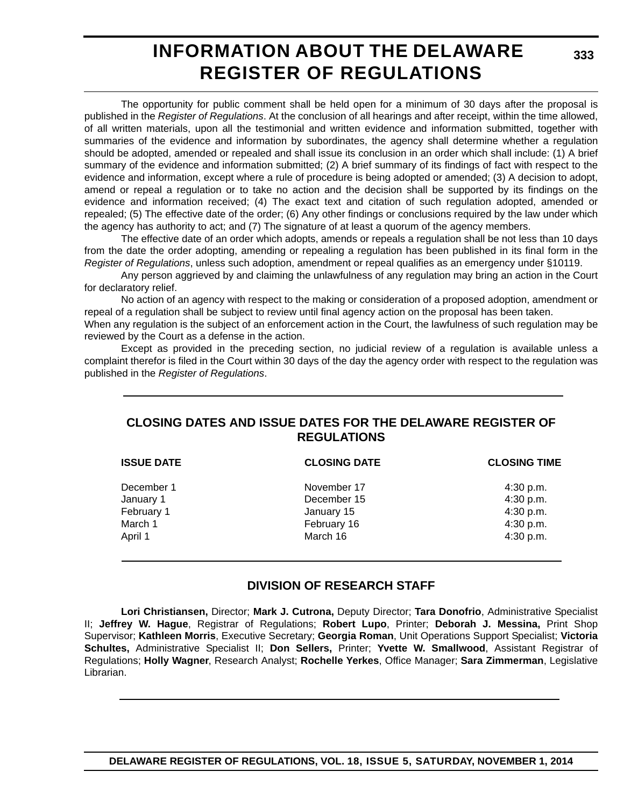# **INFORMATION ABOUT THE DELAWARE REGISTER OF REGULATIONS**

**333**

The opportunity for public comment shall be held open for a minimum of 30 days after the proposal is published in the *Register of Regulations*. At the conclusion of all hearings and after receipt, within the time allowed, of all written materials, upon all the testimonial and written evidence and information submitted, together with summaries of the evidence and information by subordinates, the agency shall determine whether a regulation should be adopted, amended or repealed and shall issue its conclusion in an order which shall include: (1) A brief summary of the evidence and information submitted; (2) A brief summary of its findings of fact with respect to the evidence and information, except where a rule of procedure is being adopted or amended; (3) A decision to adopt, amend or repeal a regulation or to take no action and the decision shall be supported by its findings on the evidence and information received; (4) The exact text and citation of such regulation adopted, amended or repealed; (5) The effective date of the order; (6) Any other findings or conclusions required by the law under which the agency has authority to act; and (7) The signature of at least a quorum of the agency members.

The effective date of an order which adopts, amends or repeals a regulation shall be not less than 10 days from the date the order adopting, amending or repealing a regulation has been published in its final form in the *Register of Regulations*, unless such adoption, amendment or repeal qualifies as an emergency under §10119.

Any person aggrieved by and claiming the unlawfulness of any regulation may bring an action in the Court for declaratory relief.

No action of an agency with respect to the making or consideration of a proposed adoption, amendment or repeal of a regulation shall be subject to review until final agency action on the proposal has been taken.

When any regulation is the subject of an enforcement action in the Court, the lawfulness of such regulation may be reviewed by the Court as a defense in the action.

Except as provided in the preceding section, no judicial review of a regulation is available unless a complaint therefor is filed in the Court within 30 days of the day the agency order with respect to the regulation was published in the *Register of Regulations*.

# **CLOSING DATES AND ISSUE DATES FOR THE DELAWARE REGISTER OF REGULATIONS**

| <b>ISSUE DATE</b> | <b>CLOSING DATE</b> | <b>CLOSING TIME</b> |
|-------------------|---------------------|---------------------|
| December 1        | November 17         | 4:30 p.m.           |
| January 1         | December 15         | 4:30 p.m.           |
| February 1        | January 15          | 4:30 p.m.           |
| March 1           | February 16         | 4:30 p.m.           |
| April 1           | March 16            | 4:30 p.m.           |
|                   |                     |                     |

# **DIVISION OF RESEARCH STAFF**

**Lori Christiansen,** Director; **Mark J. Cutrona,** Deputy Director; **Tara Donofrio**, Administrative Specialist II; **Jeffrey W. Hague**, Registrar of Regulations; **Robert Lupo**, Printer; **Deborah J. Messina,** Print Shop Supervisor; **Kathleen Morris**, Executive Secretary; **Georgia Roman**, Unit Operations Support Specialist; **Victoria Schultes,** Administrative Specialist II; **Don Sellers,** Printer; **Yvette W. Smallwood**, Assistant Registrar of Regulations; **Holly Wagner**, Research Analyst; **Rochelle Yerkes**, Office Manager; **Sara Zimmerman**, Legislative Librarian.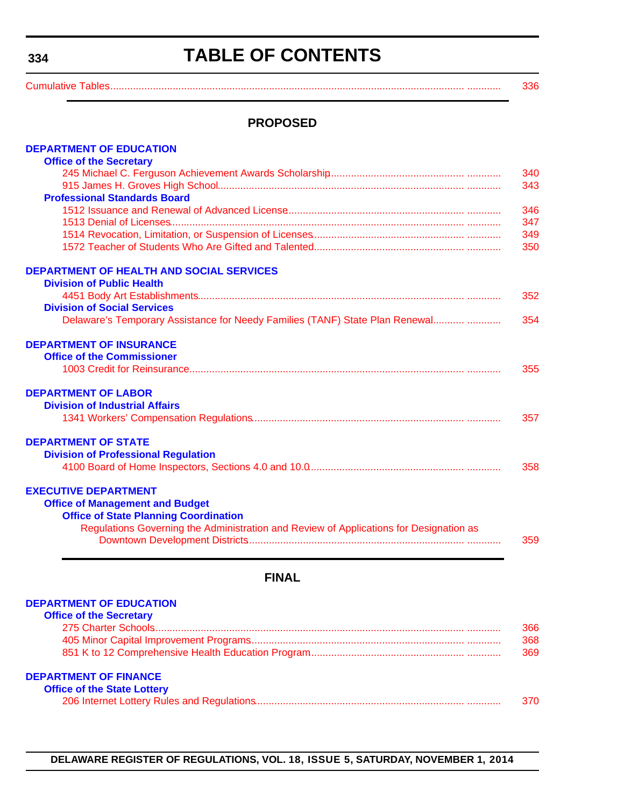# **TABLE OF CONTENTS**

<span id="page-3-0"></span>[Cumulative Tables............................................................................................................................. ............ 336](#page-5-0)

# **PROPOSED**

| <b>DEPARTMENT OF EDUCATION</b>                                                         |     |
|----------------------------------------------------------------------------------------|-----|
| <b>Office of the Secretary</b>                                                         |     |
|                                                                                        | 340 |
|                                                                                        | 343 |
| <b>Professional Standards Board</b>                                                    |     |
|                                                                                        | 346 |
|                                                                                        | 347 |
|                                                                                        | 349 |
|                                                                                        | 350 |
| <b>DEPARTMENT OF HEALTH AND SOCIAL SERVICES</b>                                        |     |
| <b>Division of Public Health</b>                                                       |     |
|                                                                                        | 352 |
| <b>Division of Social Services</b>                                                     |     |
| Delaware's Temporary Assistance for Needy Families (TANF) State Plan Renewal           | 354 |
| <b>DEPARTMENT OF INSURANCE</b>                                                         |     |
| <b>Office of the Commissioner</b>                                                      |     |
|                                                                                        | 355 |
| <b>DEPARTMENT OF LABOR</b>                                                             |     |
| <b>Division of Industrial Affairs</b>                                                  |     |
|                                                                                        | 357 |
| <b>DEPARTMENT OF STATE</b>                                                             |     |
| <b>Division of Professional Regulation</b>                                             |     |
|                                                                                        | 358 |
| <b>EXECUTIVE DEPARTMENT</b>                                                            |     |
| <b>Office of Management and Budget</b>                                                 |     |
| <b>Office of State Planning Coordination</b>                                           |     |
| Regulations Governing the Administration and Review of Applications for Designation as |     |
|                                                                                        | 359 |
|                                                                                        |     |

# **FINAL**

# **[DEPARTMENT OF EDUCATION](http://www.doe.k12.de.us/)**

| <b>Office of the Secretary</b>     |      |
|------------------------------------|------|
|                                    | 366  |
|                                    | 368  |
|                                    | 369  |
| <b>DEPARTMENT OF FINANCE</b>       |      |
| <b>Office of the State Lottery</b> |      |
|                                    | 370. |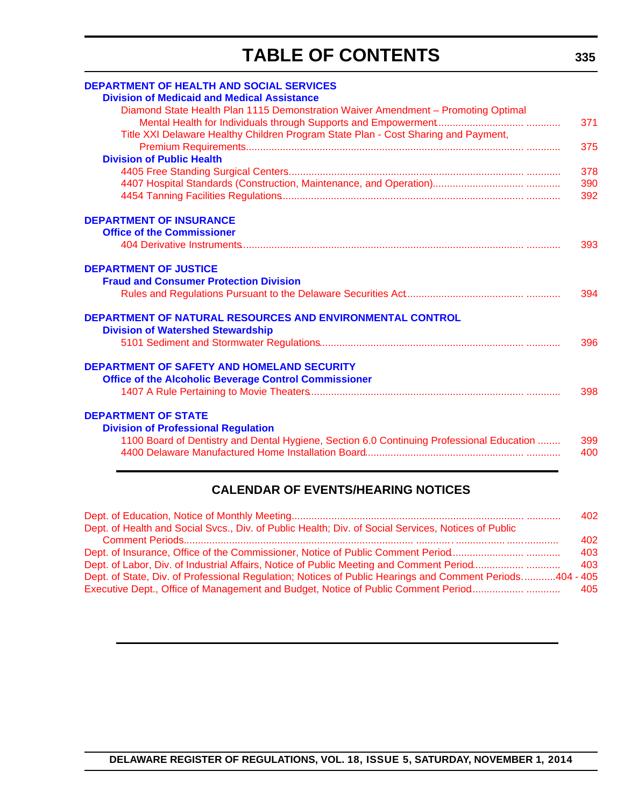# **TABLE OF CONTENTS**

| <b>DEPARTMENT OF HEALTH AND SOCIAL SERVICES</b>                                           |     |
|-------------------------------------------------------------------------------------------|-----|
| <b>Division of Medicaid and Medical Assistance</b>                                        |     |
| Diamond State Health Plan 1115 Demonstration Waiver Amendment - Promoting Optimal         |     |
|                                                                                           | 371 |
| Title XXI Delaware Healthy Children Program State Plan - Cost Sharing and Payment,        |     |
|                                                                                           | 375 |
| <b>Division of Public Health</b>                                                          |     |
|                                                                                           | 378 |
|                                                                                           | 390 |
|                                                                                           | 392 |
| <b>DEPARTMENT OF INSURANCE</b>                                                            |     |
| <b>Office of the Commissioner</b>                                                         |     |
|                                                                                           | 393 |
| <b>DEPARTMENT OF JUSTICE</b>                                                              |     |
| <b>Fraud and Consumer Protection Division</b>                                             |     |
|                                                                                           | 394 |
|                                                                                           |     |
| DEPARTMENT OF NATURAL RESOURCES AND ENVIRONMENTAL CONTROL                                 |     |
| <b>Division of Watershed Stewardship</b>                                                  |     |
|                                                                                           | 396 |
|                                                                                           |     |
| <b>DEPARTMENT OF SAFETY AND HOMELAND SECURITY</b>                                         |     |
| <b>Office of the Alcoholic Beverage Control Commissioner</b>                              |     |
|                                                                                           | 398 |
|                                                                                           |     |
| <b>DEPARTMENT OF STATE</b>                                                                |     |
| <b>Division of Professional Regulation</b>                                                |     |
| 1100 Board of Dentistry and Dental Hygiene, Section 6.0 Continuing Professional Education | 399 |
|                                                                                           | 400 |
|                                                                                           |     |
|                                                                                           |     |

# **CALENDAR OF EVENTS/HEARING NOTICES**

|                                                                                                          | 402 |
|----------------------------------------------------------------------------------------------------------|-----|
| Dept. of Health and Social Svcs., Div. of Public Health; Div. of Social Services, Notices of Public      |     |
|                                                                                                          | 402 |
| Dept. of Insurance, Office of the Commissioner, Notice of Public Comment Period                          | 403 |
|                                                                                                          | 403 |
| Dept. of State, Div. of Professional Regulation; Notices of Public Hearings and Comment Periods404 - 405 |     |
| Executive Dept., Office of Management and Budget, Notice of Public Comment Period                        | 405 |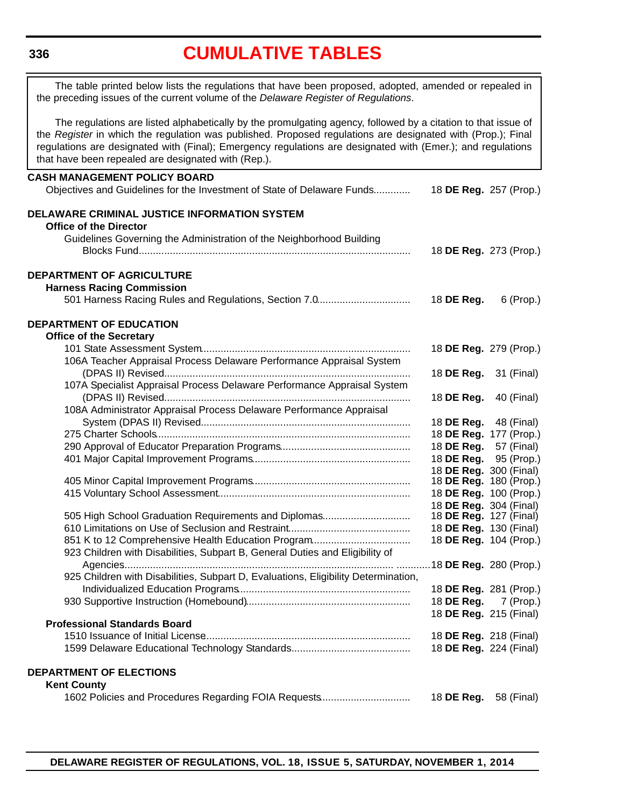#### <span id="page-5-0"></span>**336**

# **[CUMULATIVE TABLES](#page-3-0)**

The table printed below lists the regulations that have been proposed, adopted, amended or repealed in the preceding issues of the current volume of the *Delaware Register of Regulations*.

The regulations are listed alphabetically by the promulgating agency, followed by a citation to that issue of the *Register* in which the regulation was published. Proposed regulations are designated with (Prop.); Final regulations are designated with (Final); Emergency regulations are designated with (Emer.); and regulations that have been repealed are designated with (Rep.).

# **CASH MANAGEMENT POLICY BOARD** Objectives and Guidelines for the Investment of State of Delaware Funds............. 18 **DE Reg.** 257 (Prop.) **DELAWARE CRIMINAL JUSTICE INFORMATION SYSTEM Office of the Director** Guidelines Governing the Administration of the Neighborhood Building Blocks Fund................................................................................................. 18 **DE Reg.** 273 (Prop.) **DEPARTMENT OF AGRICULTURE Harness Racing Commission** 501 Harness Racing Rules and Regulations, Section 7.0................................. 18 **DE Reg.** 6 (Prop.) **DEPARTMENT OF EDUCATION Office of the Secretary** 101 State Assessment System.......................................................................... 18 **DE Reg.** 279 (Prop.) 106A Teacher Appraisal Process Delaware Performance Appraisal System (DPAS II) Revised....................................................................................... 18 **DE Reg.** 31 (Final) 107A Specialist Appraisal Process Delaware Performance Appraisal System (DPAS II) Revised....................................................................................... 18 **DE Reg.** 40 (Final) 108A Administrator Appraisal Process Delaware Performance Appraisal System (DPAS II) Revised.......................................................................... 18 **DE Reg.** 48 (Final) 275 Charter Schools.......................................................................................... 18 **DE Reg.** 177 (Prop.) 290 Approval of Educator Preparation Programs.............................................. 18 **DE Reg.** 57 (Final) 401 Major Capital Improvement Programs........................................................ 18 **DE Reg.** 95 (Prop.) 18 **DE Reg.** 300 (Final) 405 Minor Capital Improvement Programs........................................................ 18 **DE Reg.** 180 (Prop.) 415 Voluntary School Assessment.................................................................... 18 **DE Reg.** 100 (Prop.) 18 **DE Reg.** 304 (Final) 505 High School Graduation Requirements and Diplomas.............................. 610 Limitations on Use of Seclusion and Restraint........................................... 18 **DE Reg.** 130 (Final) 851 K to 12 Comprehensive Health Education Program................................... 18 **DE Reg.** 104 (Prop.) 923 Children with Disabilities, Subpart B, General Duties and Eligibility of Agencies................................................................................................ ............18 **DE Reg.** 280 (Prop.) 925 Children with Disabilities, Subpart D, Evaluations, Eligibility Determination, Individualized Education Programs............................................................. 18 **DE Reg.** 281 (Prop.) 930 Supportive Instruction (Homebound).......................................................... 18 **DE Reg.** 7 (Prop.) 18 **DE Reg.** 215 (Final) **Professional Standards Board** 1510 Issuance of Initial License......................................................................... 18 **DE Reg.** 218 (Final) 1599 Delaware Educational Technology Standards.......................................... 18 **DE Reg.** 224 (Final) **DEPARTMENT OF ELECTIONS Kent County** 1602 Policies and Procedures Regarding FOIA Requests................................ 18 **DE Reg.** 58 (Final)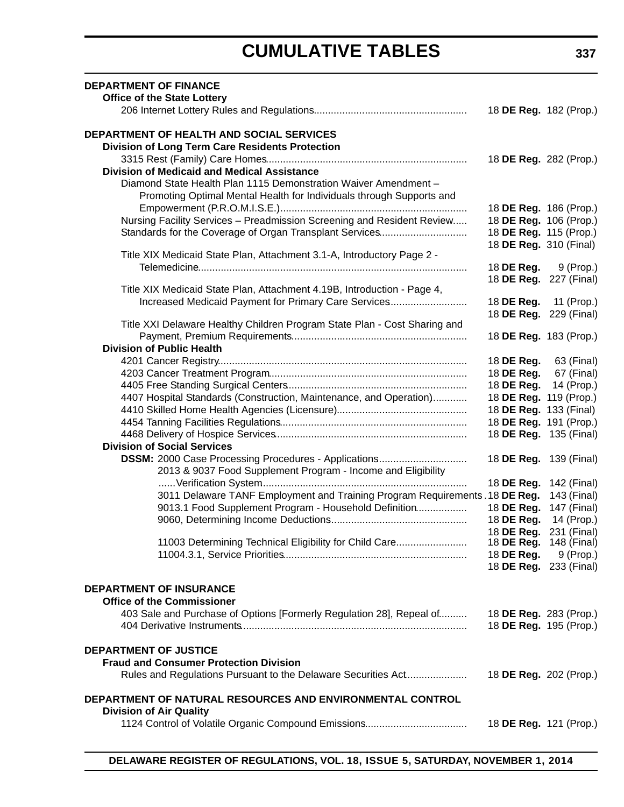# **CUMULATIVE TABLES**

| <b>DEPARTMENT OF FINANCE</b><br><b>Office of the State Lottery</b>                                                                      |                                                       |             |
|-----------------------------------------------------------------------------------------------------------------------------------------|-------------------------------------------------------|-------------|
|                                                                                                                                         | 18 DE Reg. 182 (Prop.)                                |             |
| DEPARTMENT OF HEALTH AND SOCIAL SERVICES<br><b>Division of Long Term Care Residents Protection</b>                                      |                                                       |             |
| <b>Division of Medicaid and Medical Assistance</b>                                                                                      | 18 DE Reg. 282 (Prop.)                                |             |
| Diamond State Health Plan 1115 Demonstration Waiver Amendment -<br>Promoting Optimal Mental Health for Individuals through Supports and | 18 DE Reg. 186 (Prop.)                                |             |
| Nursing Facility Services - Preadmission Screening and Resident Review<br>Standards for the Coverage of Organ Transplant Services       | 18 DE Reg. 106 (Prop.)<br>18 DE Reg. 115 (Prop.)      |             |
| Title XIX Medicaid State Plan, Attachment 3.1-A, Introductory Page 2 -                                                                  | 18 DE Reg. 310 (Final)                                |             |
|                                                                                                                                         | 18 <b>DE Reg.</b> 9 (Prop.)<br>18 DE Reg. 227 (Final) |             |
| Title XIX Medicaid State Plan, Attachment 4.19B, Introduction - Page 4,<br>Increased Medicaid Payment for Primary Care Services         | 18 DE Reg.                                            | 11 (Prop.)  |
| Title XXI Delaware Healthy Children Program State Plan - Cost Sharing and                                                               | 18 DE Reg. 229 (Final)                                |             |
| <b>Division of Public Health</b>                                                                                                        | 18 DE Reg. 183 (Prop.)                                |             |
|                                                                                                                                         | 18 DE Reg.                                            | 63 (Final)  |
|                                                                                                                                         | 18 DE Reg.                                            | 67 (Final)  |
|                                                                                                                                         | 18 DE Reg.                                            | 14 (Prop.)  |
| 4407 Hospital Standards (Construction, Maintenance, and Operation)                                                                      | 18 DE Reg. 119 (Prop.)                                |             |
|                                                                                                                                         | 18 DE Reg. 133 (Final)                                |             |
|                                                                                                                                         | 18 DE Reg. 191 (Prop.)                                |             |
|                                                                                                                                         | 18 DE Reg. 135 (Final)                                |             |
| <b>Division of Social Services</b>                                                                                                      |                                                       |             |
| DSSM: 2000 Case Processing Procedures - Applications                                                                                    | 18 DE Reg. 139 (Final)                                |             |
| 2013 & 9037 Food Supplement Program - Income and Eligibility                                                                            | 18 DE Reg. 142 (Final)                                |             |
| 3011 Delaware TANF Employment and Training Program Requirements . 18 DE Reg.                                                            |                                                       | 143 (Final) |
| 9013.1 Food Supplement Program - Household Definition                                                                                   | 18 DE Reg.                                            | 147 (Final) |
|                                                                                                                                         | 18 DE Reg.                                            | 14 (Prop.)  |
|                                                                                                                                         | 18 DE Reg. 231 (Final)                                |             |
| 11003 Determining Technical Eligibility for Child Care                                                                                  | 18 <b>DE Reg.</b> 148 (Final)<br>18 DE Reg.           | 9 (Prop.)   |
|                                                                                                                                         | 18 DE Reg. 233 (Final)                                |             |
| <b>DEPARTMENT OF INSURANCE</b><br><b>Office of the Commissioner</b>                                                                     |                                                       |             |
| 403 Sale and Purchase of Options [Formerly Regulation 28], Repeal of                                                                    | 18 DE Reg. 283 (Prop.)<br>18 DE Reg. 195 (Prop.)      |             |
| <b>DEPARTMENT OF JUSTICE</b><br><b>Fraud and Consumer Protection Division</b>                                                           |                                                       |             |
| Rules and Regulations Pursuant to the Delaware Securities Act                                                                           | 18 DE Reg. 202 (Prop.)                                |             |
| DEPARTMENT OF NATURAL RESOURCES AND ENVIRONMENTAL CONTROL<br><b>Division of Air Quality</b>                                             |                                                       |             |
|                                                                                                                                         | 18 DE Reg. 121 (Prop.)                                |             |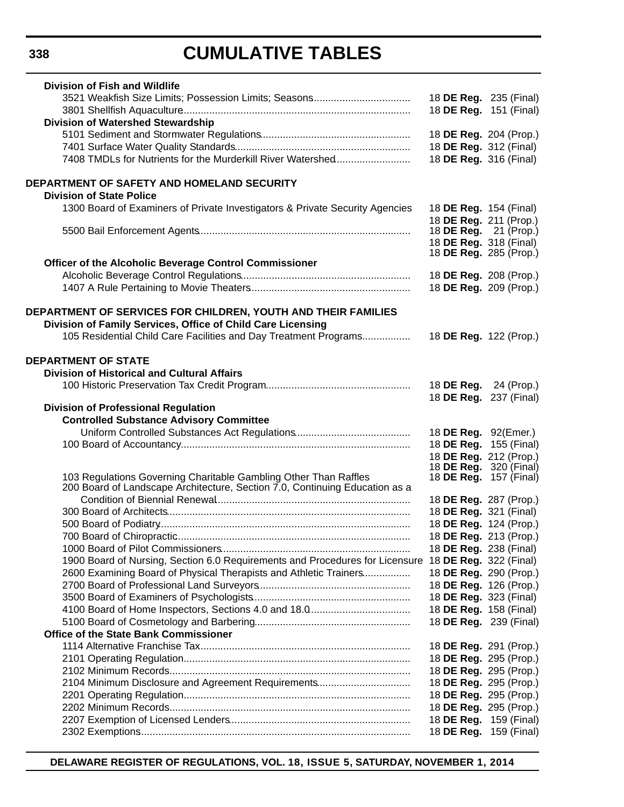# **CUMULATIVE TABLES**

| <b>Division of Fish and Wildlife</b>                                                                |                               |             |
|-----------------------------------------------------------------------------------------------------|-------------------------------|-------------|
| 3521 Weakfish Size Limits; Possession Limits; Seasons                                               | 18 DE Reg. 235 (Final)        |             |
|                                                                                                     | 18 DE Reg. 151 (Final)        |             |
| <b>Division of Watershed Stewardship</b>                                                            |                               |             |
|                                                                                                     | 18 DE Reg. 204 (Prop.)        |             |
|                                                                                                     | 18 DE Reg. 312 (Final)        |             |
| 7408 TMDLs for Nutrients for the Murderkill River Watershed                                         | 18 DE Reg. 316 (Final)        |             |
|                                                                                                     |                               |             |
| DEPARTMENT OF SAFETY AND HOMELAND SECURITY                                                          |                               |             |
| <b>Division of State Police</b>                                                                     |                               |             |
| 1300 Board of Examiners of Private Investigators & Private Security Agencies                        | 18 <b>DE Reg.</b> 154 (Final) |             |
|                                                                                                     | 18 DE Reg. 211 (Prop.)        |             |
|                                                                                                     | 18 <b>DE Reg.</b> 21 (Prop.)  |             |
|                                                                                                     | 18 DE Reg. 318 (Final)        |             |
|                                                                                                     | 18 <b>DE Reg.</b> 285 (Prop.) |             |
| Officer of the Alcoholic Beverage Control Commissioner                                              |                               |             |
|                                                                                                     | 18 DE Reg. 208 (Prop.)        |             |
|                                                                                                     | 18 DE Reg. 209 (Prop.)        |             |
|                                                                                                     |                               |             |
| DEPARTMENT OF SERVICES FOR CHILDREN, YOUTH AND THEIR FAMILIES                                       |                               |             |
| Division of Family Services, Office of Child Care Licensing                                         |                               |             |
| 105 Residential Child Care Facilities and Day Treatment Programs                                    | 18 DE Reg. 122 (Prop.)        |             |
|                                                                                                     |                               |             |
| <b>DEPARTMENT OF STATE</b>                                                                          |                               |             |
| <b>Division of Historical and Cultural Affairs</b>                                                  |                               |             |
|                                                                                                     | 18 DE Reg.                    | 24 (Prop.)  |
|                                                                                                     | 18 DE Reg.                    | 237 (Final) |
| <b>Division of Professional Regulation</b>                                                          |                               |             |
| <b>Controlled Substance Advisory Committee</b>                                                      |                               |             |
|                                                                                                     | 18 DE Reg. 92(Emer.)          |             |
|                                                                                                     | 18 DE Reg. 155 (Final)        |             |
|                                                                                                     | 18 DE Reg. 212 (Prop.)        |             |
|                                                                                                     | 18 <b>DE Reg.</b> 320 (Final) |             |
| 103 Regulations Governing Charitable Gambling Other Than Raffles                                    | 18 <b>DE Reg.</b> 157 (Final) |             |
| 200 Board of Landscape Architecture, Section 7.0, Continuing Education as a                         |                               |             |
|                                                                                                     | 18 DE Reg. 287 (Prop.)        |             |
|                                                                                                     | 18 DE Reg. 321 (Final)        |             |
|                                                                                                     | 18 DE Reg. 124 (Prop.)        |             |
|                                                                                                     | 18 DE Reg. 213 (Prop.)        |             |
|                                                                                                     | 18 DE Reg. 238 (Final)        |             |
| 1900 Board of Nursing, Section 6.0 Requirements and Procedures for Licensure 18 DE Reg. 322 (Final) |                               |             |
| 2600 Examining Board of Physical Therapists and Athletic Trainers                                   | 18 DE Reg. 290 (Prop.)        |             |
|                                                                                                     | 18 DE Reg. 126 (Prop.)        |             |
|                                                                                                     | 18 DE Reg. 323 (Final)        |             |
|                                                                                                     | 18 DE Reg. 158 (Final)        |             |
|                                                                                                     | 18 DE Reg. 239 (Final)        |             |
| <b>Office of the State Bank Commissioner</b>                                                        |                               |             |
|                                                                                                     | 18 DE Reg. 291 (Prop.)        |             |
|                                                                                                     |                               |             |
|                                                                                                     | 18 DE Reg. 295 (Prop.)        |             |
|                                                                                                     | 18 DE Reg. 295 (Prop.)        |             |
| 2104 Minimum Disclosure and Agreement Requirements                                                  | 18 DE Reg. 295 (Prop.)        |             |
|                                                                                                     | 18 DE Reg. 295 (Prop.)        |             |
|                                                                                                     | 18 DE Reg. 295 (Prop.)        |             |
|                                                                                                     | 18 DE Reg. 159 (Final)        |             |
|                                                                                                     | 18 DE Reg. 159 (Final)        |             |

**DELAWARE REGISTER OF REGULATIONS, VOL. 18, ISSUE 5, SATURDAY, NOVEMBER 1, 2014**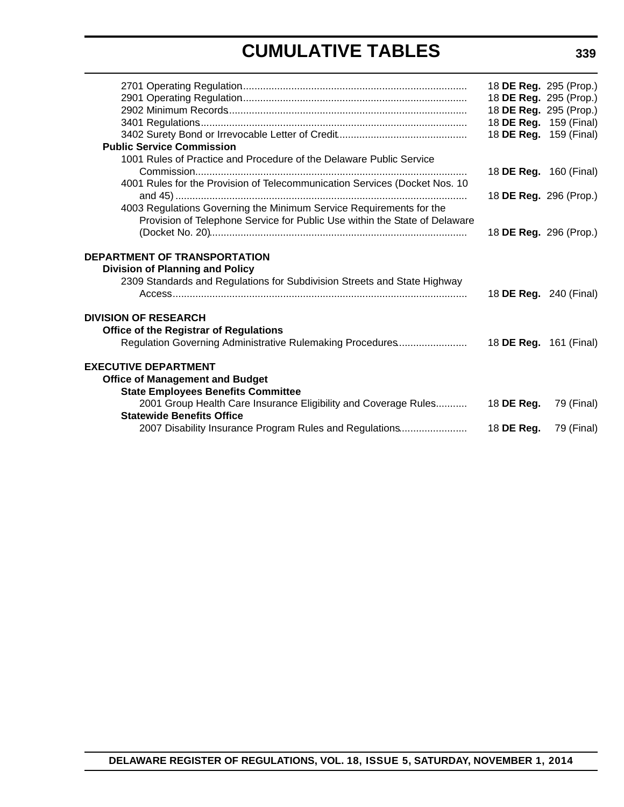# **CUMULATIVE TABLES**

|                                                                                                                                                           | 18 DE Reg. 295 (Prop.)<br>18 DE Reg. 295 (Prop.)<br>18 DE Reg. 295 (Prop.) |            |
|-----------------------------------------------------------------------------------------------------------------------------------------------------------|----------------------------------------------------------------------------|------------|
|                                                                                                                                                           | 18 DE Reg. 159 (Final)                                                     |            |
|                                                                                                                                                           | 18 DE Reg. 159 (Final)                                                     |            |
| <b>Public Service Commission</b>                                                                                                                          |                                                                            |            |
| 1001 Rules of Practice and Procedure of the Delaware Public Service                                                                                       | 18 DE Reg. 160 (Final)                                                     |            |
| 4001 Rules for the Provision of Telecommunication Services (Docket Nos. 10                                                                                | 18 DE Reg. 296 (Prop.)                                                     |            |
| 4003 Regulations Governing the Minimum Service Requirements for the<br>Provision of Telephone Service for Public Use within the State of Delaware         |                                                                            |            |
|                                                                                                                                                           | 18 DE Reg. 296 (Prop.)                                                     |            |
| <b>DEPARTMENT OF TRANSPORTATION</b><br><b>Division of Planning and Policy</b><br>2309 Standards and Regulations for Subdivision Streets and State Highway | 18 DE Reg. 240 (Final)                                                     |            |
| <b>DIVISION OF RESEARCH</b>                                                                                                                               |                                                                            |            |
| <b>Office of the Registrar of Regulations</b>                                                                                                             |                                                                            |            |
| <b>EXECUTIVE DEPARTMENT</b><br><b>Office of Management and Budget</b><br><b>State Employees Benefits Committee</b>                                        |                                                                            |            |
| 2001 Group Health Care Insurance Eligibility and Coverage Rules<br><b>Statewide Benefits Office</b>                                                       | 18 DE Reg.                                                                 | 79 (Final) |
|                                                                                                                                                           |                                                                            |            |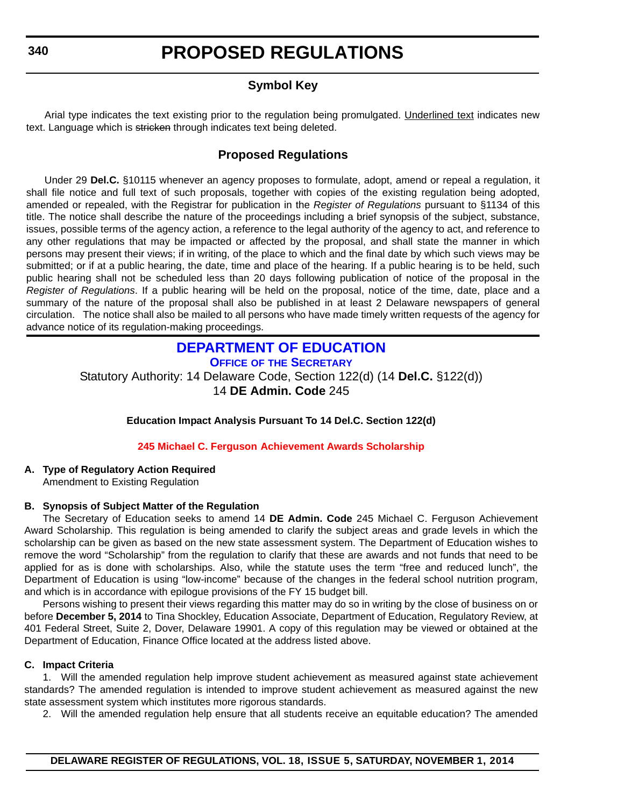# **Symbol Key**

<span id="page-9-0"></span>Arial type indicates the text existing prior to the regulation being promulgated. Underlined text indicates new text. Language which is stricken through indicates text being deleted.

# **Proposed Regulations**

Under 29 **Del.C.** §10115 whenever an agency proposes to formulate, adopt, amend or repeal a regulation, it shall file notice and full text of such proposals, together with copies of the existing regulation being adopted, amended or repealed, with the Registrar for publication in the *Register of Regulations* pursuant to §1134 of this title. The notice shall describe the nature of the proceedings including a brief synopsis of the subject, substance, issues, possible terms of the agency action, a reference to the legal authority of the agency to act, and reference to any other regulations that may be impacted or affected by the proposal, and shall state the manner in which persons may present their views; if in writing, of the place to which and the final date by which such views may be submitted; or if at a public hearing, the date, time and place of the hearing. If a public hearing is to be held, such public hearing shall not be scheduled less than 20 days following publication of notice of the proposal in the *Register of Regulations*. If a public hearing will be held on the proposal, notice of the time, date, place and a summary of the nature of the proposal shall also be published in at least 2 Delaware newspapers of general circulation. The notice shall also be mailed to all persons who have made timely written requests of the agency for advance notice of its regulation-making proceedings.

# **[DEPARTMENT OF EDUCATION](http://www.doe.k12.de.us/) OFFICE OF THE SECRETARY**

Statutory Authority: 14 Delaware Code, Section 122(d) (14 **Del.C.** §122(d)) 14 **DE Admin. Code** 245

**Education Impact Analysis Pursuant To 14 Del.C. Section 122(d)**

# **245 Michael C. Ferguson [Achievement Awards Scholarship](#page-3-0)**

**A. Type of Regulatory Action Required**

Amendment to Existing Regulation

# **B. Synopsis of Subject Matter of the Regulation**

The Secretary of Education seeks to amend 14 **DE Admin. Code** 245 Michael C. Ferguson Achievement Award Scholarship. This regulation is being amended to clarify the subject areas and grade levels in which the scholarship can be given as based on the new state assessment system. The Department of Education wishes to remove the word "Scholarship" from the regulation to clarify that these are awards and not funds that need to be applied for as is done with scholarships. Also, while the statute uses the term "free and reduced lunch", the Department of Education is using "low-income" because of the changes in the federal school nutrition program, and which is in accordance with epilogue provisions of the FY 15 budget bill.

Persons wishing to present their views regarding this matter may do so in writing by the close of business on or before **December 5, 2014** to Tina Shockley, Education Associate, Department of Education, Regulatory Review, at 401 Federal Street, Suite 2, Dover, Delaware 19901. A copy of this regulation may be viewed or obtained at the Department of Education, Finance Office located at the address listed above.

# **C. Impact Criteria**

1. Will the amended regulation help improve student achievement as measured against state achievement standards? The amended regulation is intended to improve student achievement as measured against the new state assessment system which institutes more rigorous standards.

2. Will the amended regulation help ensure that all students receive an equitable education? The amended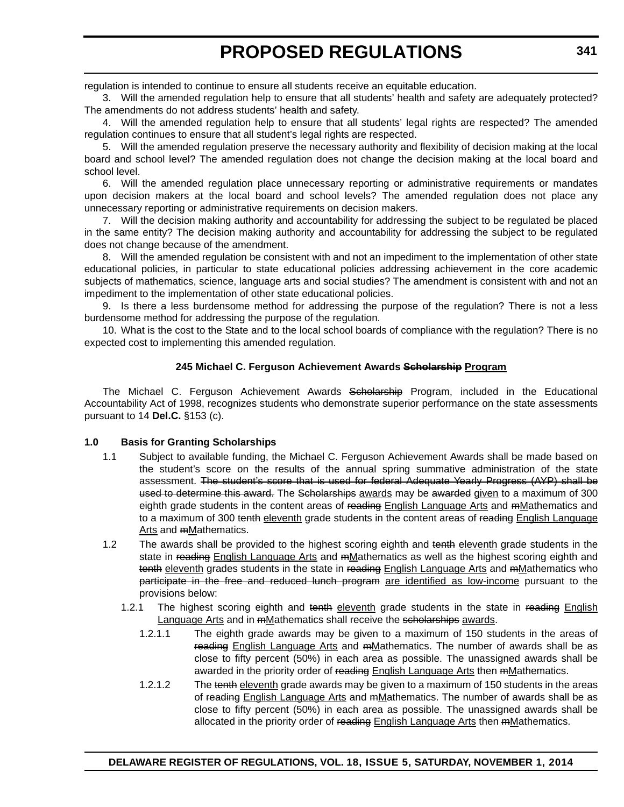regulation is intended to continue to ensure all students receive an equitable education.

3. Will the amended regulation help to ensure that all students' health and safety are adequately protected? The amendments do not address students' health and safety.

4. Will the amended regulation help to ensure that all students' legal rights are respected? The amended regulation continues to ensure that all student's legal rights are respected.

5. Will the amended regulation preserve the necessary authority and flexibility of decision making at the local board and school level? The amended regulation does not change the decision making at the local board and school level.

6. Will the amended regulation place unnecessary reporting or administrative requirements or mandates upon decision makers at the local board and school levels? The amended regulation does not place any unnecessary reporting or administrative requirements on decision makers.

7. Will the decision making authority and accountability for addressing the subject to be regulated be placed in the same entity? The decision making authority and accountability for addressing the subject to be regulated does not change because of the amendment.

8. Will the amended regulation be consistent with and not an impediment to the implementation of other state educational policies, in particular to state educational policies addressing achievement in the core academic subjects of mathematics, science, language arts and social studies? The amendment is consistent with and not an impediment to the implementation of other state educational policies.

9. Is there a less burdensome method for addressing the purpose of the regulation? There is not a less burdensome method for addressing the purpose of the regulation.

10. What is the cost to the State and to the local school boards of compliance with the regulation? There is no expected cost to implementing this amended regulation.

### **245 Michael C. Ferguson Achievement Awards Scholarship Program**

The Michael C. Ferguson Achievement Awards Scholarship Program, included in the Educational Accountability Act of 1998, recognizes students who demonstrate superior performance on the state assessments pursuant to 14 **Del.C.** §153 (c).

#### **1.0 Basis for Granting Scholarships**

- 1.1 Subject to available funding, the Michael C. Ferguson Achievement Awards shall be made based on the student's score on the results of the annual spring summative administration of the state assessment. The student's score that is used for federal Adequate Yearly Progress (AYP) shall be used to determine this award. The Scholarships awards may be awarded given to a maximum of 300 eighth grade students in the content areas of reading English Language Arts and mMathematics and to a maximum of 300 tenth eleventh grade students in the content areas of reading English Language Arts and mMathematics.
- 1.2 The awards shall be provided to the highest scoring eighth and tenth eleventh grade students in the state in reading English Language Arts and mMathematics as well as the highest scoring eighth and tenth eleventh grades students in the state in reading English Language Arts and mMathematics who participate in the free and reduced lunch program are identified as low-income pursuant to the provisions below:
	- 1.2.1 The highest scoring eighth and tenth eleventh grade students in the state in reading English Language Arts and in mMathematics shall receive the scholarships awards.
		- 1.2.1.1 The eighth grade awards may be given to a maximum of 150 students in the areas of reading English Language Arts and mMathematics. The number of awards shall be as close to fifty percent (50%) in each area as possible. The unassigned awards shall be awarded in the priority order of reading English Language Arts then mMathematics.
		- 1.2.1.2 The tenth eleventh grade awards may be given to a maximum of 150 students in the areas of reading English Language Arts and mMathematics. The number of awards shall be as close to fifty percent (50%) in each area as possible. The unassigned awards shall be allocated in the priority order of reading English Language Arts then mMathematics.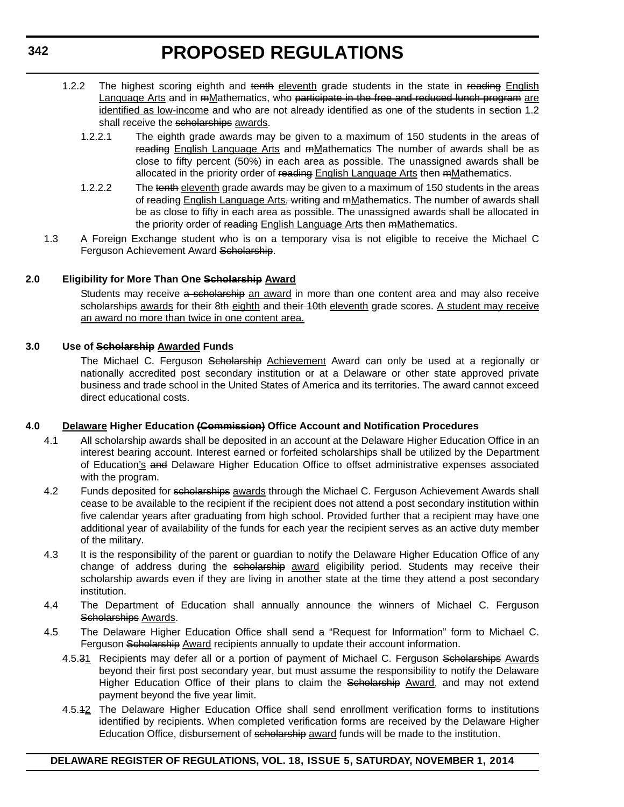- 1.2.2 The highest scoring eighth and tenth eleventh grade students in the state in reading English Language Arts and in mMathematics, who participate in the free and reduced lunch program are identified as low-income and who are not already identified as one of the students in section 1.2 shall receive the scholarships awards.
	- 1.2.2.1 The eighth grade awards may be given to a maximum of 150 students in the areas of reading English Language Arts and mMathematics The number of awards shall be as close to fifty percent (50%) in each area as possible. The unassigned awards shall be allocated in the priority order of reading English Language Arts then mMathematics.
	- 1.2.2.2 The tenth eleventh grade awards may be given to a maximum of 150 students in the areas of reading English Language Arts, writing and mMathematics. The number of awards shall be as close to fifty in each area as possible. The unassigned awards shall be allocated in the priority order of reading English Language Arts then mMathematics.
- 1.3 A Foreign Exchange student who is on a temporary visa is not eligible to receive the Michael C Ferguson Achievement Award Scholarship.

# **2.0 Eligibility for More Than One Scholarship Award**

Students may receive a scholarship an award in more than one content area and may also receive scholarships awards for their 8th eighth and their 10th eleventh grade scores. A student may receive an award no more than twice in one content area.

# **3.0 Use of Scholarship Awarded Funds**

The Michael C. Ferguson Scholarship Achievement Award can only be used at a regionally or nationally accredited post secondary institution or at a Delaware or other state approved private business and trade school in the United States of America and its territories. The award cannot exceed direct educational costs.

# **4.0 Delaware Higher Education (Commission) Office Account and Notification Procedures**

- 4.1 All scholarship awards shall be deposited in an account at the Delaware Higher Education Office in an interest bearing account. Interest earned or forfeited scholarships shall be utilized by the Department of Education's and Delaware Higher Education Office to offset administrative expenses associated with the program.
- 4.2 Funds deposited for scholarships awards through the Michael C. Ferguson Achievement Awards shall cease to be available to the recipient if the recipient does not attend a post secondary institution within five calendar years after graduating from high school. Provided further that a recipient may have one additional year of availability of the funds for each year the recipient serves as an active duty member of the military.
- 4.3 It is the responsibility of the parent or guardian to notify the Delaware Higher Education Office of any change of address during the scholarship award eligibility period. Students may receive their scholarship awards even if they are living in another state at the time they attend a post secondary institution.
- 4.4 The Department of Education shall annually announce the winners of Michael C. Ferguson Scholarships Awards.
- 4.5 The Delaware Higher Education Office shall send a "Request for Information" form to Michael C. Ferguson Scholarship Award recipients annually to update their account information.
	- 4.5.31 Recipients may defer all or a portion of payment of Michael C. Ferguson Scholarships Awards beyond their first post secondary year, but must assume the responsibility to notify the Delaware Higher Education Office of their plans to claim the Scholarship Award, and may not extend payment beyond the five year limit.
	- 4.5.12 The Delaware Higher Education Office shall send enrollment verification forms to institutions identified by recipients. When completed verification forms are received by the Delaware Higher Education Office, disbursement of scholarship award funds will be made to the institution.

# **DELAWARE REGISTER OF REGULATIONS, VOL. 18, ISSUE 5, SATURDAY, NOVEMBER 1, 2014**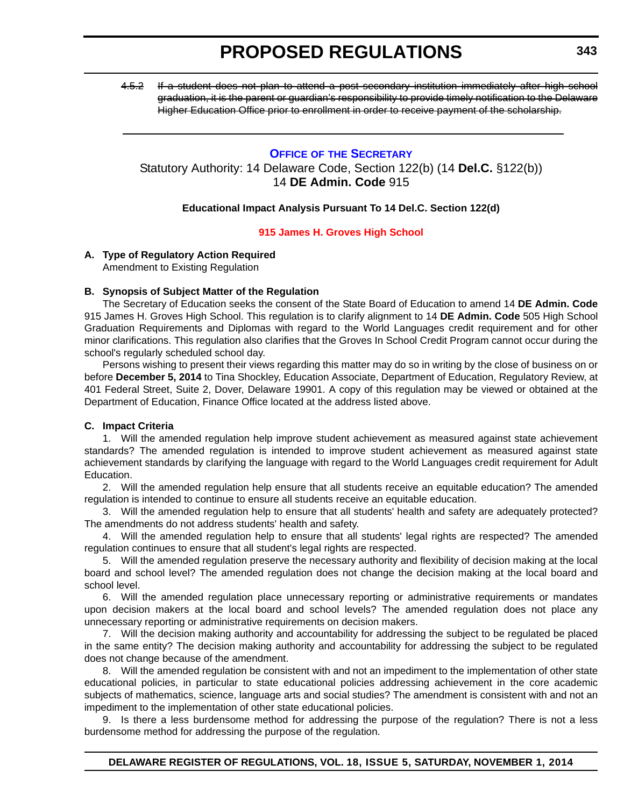<span id="page-12-0"></span>4.5.2 If a student does not plan to attend a post secondary institution immediately after high school graduation, it is the parent or guardian's responsibility to provide timely notification to the Delaware Higher Education Office prior to enrollment in order to receive payment of the scholarship.

# **OFFICE OF [THE SECRETARY](http://www.doe.k12.de.us/)** Statutory Authority: 14 Delaware Code, Section 122(b) (14 **Del.C.** §122(b)) 14 **DE Admin. Code** 915

# **Educational Impact Analysis Pursuant To 14 Del.C. Section 122(d)**

### **[915 James H. Groves High School](#page-3-0)**

# **A. Type of Regulatory Action Required**

Amendment to Existing Regulation

### **B. Synopsis of Subject Matter of the Regulation**

The Secretary of Education seeks the consent of the State Board of Education to amend 14 **DE Admin. Code** 915 James H. Groves High School. This regulation is to clarify alignment to 14 **DE Admin. Code** 505 High School Graduation Requirements and Diplomas with regard to the World Languages credit requirement and for other minor clarifications. This regulation also clarifies that the Groves In School Credit Program cannot occur during the school's regularly scheduled school day.

Persons wishing to present their views regarding this matter may do so in writing by the close of business on or before **December 5, 2014** to Tina Shockley, Education Associate, Department of Education, Regulatory Review, at 401 Federal Street, Suite 2, Dover, Delaware 19901. A copy of this regulation may be viewed or obtained at the Department of Education, Finance Office located at the address listed above.

# **C. Impact Criteria**

1. Will the amended regulation help improve student achievement as measured against state achievement standards? The amended regulation is intended to improve student achievement as measured against state achievement standards by clarifying the language with regard to the World Languages credit requirement for Adult Education.

2. Will the amended regulation help ensure that all students receive an equitable education? The amended regulation is intended to continue to ensure all students receive an equitable education.

3. Will the amended regulation help to ensure that all students' health and safety are adequately protected? The amendments do not address students' health and safety.

4. Will the amended regulation help to ensure that all students' legal rights are respected? The amended regulation continues to ensure that all student's legal rights are respected.

5. Will the amended regulation preserve the necessary authority and flexibility of decision making at the local board and school level? The amended regulation does not change the decision making at the local board and school level.

6. Will the amended regulation place unnecessary reporting or administrative requirements or mandates upon decision makers at the local board and school levels? The amended regulation does not place any unnecessary reporting or administrative requirements on decision makers.

7. Will the decision making authority and accountability for addressing the subject to be regulated be placed in the same entity? The decision making authority and accountability for addressing the subject to be regulated does not change because of the amendment.

8. Will the amended regulation be consistent with and not an impediment to the implementation of other state educational policies, in particular to state educational policies addressing achievement in the core academic subjects of mathematics, science, language arts and social studies? The amendment is consistent with and not an impediment to the implementation of other state educational policies.

9. Is there a less burdensome method for addressing the purpose of the regulation? There is not a less burdensome method for addressing the purpose of the regulation.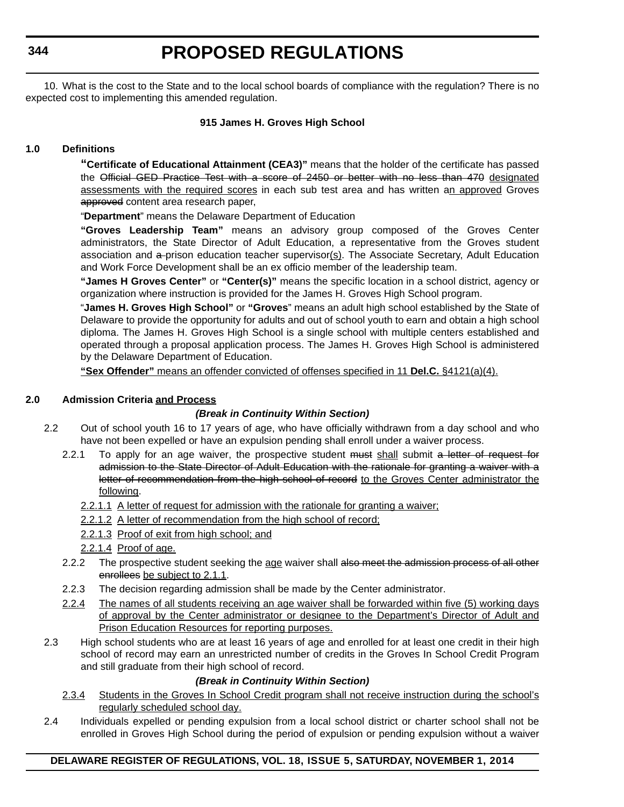**344**

# **PROPOSED REGULATIONS**

10. What is the cost to the State and to the local school boards of compliance with the regulation? There is no expected cost to implementing this amended regulation.

# **915 James H. Groves High School**

# **1.0 Definitions**

**"Certificate of Educational Attainment (CEA3)"** means that the holder of the certificate has passed the Official GED Practice Test with a score of 2450 or better with no less than 470 designated assessments with the required scores in each sub test area and has written an approved Groves approved content area research paper,

"**Department**" means the Delaware Department of Education

**"Groves Leadership Team"** means an advisory group composed of the Groves Center administrators, the State Director of Adult Education, a representative from the Groves student association and a prison education teacher supervisor(s). The Associate Secretary, Adult Education and Work Force Development shall be an ex officio member of the leadership team.

**"James H Groves Center"** or **"Center(s)"** means the specific location in a school district, agency or organization where instruction is provided for the James H. Groves High School program.

"**James H. Groves High School"** or **"Groves**" means an adult high school established by the State of Delaware to provide the opportunity for adults and out of school youth to earn and obtain a high school diploma. The James H. Groves High School is a single school with multiple centers established and operated through a proposal application process. The James H. Groves High School is administered by the Delaware Department of Education.

**"Sex Offender"** means an offender convicted of offenses specified in 11 **Del.C.** §4121(a)(4).

### **2.0 Admission Criteria and Process**

# *(Break in Continuity Within Section)*

- 2.2 Out of school youth 16 to 17 years of age, who have officially withdrawn from a day school and who have not been expelled or have an expulsion pending shall enroll under a waiver process.
	- 2.2.1 To apply for an age waiver, the prospective student must shall submit a letter of request for admission to the State Director of Adult Education with the rationale for granting a waiver with a letter of recommendation from the high school of record to the Groves Center administrator the following.
		- 2.2.1.1 A letter of request for admission with the rationale for granting a waiver;
		- 2.2.1.2 A letter of recommendation from the high school of record;
		- 2.2.1.3 Proof of exit from high school; and
		- 2.2.1.4 Proof of age.
	- 2.2.2 The prospective student seeking the age waiver shall also meet the admission process of all other enrollees be subject to 2.1.1.
	- 2.2.3 The decision regarding admission shall be made by the Center administrator.
	- 2.2.4 The names of all students receiving an age waiver shall be forwarded within five (5) working days of approval by the Center administrator or designee to the Department's Director of Adult and Prison Education Resources for reporting purposes.
- 2.3 High school students who are at least 16 years of age and enrolled for at least one credit in their high school of record may earn an unrestricted number of credits in the Groves In School Credit Program and still graduate from their high school of record.

# *(Break in Continuity Within Section)*

- 2.3.4 Students in the Groves In School Credit program shall not receive instruction during the school's regularly scheduled school day.
- 2.4 Individuals expelled or pending expulsion from a local school district or charter school shall not be enrolled in Groves High School during the period of expulsion or pending expulsion without a waiver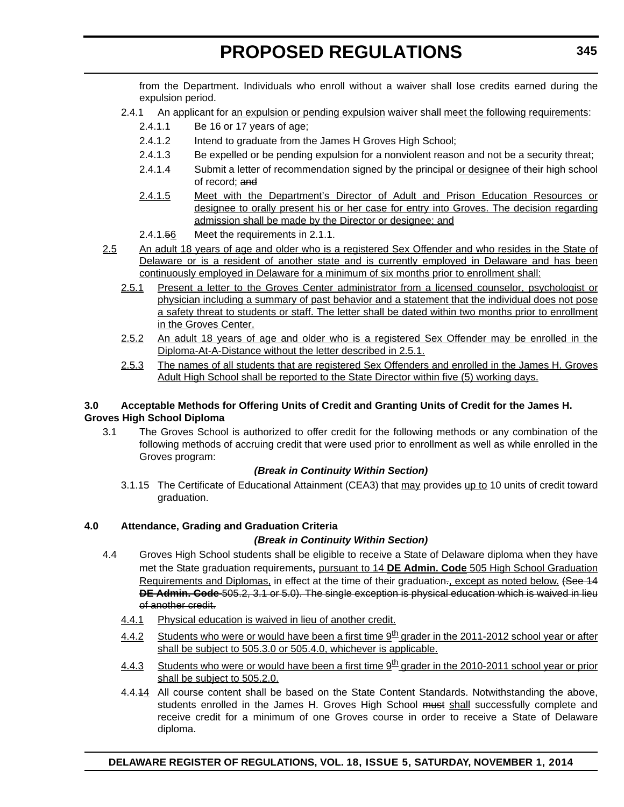from the Department. Individuals who enroll without a waiver shall lose credits earned during the expulsion period.

- 2.4.1 An applicant for an expulsion or pending expulsion waiver shall meet the following requirements:
	- 2.4.1.1 Be 16 or 17 years of age;
	- 2.4.1.2 Intend to graduate from the James H Groves High School;
	- 2.4.1.3 Be expelled or be pending expulsion for a nonviolent reason and not be a security threat;
	- 2.4.1.4 Submit a letter of recommendation signed by the principal or designee of their high school of record; and
	- 2.4.1.5 Meet with the Department's Director of Adult and Prison Education Resources or designee to orally present his or her case for entry into Groves. The decision regarding admission shall be made by the Director or designee; and
	- 2.4.1.56 Meet the requirements in 2.1.1.
- 2.5 An adult 18 years of age and older who is a registered Sex Offender and who resides in the State of Delaware or is a resident of another state and is currently employed in Delaware and has been continuously employed in Delaware for a minimum of six months prior to enrollment shall:
	- 2.5.1 Present a letter to the Groves Center administrator from a licensed counselor, psychologist or physician including a summary of past behavior and a statement that the individual does not pose a safety threat to students or staff. The letter shall be dated within two months prior to enrollment in the Groves Center.
	- 2.5.2 An adult 18 years of age and older who is a registered Sex Offender may be enrolled in the Diploma-At-A-Distance without the letter described in 2.5.1.
	- 2.5.3 The names of all students that are registered Sex Offenders and enrolled in the James H. Groves Adult High School shall be reported to the State Director within five (5) working days.

# **3.0 Acceptable Methods for Offering Units of Credit and Granting Units of Credit for the James H. Groves High School Diploma**

3.1 The Groves School is authorized to offer credit for the following methods or any combination of the following methods of accruing credit that were used prior to enrollment as well as while enrolled in the Groves program:

# *(Break in Continuity Within Section)*

3.1.15 The Certificate of Educational Attainment (CEA3) that may provides up to 10 units of credit toward graduation.

# **4.0 Attendance, Grading and Graduation Criteria**

# *(Break in Continuity Within Section)*

- 4.4 Groves High School students shall be eligible to receive a State of Delaware diploma when they have met the State graduation requirements, pursuant to 14 **DE Admin. Code** 505 High School Graduation Requirements and Diplomas, in effect at the time of their graduation., except as noted below. (See 14 **DE Admin. Code** 505.2, 3.1 or 5.0). The single exception is physical education which is waived in lieu of another credit.
	- 4.4.1 Physical education is waived in lieu of another credit.
	- 4.4.2 Students who were or would have been a first time 9<sup>th</sup> grader in the 2011-2012 school year or after shall be subject to 505.3.0 or 505.4.0, whichever is applicable.
	- 4.4.3 Students who were or would have been a first time  $9<sup>th</sup>$  grader in the 2010-2011 school year or prior shall be subject to 505.2.0.
	- 4.4.44 All course content shall be based on the State Content Standards. Notwithstanding the above, students enrolled in the James H. Groves High School must shall successfully complete and receive credit for a minimum of one Groves course in order to receive a State of Delaware diploma.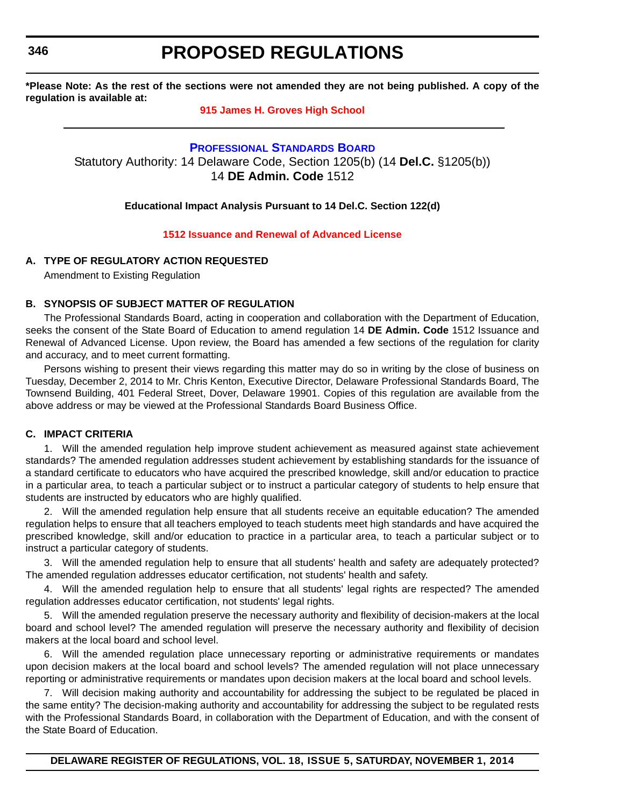<span id="page-15-0"></span>**346**

# **PROPOSED REGULATIONS**

**\*Please Note: As the rest of the sections were not amended they are not being published. A copy of the regulation is available at:**

# **[915 James H. Groves High School](http://regulations.delaware.gov/register/november2014/proposed/18 DE Reg 343 11-01-14.htm)**

# **[PROFESSIONAL STANDARDS BOARD](http://www.doe.k12.de.us/)**

Statutory Authority: 14 Delaware Code, Section 1205(b) (14 **Del.C.** §1205(b)) 14 **DE Admin. Code** 1512

#### **Educational Impact Analysis Pursuant to 14 Del.C. Section 122(d)**

### **[1512 Issuance and Renewal of Advanced License](#page-3-0)**

# **A. TYPE OF REGULATORY ACTION REQUESTED**

Amendment to Existing Regulation

### **B. SYNOPSIS OF SUBJECT MATTER OF REGULATION**

The Professional Standards Board, acting in cooperation and collaboration with the Department of Education, seeks the consent of the State Board of Education to amend regulation 14 **DE Admin. Code** 1512 Issuance and Renewal of Advanced License. Upon review, the Board has amended a few sections of the regulation for clarity and accuracy, and to meet current formatting.

Persons wishing to present their views regarding this matter may do so in writing by the close of business on Tuesday, December 2, 2014 to Mr. Chris Kenton, Executive Director, Delaware Professional Standards Board, The Townsend Building, 401 Federal Street, Dover, Delaware 19901. Copies of this regulation are available from the above address or may be viewed at the Professional Standards Board Business Office.

#### **C. IMPACT CRITERIA**

1. Will the amended regulation help improve student achievement as measured against state achievement standards? The amended regulation addresses student achievement by establishing standards for the issuance of a standard certificate to educators who have acquired the prescribed knowledge, skill and/or education to practice in a particular area, to teach a particular subject or to instruct a particular category of students to help ensure that students are instructed by educators who are highly qualified.

2. Will the amended regulation help ensure that all students receive an equitable education? The amended regulation helps to ensure that all teachers employed to teach students meet high standards and have acquired the prescribed knowledge, skill and/or education to practice in a particular area, to teach a particular subject or to instruct a particular category of students.

3. Will the amended regulation help to ensure that all students' health and safety are adequately protected? The amended regulation addresses educator certification, not students' health and safety.

4. Will the amended regulation help to ensure that all students' legal rights are respected? The amended regulation addresses educator certification, not students' legal rights.

5. Will the amended regulation preserve the necessary authority and flexibility of decision-makers at the local board and school level? The amended regulation will preserve the necessary authority and flexibility of decision makers at the local board and school level.

6. Will the amended regulation place unnecessary reporting or administrative requirements or mandates upon decision makers at the local board and school levels? The amended regulation will not place unnecessary reporting or administrative requirements or mandates upon decision makers at the local board and school levels.

7. Will decision making authority and accountability for addressing the subject to be regulated be placed in the same entity? The decision-making authority and accountability for addressing the subject to be regulated rests with the Professional Standards Board, in collaboration with the Department of Education, and with the consent of the State Board of Education.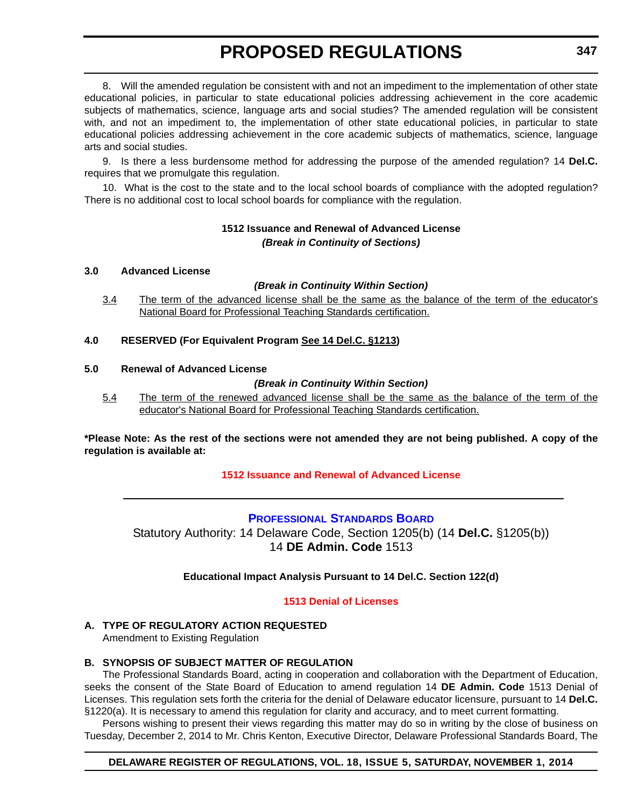<span id="page-16-0"></span>8. Will the amended regulation be consistent with and not an impediment to the implementation of other state educational policies, in particular to state educational policies addressing achievement in the core academic subjects of mathematics, science, language arts and social studies? The amended regulation will be consistent with, and not an impediment to, the implementation of other state educational policies, in particular to state educational policies addressing achievement in the core academic subjects of mathematics, science, language arts and social studies.

9. Is there a less burdensome method for addressing the purpose of the amended regulation? 14 **Del.C.** requires that we promulgate this regulation.

10. What is the cost to the state and to the local school boards of compliance with the adopted regulation? There is no additional cost to local school boards for compliance with the regulation.

# **1512 Issuance and Renewal of Advanced License** *(Break in Continuity of Sections)*

# **3.0 Advanced License**

### *(Break in Continuity Within Section)*

3.4 The term of the advanced license shall be the same as the balance of the term of the educator's National Board for Professional Teaching Standards certification.

# **4.0 RESERVED (For Equivalent Program See 14 Del.C. §1213)**

### **5.0 Renewal of Advanced License**

### *(Break in Continuity Within Section)*

5.4 The term of the renewed advanced license shall be the same as the balance of the term of the educator's National Board for Professional Teaching Standards certification.

**\*Please Note: As the rest of the sections were not amended they are not being published. A copy of the regulation is available at:**

# **[1512 Issuance and Renewal of Advanced License](http://regulations.delaware.gov/register/november2014/proposed/18 DE Reg 346 11-01-14.htm)**

# **[PROFESSIONAL STANDARDS BOARD](http://www.doe.k12.de.us/)**

Statutory Authority: 14 Delaware Code, Section 1205(b) (14 **Del.C.** §1205(b)) 14 **DE Admin. Code** 1513

# **Educational Impact Analysis Pursuant to 14 Del.C. Section 122(d)**

# **[1513 Denial of Licenses](#page-3-0)**

# **A. TYPE OF REGULATORY ACTION REQUESTED**

Amendment to Existing Regulation

# **B. SYNOPSIS OF SUBJECT MATTER OF REGULATION**

The Professional Standards Board, acting in cooperation and collaboration with the Department of Education, seeks the consent of the State Board of Education to amend regulation 14 **DE Admin. Code** 1513 Denial of Licenses. This regulation sets forth the criteria for the denial of Delaware educator licensure, pursuant to 14 **Del.C.** §1220(a). It is necessary to amend this regulation for clarity and accuracy, and to meet current formatting.

Persons wishing to present their views regarding this matter may do so in writing by the close of business on Tuesday, December 2, 2014 to Mr. Chris Kenton, Executive Director, Delaware Professional Standards Board, The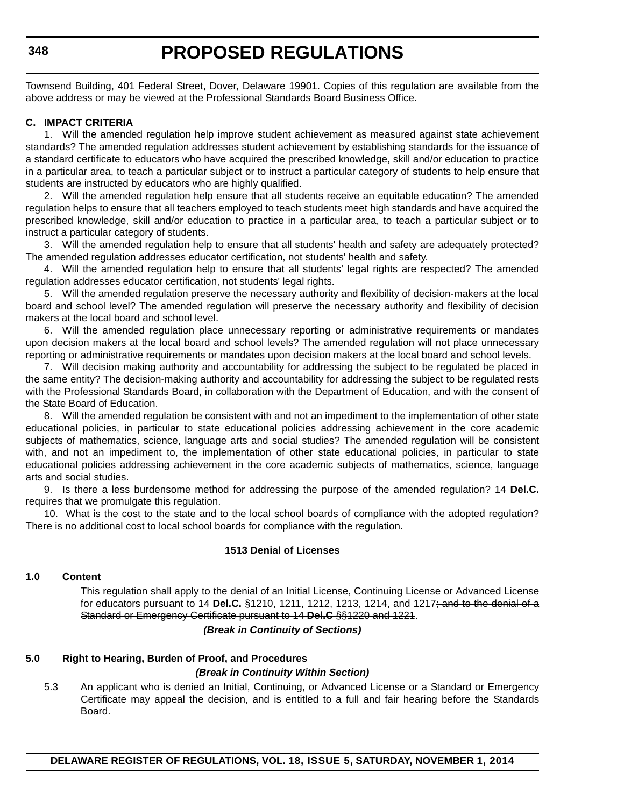Townsend Building, 401 Federal Street, Dover, Delaware 19901. Copies of this regulation are available from the above address or may be viewed at the Professional Standards Board Business Office.

# **C. IMPACT CRITERIA**

1. Will the amended regulation help improve student achievement as measured against state achievement standards? The amended regulation addresses student achievement by establishing standards for the issuance of a standard certificate to educators who have acquired the prescribed knowledge, skill and/or education to practice in a particular area, to teach a particular subject or to instruct a particular category of students to help ensure that students are instructed by educators who are highly qualified.

2. Will the amended regulation help ensure that all students receive an equitable education? The amended regulation helps to ensure that all teachers employed to teach students meet high standards and have acquired the prescribed knowledge, skill and/or education to practice in a particular area, to teach a particular subject or to instruct a particular category of students.

3. Will the amended regulation help to ensure that all students' health and safety are adequately protected? The amended regulation addresses educator certification, not students' health and safety.

4. Will the amended regulation help to ensure that all students' legal rights are respected? The amended regulation addresses educator certification, not students' legal rights.

5. Will the amended regulation preserve the necessary authority and flexibility of decision-makers at the local board and school level? The amended regulation will preserve the necessary authority and flexibility of decision makers at the local board and school level.

6. Will the amended regulation place unnecessary reporting or administrative requirements or mandates upon decision makers at the local board and school levels? The amended regulation will not place unnecessary reporting or administrative requirements or mandates upon decision makers at the local board and school levels.

7. Will decision making authority and accountability for addressing the subject to be regulated be placed in the same entity? The decision-making authority and accountability for addressing the subject to be regulated rests with the Professional Standards Board, in collaboration with the Department of Education, and with the consent of the State Board of Education.

8. Will the amended regulation be consistent with and not an impediment to the implementation of other state educational policies, in particular to state educational policies addressing achievement in the core academic subjects of mathematics, science, language arts and social studies? The amended regulation will be consistent with, and not an impediment to, the implementation of other state educational policies, in particular to state educational policies addressing achievement in the core academic subjects of mathematics, science, language arts and social studies.

9. Is there a less burdensome method for addressing the purpose of the amended regulation? 14 **Del.C.** requires that we promulgate this regulation.

10. What is the cost to the state and to the local school boards of compliance with the adopted regulation? There is no additional cost to local school boards for compliance with the regulation.

### **1513 Denial of Licenses**

#### **1.0 Content**

This regulation shall apply to the denial of an Initial License, Continuing License or Advanced License for educators pursuant to 14 **Del.C.** §1210, 1211, 1212, 1213, 1214, and 1217; and to the denial of a Standard or Emergency Certificate pursuant to 14 **Del.C** §§1220 and 1221.

### *(Break in Continuity of Sections)*

# **5.0 Right to Hearing, Burden of Proof, and Procedures**

#### *(Break in Continuity Within Section)*

5.3 An applicant who is denied an Initial, Continuing, or Advanced License or a Standard or Emergency Certificate may appeal the decision, and is entitled to a full and fair hearing before the Standards Board.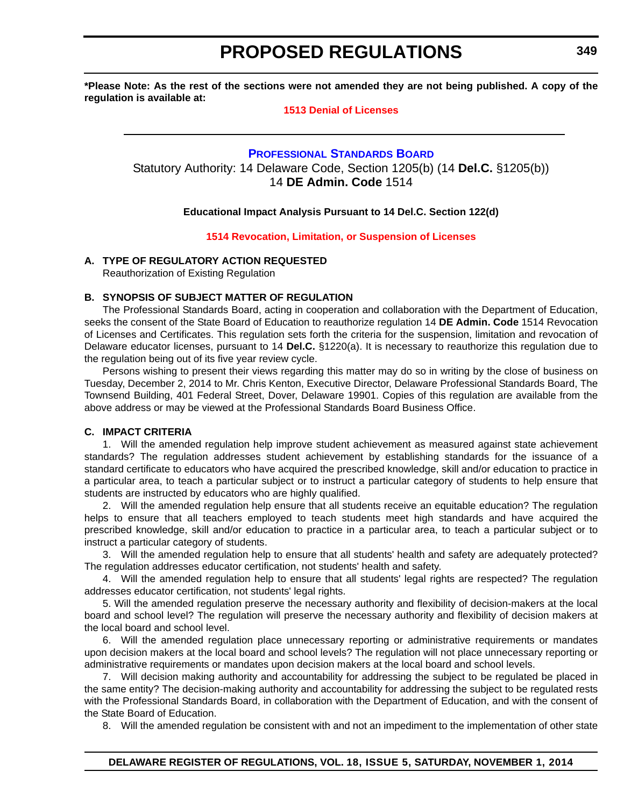<span id="page-18-0"></span>**\*Please Note: As the rest of the sections were not amended they are not being published. A copy of the regulation is available at:**

# **[1513 Denial of Licenses](http://regulations.delaware.gov/register/november2014/proposed/18 DE Reg 347 11-01-14.htm)**

# **[PROFESSIONAL STANDARDS BOARD](http://www.doe.k12.de.us/)** Statutory Authority: 14 Delaware Code, Section 1205(b) (14 **Del.C.** §1205(b)) 14 **DE Admin. Code** 1514

# **Educational Impact Analysis Pursuant to 14 Del.C. Section 122(d)**

### **[1514 Revocation, Limitation, or Suspension of Licenses](#page-3-0)**

# **A. TYPE OF REGULATORY ACTION REQUESTED**

Reauthorization of Existing Regulation

# **B. SYNOPSIS OF SUBJECT MATTER OF REGULATION**

The Professional Standards Board, acting in cooperation and collaboration with the Department of Education, seeks the consent of the State Board of Education to reauthorize regulation 14 **DE Admin. Code** 1514 Revocation of Licenses and Certificates. This regulation sets forth the criteria for the suspension, limitation and revocation of Delaware educator licenses, pursuant to 14 **Del.C.** §1220(a). It is necessary to reauthorize this regulation due to the regulation being out of its five year review cycle.

Persons wishing to present their views regarding this matter may do so in writing by the close of business on Tuesday, December 2, 2014 to Mr. Chris Kenton, Executive Director, Delaware Professional Standards Board, The Townsend Building, 401 Federal Street, Dover, Delaware 19901. Copies of this regulation are available from the above address or may be viewed at the Professional Standards Board Business Office.

# **C. IMPACT CRITERIA**

1. Will the amended regulation help improve student achievement as measured against state achievement standards? The regulation addresses student achievement by establishing standards for the issuance of a standard certificate to educators who have acquired the prescribed knowledge, skill and/or education to practice in a particular area, to teach a particular subject or to instruct a particular category of students to help ensure that students are instructed by educators who are highly qualified.

2. Will the amended regulation help ensure that all students receive an equitable education? The regulation helps to ensure that all teachers employed to teach students meet high standards and have acquired the prescribed knowledge, skill and/or education to practice in a particular area, to teach a particular subject or to instruct a particular category of students.

3. Will the amended regulation help to ensure that all students' health and safety are adequately protected? The regulation addresses educator certification, not students' health and safety.

4. Will the amended regulation help to ensure that all students' legal rights are respected? The regulation addresses educator certification, not students' legal rights.

5. Will the amended regulation preserve the necessary authority and flexibility of decision-makers at the local board and school level? The regulation will preserve the necessary authority and flexibility of decision makers at the local board and school level.

6. Will the amended regulation place unnecessary reporting or administrative requirements or mandates upon decision makers at the local board and school levels? The regulation will not place unnecessary reporting or administrative requirements or mandates upon decision makers at the local board and school levels.

7. Will decision making authority and accountability for addressing the subject to be regulated be placed in the same entity? The decision-making authority and accountability for addressing the subject to be regulated rests with the Professional Standards Board, in collaboration with the Department of Education, and with the consent of the State Board of Education.

8. Will the amended regulation be consistent with and not an impediment to the implementation of other state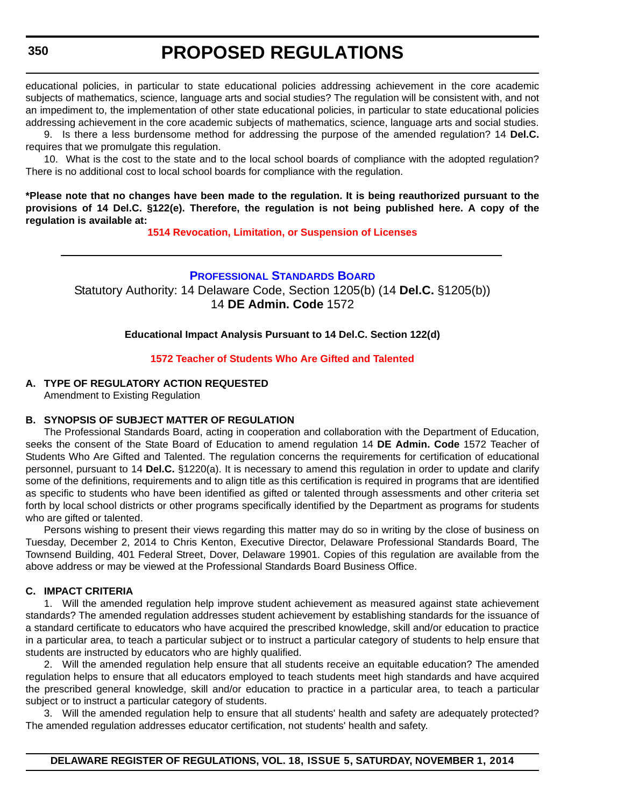<span id="page-19-0"></span>educational policies, in particular to state educational policies addressing achievement in the core academic subjects of mathematics, science, language arts and social studies? The regulation will be consistent with, and not an impediment to, the implementation of other state educational policies, in particular to state educational policies addressing achievement in the core academic subjects of mathematics, science, language arts and social studies.

9. Is there a less burdensome method for addressing the purpose of the amended regulation? 14 **Del.C.** requires that we promulgate this regulation.

10. What is the cost to the state and to the local school boards of compliance with the adopted regulation? There is no additional cost to local school boards for compliance with the regulation.

**\*Please note that no changes have been made to the regulation. It is being reauthorized pursuant to the provisions of 14 Del.C. §122(e). Therefore, the regulation is not being published here. A copy of the regulation is available at:**

**[1514 Revocation, Limitation, or Suspension of Licenses](http://regulations.delaware.gov/register/november2014/proposed/18 DE Reg 349 11-01-14.htm)**

# **[PROFESSIONAL STANDARDS BOARD](http://www.doe.k12.de.us/)**

Statutory Authority: 14 Delaware Code, Section 1205(b) (14 **Del.C.** §1205(b)) 14 **DE Admin. Code** 1572

**Educational Impact Analysis Pursuant to 14 Del.C. Section 122(d)**

### **[1572 Teacher of Students Who Are Gifted and Talented](#page-3-0)**

# **A. TYPE OF REGULATORY ACTION REQUESTED**

Amendment to Existing Regulation

# **B. SYNOPSIS OF SUBJECT MATTER OF REGULATION**

The Professional Standards Board, acting in cooperation and collaboration with the Department of Education, seeks the consent of the State Board of Education to amend regulation 14 **DE Admin. Code** 1572 Teacher of Students Who Are Gifted and Talented. The regulation concerns the requirements for certification of educational personnel, pursuant to 14 **Del.C.** §1220(a). It is necessary to amend this regulation in order to update and clarify some of the definitions, requirements and to align title as this certification is required in programs that are identified as specific to students who have been identified as gifted or talented through assessments and other criteria set forth by local school districts or other programs specifically identified by the Department as programs for students who are gifted or talented.

Persons wishing to present their views regarding this matter may do so in writing by the close of business on Tuesday, December 2, 2014 to Chris Kenton, Executive Director, Delaware Professional Standards Board, The Townsend Building, 401 Federal Street, Dover, Delaware 19901. Copies of this regulation are available from the above address or may be viewed at the Professional Standards Board Business Office.

# **C. IMPACT CRITERIA**

1. Will the amended regulation help improve student achievement as measured against state achievement standards? The amended regulation addresses student achievement by establishing standards for the issuance of a standard certificate to educators who have acquired the prescribed knowledge, skill and/or education to practice in a particular area, to teach a particular subject or to instruct a particular category of students to help ensure that students are instructed by educators who are highly qualified.

2. Will the amended regulation help ensure that all students receive an equitable education? The amended regulation helps to ensure that all educators employed to teach students meet high standards and have acquired the prescribed general knowledge, skill and/or education to practice in a particular area, to teach a particular subject or to instruct a particular category of students.

3. Will the amended regulation help to ensure that all students' health and safety are adequately protected? The amended regulation addresses educator certification, not students' health and safety.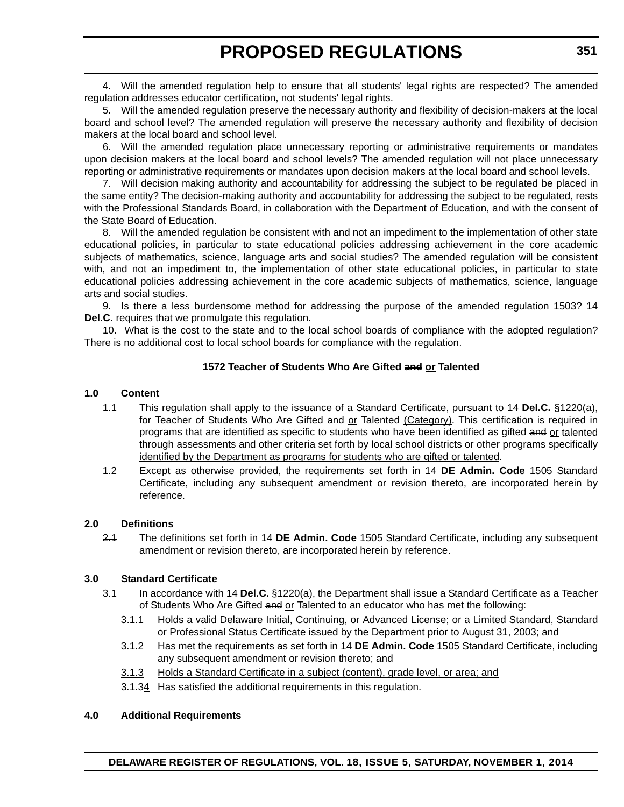4. Will the amended regulation help to ensure that all students' legal rights are respected? The amended regulation addresses educator certification, not students' legal rights.

5. Will the amended regulation preserve the necessary authority and flexibility of decision-makers at the local board and school level? The amended regulation will preserve the necessary authority and flexibility of decision makers at the local board and school level.

6. Will the amended regulation place unnecessary reporting or administrative requirements or mandates upon decision makers at the local board and school levels? The amended regulation will not place unnecessary reporting or administrative requirements or mandates upon decision makers at the local board and school levels.

7. Will decision making authority and accountability for addressing the subject to be regulated be placed in the same entity? The decision-making authority and accountability for addressing the subject to be regulated, rests with the Professional Standards Board, in collaboration with the Department of Education, and with the consent of the State Board of Education.

8. Will the amended regulation be consistent with and not an impediment to the implementation of other state educational policies, in particular to state educational policies addressing achievement in the core academic subjects of mathematics, science, language arts and social studies? The amended regulation will be consistent with, and not an impediment to, the implementation of other state educational policies, in particular to state educational policies addressing achievement in the core academic subjects of mathematics, science, language arts and social studies.

9. Is there a less burdensome method for addressing the purpose of the amended regulation 1503? 14 **Del.C.** requires that we promulgate this regulation.

10. What is the cost to the state and to the local school boards of compliance with the adopted regulation? There is no additional cost to local school boards for compliance with the regulation.

# **1572 Teacher of Students Who Are Gifted and or Talented**

# **1.0 Content**

- 1.1 This regulation shall apply to the issuance of a Standard Certificate, pursuant to 14 **Del.C.** §1220(a), for Teacher of Students Who Are Gifted and or Talented (Category). This certification is required in programs that are identified as specific to students who have been identified as gifted and or talented through assessments and other criteria set forth by local school districts or other programs specifically identified by the Department as programs for students who are gifted or talented.
- 1.2 Except as otherwise provided, the requirements set forth in 14 **DE Admin. Code** 1505 Standard Certificate, including any subsequent amendment or revision thereto, are incorporated herein by reference.

#### **2.0 Definitions**

2.1 The definitions set forth in 14 **DE Admin. Code** 1505 Standard Certificate, including any subsequent amendment or revision thereto, are incorporated herein by reference.

# **3.0 Standard Certificate**

- 3.1 In accordance with 14 **Del.C.** §1220(a), the Department shall issue a Standard Certificate as a Teacher of Students Who Are Gifted and or Talented to an educator who has met the following:
	- 3.1.1 Holds a valid Delaware Initial, Continuing, or Advanced License; or a Limited Standard, Standard or Professional Status Certificate issued by the Department prior to August 31, 2003; and
	- 3.1.2 Has met the requirements as set forth in 14 **DE Admin. Code** 1505 Standard Certificate, including any subsequent amendment or revision thereto; and
	- 3.1.3 Holds a Standard Certificate in a subject (content), grade level, or area; and
	- 3.1.34 Has satisfied the additional requirements in this regulation.

#### **4.0 Additional Requirements**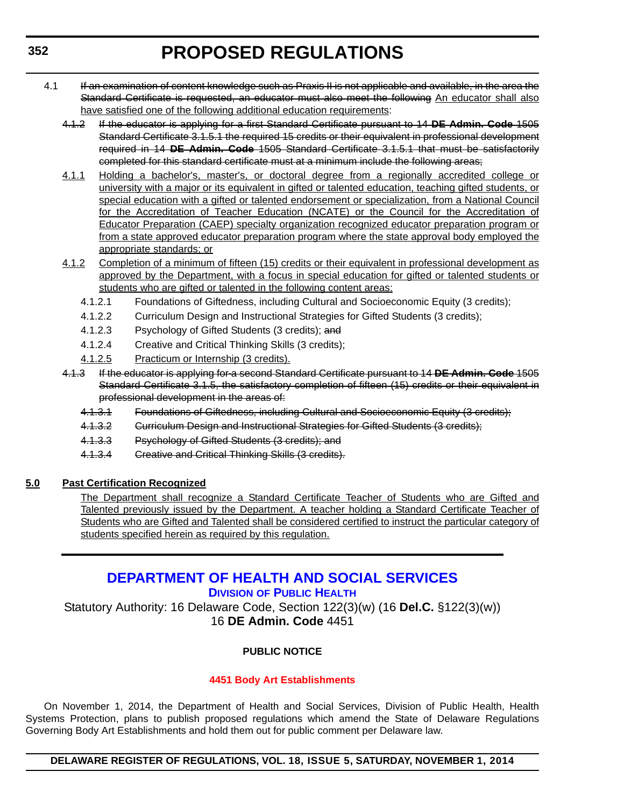- <span id="page-21-0"></span>4.1 If an examination of content knowledge such as Praxis II is not applicable and available, in the area the Standard Certificate is requested, an educator must also meet the following An educator shall also have satisfied one of the following additional education requirements:
	- 4.1.2 If the educator is applying for a first Standard Certificate pursuant to 14 **DE Admin. Code** 1505 Standard Certificate 3.1.5.1 the required 15 credits or their equivalent in professional development required in 14 **DE Admin. Code** 1505 Standard Certificate 3.1.5.1 that must be satisfactorily completed for this standard certificate must at a minimum include the following areas;
	- 4.1.1 Holding a bachelor's, master's, or doctoral degree from a regionally accredited college or university with a major or its equivalent in gifted or talented education, teaching gifted students, or special education with a gifted or talented endorsement or specialization, from a National Council for the Accreditation of Teacher Education (NCATE) or the Council for the Accreditation of Educator Preparation (CAEP) specialty organization recognized educator preparation program or from a state approved educator preparation program where the state approval body employed the appropriate standards; or
	- 4.1.2 Completion of a minimum of fifteen (15) credits or their equivalent in professional development as approved by the Department, with a focus in special education for gifted or talented students or students who are gifted or talented in the following content areas:
		- 4.1.2.1 Foundations of Giftedness, including Cultural and Socioeconomic Equity (3 credits);
		- 4.1.2.2 Curriculum Design and Instructional Strategies for Gifted Students (3 credits);
		- 4.1.2.3 Psychology of Gifted Students (3 credits); and
		- 4.1.2.4 Creative and Critical Thinking Skills (3 credits);
		- 4.1.2.5 Practicum or Internship (3 credits).
	- 4.1.3 If the educator is applying for a second Standard Certificate pursuant to 14 **DE Admin. Code** 1505 Standard Certificate 3.1.5, the satisfactory completion of fifteen (15) credits or their equivalent in professional development in the areas of:
		- 4.1.3.1 Foundations of Giftedness, including Cultural and Socioeconomic Equity (3 credits);
		- 4.1.3.2 Curriculum Design and Instructional Strategies for Gifted Students (3 credits);
		- 4.1.3.3 Psychology of Gifted Students (3 credits); and
		- 4.1.3.4 Creative and Critical Thinking Skills (3 credits).

# **5.0 Past Certification Recognized**

The Department shall recognize a Standard Certificate Teacher of Students who are Gifted and Talented previously issued by the Department. A teacher holding a Standard Certificate Teacher of Students who are Gifted and Talented shall be considered certified to instruct the particular category of students specified herein as required by this regulation.

# **[DEPARTMENT OF HEALTH AND SOCIAL SERVICES](http://www.dhss.delaware.gov/dhss/dph/index.html) DIVISION OF PUBLIC HEALTH**

Statutory Authority: 16 Delaware Code, Section 122(3)(w) (16 **Del.C.** §122(3)(w)) 16 **DE Admin. Code** 4451

# **PUBLIC NOTICE**

# **[4451 Body Art Establishments](#page-3-0)**

On November 1, 2014, the Department of Health and Social Services, Division of Public Health, Health Systems Protection, plans to publish proposed regulations which amend the State of Delaware Regulations Governing Body Art Establishments and hold them out for public comment per Delaware law.

# **DELAWARE REGISTER OF REGULATIONS, VOL. 18, ISSUE 5, SATURDAY, NOVEMBER 1, 2014**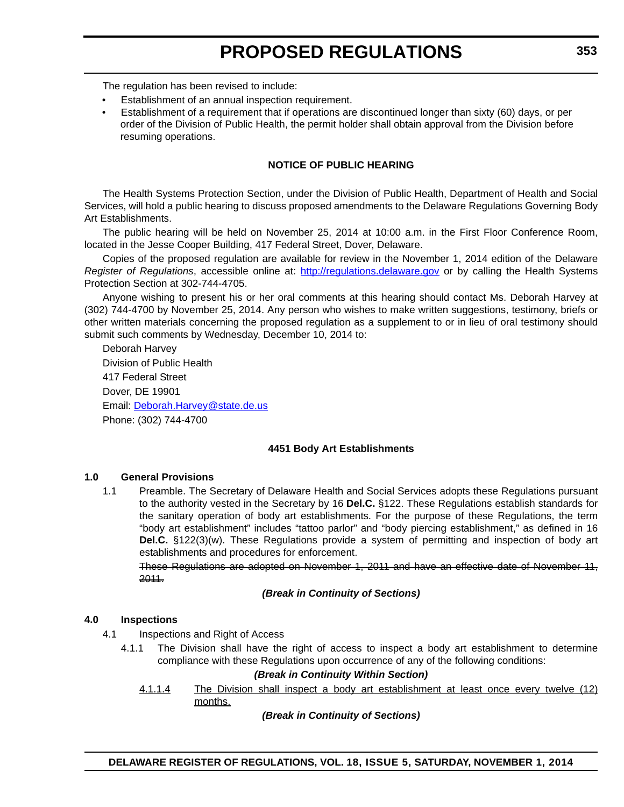The regulation has been revised to include:

- Establishment of an annual inspection requirement.
- Establishment of a requirement that if operations are discontinued longer than sixty (60) days, or per order of the Division of Public Health, the permit holder shall obtain approval from the Division before resuming operations.

# **NOTICE OF PUBLIC HEARING**

The Health Systems Protection Section, under the Division of Public Health, Department of Health and Social Services, will hold a public hearing to discuss proposed amendments to the Delaware Regulations Governing Body Art Establishments.

The public hearing will be held on November 25, 2014 at 10:00 a.m. in the First Floor Conference Room, located in the Jesse Cooper Building, 417 Federal Street, Dover, Delaware.

Copies of the proposed regulation are available for review in the November 1, 2014 edition of the Delaware *Register of Regulations*, accessible online at: http://regulations.delaware.gov or by calling the Health Systems Protection Section at 302-744-4705.

Anyone wishing to present his or her oral comments at this hearing should contact Ms. Deborah Harvey at (302) 744-4700 by November 25, 2014. Any person who wishes to make written suggestions, testimony, briefs or other written materials concerning the proposed regulation as a supplement to or in lieu of oral testimony should submit such comments by Wednesday, December 10, 2014 to:

Deborah Harvey Division of Public Health 417 Federal Street Dover, DE 19901 Email: Deborah.Harvey@state.de.us Phone: (302) 744-4700

# **4451 Body Art Establishments**

# **1.0 General Provisions**

1.1 Preamble. The Secretary of Delaware Health and Social Services adopts these Regulations pursuant to the authority vested in the Secretary by 16 **Del.C.** §122. These Regulations establish standards for the sanitary operation of body art establishments. For the purpose of these Regulations, the term "body art establishment" includes "tattoo parlor" and "body piercing establishment," as defined in 16 **Del.C.** §122(3)(w). These Regulations provide a system of permitting and inspection of body art establishments and procedures for enforcement.

These Regulations are adopted on November 1, 2011 and have an effective date of November 11, 2011.

#### *(Break in Continuity of Sections)*

# **4.0 Inspections**

- 4.1 Inspections and Right of Access
	- 4.1.1 The Division shall have the right of access to inspect a body art establishment to determine compliance with these Regulations upon occurrence of any of the following conditions:

# *(Break in Continuity Within Section)*

4.1.1.4 The Division shall inspect a body art establishment at least once every twelve (12) months.

#### *(Break in Continuity of Sections)*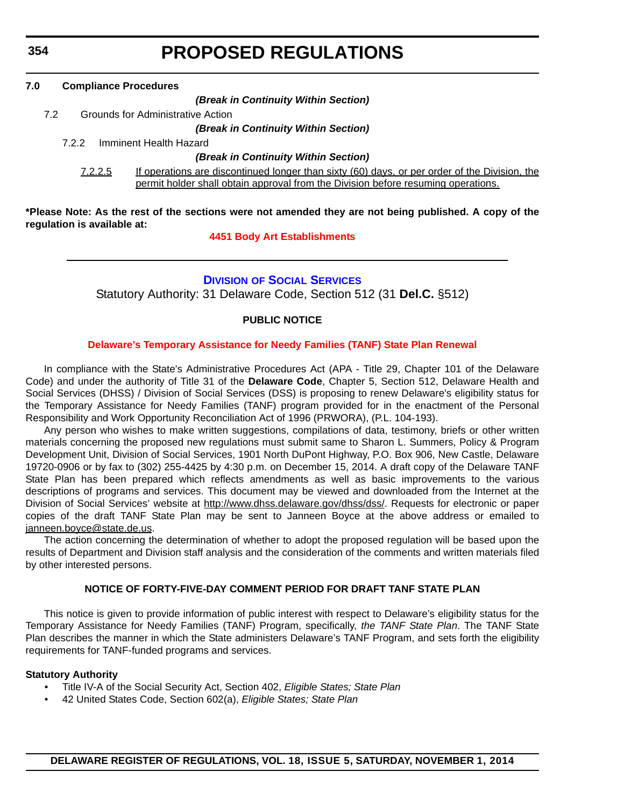<span id="page-23-0"></span>**354**

# **PROPOSED REGULATIONS**

| 7.0 | <b>Compliance Procedures</b> |                                                                                                                                                                                    |
|-----|------------------------------|------------------------------------------------------------------------------------------------------------------------------------------------------------------------------------|
|     |                              | (Break in Continuity Within Section)                                                                                                                                               |
|     | 7.2                          | Grounds for Administrative Action                                                                                                                                                  |
|     |                              | (Break in Continuity Within Section)                                                                                                                                               |
|     | 7.2.2                        | Imminent Health Hazard                                                                                                                                                             |
|     |                              | (Break in Continuity Within Section)                                                                                                                                               |
|     | 7.2.2.5                      | If operations are discontinued longer than sixty (60) days, or per order of the Division, the<br>permit holder shall obtain approval from the Division before resuming operations. |
|     |                              |                                                                                                                                                                                    |

**\*Please Note: As the rest of the sections were not amended they are not being published. A copy of the regulation is available at:**

# **[4451 Body Art Establishments](http://regulations.delaware.gov/register/november2014/proposed/18 DE Reg 352 11-01-14.htm)**

# **DIVISION [OF SOCIAL SERVICES](http://www.dhss.delaware.gov/dhss/dss/index.html)**

Statutory Authority: 31 Delaware Code, Section 512 (31 **Del.C.** §512)

# **PUBLIC NOTICE**

# **[Delaware's Temporary Assistance for Needy Families \(TANF\) State Plan Renewal](#page-3-0)**

In compliance with the State's Administrative Procedures Act (APA - Title 29, Chapter 101 of the Delaware Code) and under the authority of Title 31 of the **Delaware Code**, Chapter 5, Section 512, Delaware Health and Social Services (DHSS) / Division of Social Services (DSS) is proposing to renew Delaware's eligibility status for the Temporary Assistance for Needy Families (TANF) program provided for in the enactment of the Personal Responsibility and Work Opportunity Reconciliation Act of 1996 (PRWORA), (P.L. 104-193).

Any person who wishes to make written suggestions, compilations of data, testimony, briefs or other written materials concerning the proposed new regulations must submit same to Sharon L. Summers, Policy & Program Development Unit, Division of Social Services, 1901 North DuPont Highway, P.O. Box 906, New Castle, Delaware 19720-0906 or by fax to (302) 255-4425 by 4:30 p.m. on December 15, 2014. A draft copy of the Delaware TANF State Plan has been prepared which reflects amendments as well as basic improvements to the various descriptions of programs and services. This document may be viewed and downloaded from the Internet at the Division of Social Services' website at <http://www.dhss.delaware.gov/dhss/dss/>. Requests for electronic or paper copies of the draft TANF State Plan may be sent to Janneen Boyce at the above address or emailed to [janneen.boyce@state.de.us](mailto:janneen.boyce@state.de.us).

The action concerning the determination of whether to adopt the proposed regulation will be based upon the results of Department and Division staff analysis and the consideration of the comments and written materials filed by other interested persons.

# **NOTICE OF FORTY-FIVE-DAY COMMENT PERIOD FOR DRAFT TANF STATE PLAN**

This notice is given to provide information of public interest with respect to Delaware's eligibility status for the Temporary Assistance for Needy Families (TANF) Program, specifically, *the TANF State Plan*. The TANF State Plan describes the manner in which the State administers Delaware's TANF Program, and sets forth the eligibility requirements for TANF-funded programs and services.

#### **Statutory Authority**

- Title IV-A of the Social Security Act, Section 402, *Eligible States; State Plan*
- 42 United States Code, Section 602(a), *Eligible States; State Plan*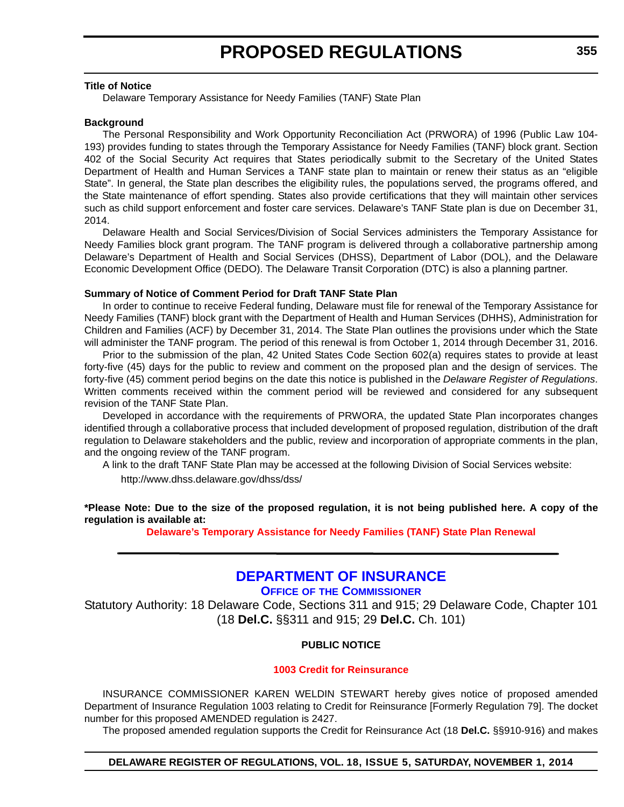#### <span id="page-24-0"></span>**Title of Notice**

Delaware Temporary Assistance for Needy Families (TANF) State Plan

#### **Background**

The Personal Responsibility and Work Opportunity Reconciliation Act (PRWORA) of 1996 (Public Law 104- 193) provides funding to states through the Temporary Assistance for Needy Families (TANF) block grant. Section 402 of the Social Security Act requires that States periodically submit to the Secretary of the United States Department of Health and Human Services a TANF state plan to maintain or renew their status as an "eligible State". In general, the State plan describes the eligibility rules, the populations served, the programs offered, and the State maintenance of effort spending. States also provide certifications that they will maintain other services such as child support enforcement and foster care services. Delaware's TANF State plan is due on December 31, 2014.

Delaware Health and Social Services/Division of Social Services administers the Temporary Assistance for Needy Families block grant program. The TANF program is delivered through a collaborative partnership among Delaware's Department of Health and Social Services (DHSS), Department of Labor (DOL), and the Delaware Economic Development Office (DEDO). The Delaware Transit Corporation (DTC) is also a planning partner.

#### **Summary of Notice of Comment Period for Draft TANF State Plan**

In order to continue to receive Federal funding, Delaware must file for renewal of the Temporary Assistance for Needy Families (TANF) block grant with the Department of Health and Human Services (DHHS), Administration for Children and Families (ACF) by December 31, 2014. The State Plan outlines the provisions under which the State will administer the TANF program. The period of this renewal is from October 1, 2014 through December 31, 2016.

Prior to the submission of the plan, 42 United States Code Section 602(a) requires states to provide at least forty-five (45) days for the public to review and comment on the proposed plan and the design of services. The forty-five (45) comment period begins on the date this notice is published in the *Delaware Register of Regulations*. Written comments received within the comment period will be reviewed and considered for any subsequent revision of the TANF State Plan.

Developed in accordance with the requirements of PRWORA, the updated State Plan incorporates changes identified through a collaborative process that included development of proposed regulation, distribution of the draft regulation to Delaware stakeholders and the public, review and incorporation of appropriate comments in the plan, and the ongoing review of the TANF program.

A link to the draft TANF State Plan may be accessed at the following Division of Social Services website:

http://www.dhss.delaware.gov/dhss/dss/

**\*Please Note: Due to the size of the proposed regulation, it is not being published here. A copy of the regulation is available at:**

**[Delaware's Temporary Assistance for Needy Families \(TANF\) State Plan Renewal](http://regulations.delaware.gov/register/november2014/proposed/18 DE Reg 354 11-01-14.htm)**

# **[DEPARTMENT OF INSURANCE](http://www.delawareinsurance.gov/)**

**OFFICE OF THE COMMISSIONER**

Statutory Authority: 18 Delaware Code, Sections 311 and 915; 29 Delaware Code, Chapter 101 (18 **Del.C.** §§311 and 915; 29 **Del.C.** Ch. 101)

# **PUBLIC NOTICE**

#### **[1003 Credit for Reinsurance](#page-3-0)**

INSURANCE COMMISSIONER KAREN WELDIN STEWART hereby gives notice of proposed amended Department of Insurance Regulation 1003 relating to Credit for Reinsurance [Formerly Regulation 79]. The docket number for this proposed AMENDED regulation is 2427.

The proposed amended regulation supports the Credit for Reinsurance Act (18 **Del.C.** §§910-916) and makes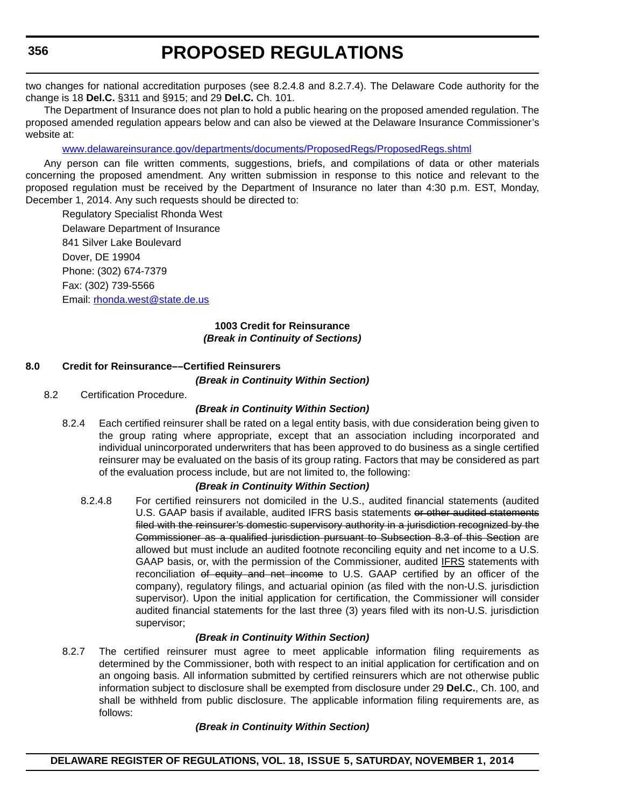two changes for national accreditation purposes (see 8.2.4.8 and 8.2.7.4). The Delaware Code authority for the change is 18 **Del.C.** §311 and §915; and 29 **Del.C.** Ch. 101.

The Department of Insurance does not plan to hold a public hearing on the proposed amended regulation. The proposed amended regulation appears below and can also be viewed at the Delaware Insurance Commissioner's website at:

[www.delawareinsurance.gov/departments/documents/ProposedRegs/ProposedRegs.shtml](http://www.delawareinsurance.gov/departments/documents/ProposedRegs/ProposedRegs.shtml)

Any person can file written comments, suggestions, briefs, and compilations of data or other materials concerning the proposed amendment. Any written submission in response to this notice and relevant to the proposed regulation must be received by the Department of Insurance no later than 4:30 p.m. EST, Monday, December 1, 2014. Any such requests should be directed to:

Regulatory Specialist Rhonda West Delaware Department of Insurance 841 Silver Lake Boulevard Dover, DE 19904 Phone: (302) 674-7379 Fax: (302) 739-5566 Email: [rhonda.west@state.de.us](mailto:rhonda.west@state.de.us)

# **1003 Credit for Reinsurance** *(Break in Continuity of Sections)*

# **8.0 Credit for Reinsurance––Certified Reinsurers**

*(Break in Continuity Within Section)*

8.2 Certification Procedure.

# *(Break in Continuity Within Section)*

8.2.4 Each certified reinsurer shall be rated on a legal entity basis, with due consideration being given to the group rating where appropriate, except that an association including incorporated and individual unincorporated underwriters that has been approved to do business as a single certified reinsurer may be evaluated on the basis of its group rating. Factors that may be considered as part of the evaluation process include, but are not limited to, the following:

# *(Break in Continuity Within Section)*

8.2.4.8 For certified reinsurers not domiciled in the U.S., audited financial statements (audited U.S. GAAP basis if available, audited IFRS basis statements or other audited statements filed with the reinsurer's domestic supervisory authority in a jurisdiction recognized by the Commissioner as a qualified jurisdiction pursuant to Subsection 8.3 of this Section are allowed but must include an audited footnote reconciling equity and net income to a U.S. GAAP basis, or, with the permission of the Commissioner, audited IFRS statements with reconciliation of equity and net income to U.S. GAAP certified by an officer of the company), regulatory filings, and actuarial opinion (as filed with the non-U.S. jurisdiction supervisor). Upon the initial application for certification, the Commissioner will consider audited financial statements for the last three (3) years filed with its non-U.S. jurisdiction supervisor;

# *(Break in Continuity Within Section)*

8.2.7 The certified reinsurer must agree to meet applicable information filing requirements as determined by the Commissioner, both with respect to an initial application for certification and on an ongoing basis. All information submitted by certified reinsurers which are not otherwise public information subject to disclosure shall be exempted from disclosure under 29 **Del.C.**, Ch. 100, and shall be withheld from public disclosure. The applicable information filing requirements are, as follows:

# *(Break in Continuity Within Section)*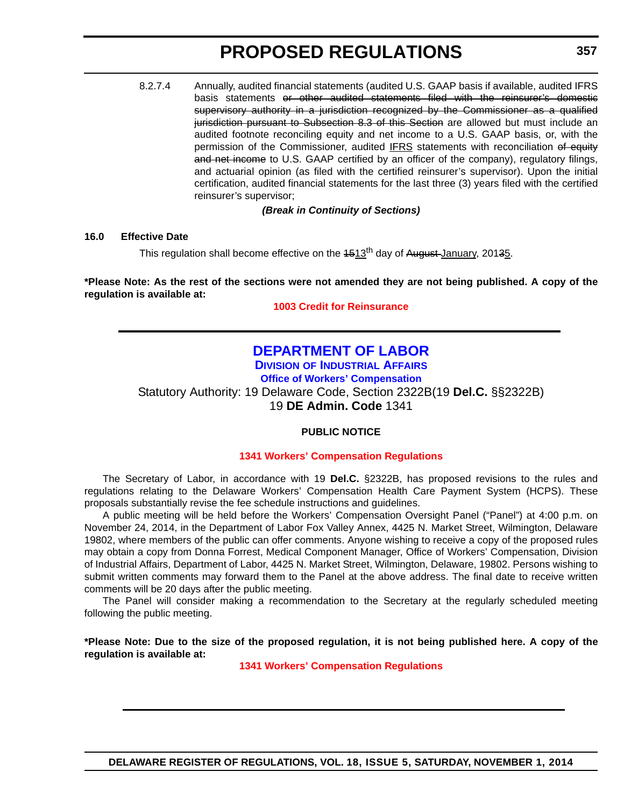<span id="page-26-0"></span>8.2.7.4 Annually, audited financial statements (audited U.S. GAAP basis if available, audited IFRS basis statements or other audited statements filed with the reinsurer's domestic supervisory authority in a jurisdiction recognized by the Commissioner as a qualified jurisdiction pursuant to Subsection 8.3 of this Section are allowed but must include an audited footnote reconciling equity and net income to a U.S. GAAP basis, or, with the permission of the Commissioner, audited IFRS statements with reconciliation of equity and net income to U.S. GAAP certified by an officer of the company), regulatory filings, and actuarial opinion (as filed with the certified reinsurer's supervisor). Upon the initial certification, audited financial statements for the last three (3) years filed with the certified reinsurer's supervisor;

*(Break in Continuity of Sections)*

### **16.0 Effective Date**

This regulation shall become effective on the  $4513^{th}$  day of August-January, 20135.

# **\*Please Note: As the rest of the sections were not amended they are not being published. A copy of the regulation is available at:**

**[1003 Credit for Reinsurance](http://regulations.delaware.gov/register/november2014/proposed/18 DE Reg 355 11-01-14.htm)**

# **[DEPARTMENT OF LABOR](http://dia.delawareworks.com/)**

**DIVISION OF INDUSTRIAL AFFAIRS Office of Workers' Compensation** Statutory Authority: 19 Delaware Code, Section 2322B(19 **Del.C.** §§2322B) 19 **DE Admin. Code** 1341

# **PUBLIC NOTICE**

# **[1341 Workers' Compensation Regulations](#page-3-0)**

The Secretary of Labor, in accordance with 19 **Del.C.** §2322B, has proposed revisions to the rules and regulations relating to the Delaware Workers' Compensation Health Care Payment System (HCPS). These proposals substantially revise the fee schedule instructions and guidelines.

A public meeting will be held before the Workers' Compensation Oversight Panel ("Panel") at 4:00 p.m. on November 24, 2014, in the Department of Labor Fox Valley Annex, 4425 N. Market Street, Wilmington, Delaware 19802, where members of the public can offer comments. Anyone wishing to receive a copy of the proposed rules may obtain a copy from Donna Forrest, Medical Component Manager, Office of Workers' Compensation, Division of Industrial Affairs, Department of Labor, 4425 N. Market Street, Wilmington, Delaware, 19802. Persons wishing to submit written comments may forward them to the Panel at the above address. The final date to receive written comments will be 20 days after the public meeting.

The Panel will consider making a recommendation to the Secretary at the regularly scheduled meeting following the public meeting.

**\*Please Note: Due to the size of the proposed regulation, it is not being published here. A copy of the regulation is available at:**

**[1341 Workers' Compensation Regulations](http://regulations.delaware.gov/register/november2014/proposed/18 DE Reg 357 11-01-14.htm)**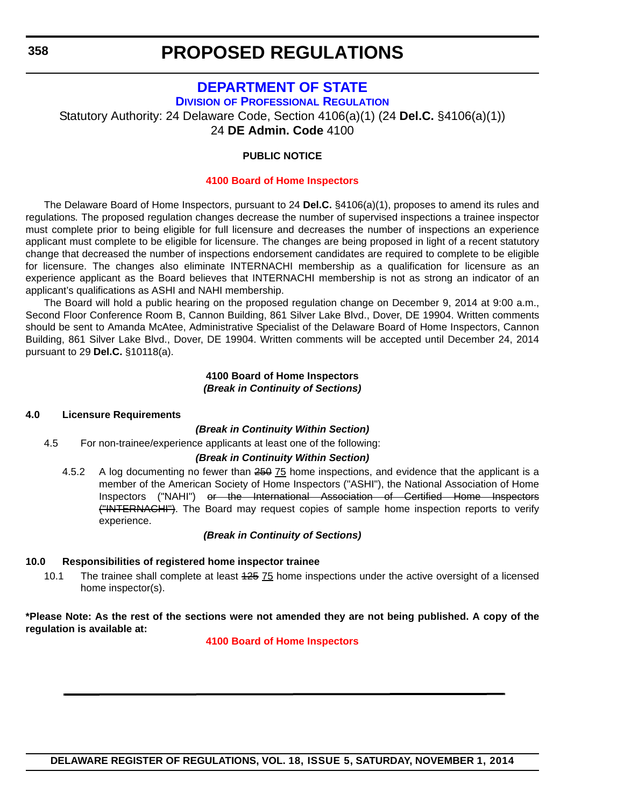# **[DEPARTMENT OF STATE](http://dpr.delaware.gov/)**

**DIVISION OF PROFESSIONAL REGULATION**

Statutory Authority: 24 Delaware Code, Section 4106(a)(1) (24 **Del.C.** §4106(a)(1))

24 **DE Admin. Code** 4100

# **PUBLIC NOTICE**

# **[4100 Board of Home Inspectors](#page-3-0)**

The Delaware Board of Home Inspectors, pursuant to 24 **Del.C.** §4106(a)(1), proposes to amend its rules and regulations*.* The proposed regulation changes decrease the number of supervised inspections a trainee inspector must complete prior to being eligible for full licensure and decreases the number of inspections an experience applicant must complete to be eligible for licensure. The changes are being proposed in light of a recent statutory change that decreased the number of inspections endorsement candidates are required to complete to be eligible for licensure. The changes also eliminate INTERNACHI membership as a qualification for licensure as an experience applicant as the Board believes that INTERNACHI membership is not as strong an indicator of an applicant's qualifications as ASHI and NAHI membership.

The Board will hold a public hearing on the proposed regulation change on December 9, 2014 at 9:00 a.m., Second Floor Conference Room B, Cannon Building, 861 Silver Lake Blvd., Dover, DE 19904. Written comments should be sent to Amanda McAtee, Administrative Specialist of the Delaware Board of Home Inspectors, Cannon Building, 861 Silver Lake Blvd., Dover, DE 19904. Written comments will be accepted until December 24, 2014 pursuant to 29 **Del.C.** §10118(a).

### **4100 Board of Home Inspectors** *(Break in Continuity of Sections)*

# **4.0 Licensure Requirements**

# *(Break in Continuity Within Section)*

4.5 For non-trainee/experience applicants at least one of the following:

# *(Break in Continuity Within Section)*

4.5.2 A log documenting no fewer than 250 75 home inspections, and evidence that the applicant is a member of the American Society of Home Inspectors ("ASHI"), the National Association of Home Inspectors ("NAHI") or the International Association of Certified Home Inspectors ("INTERNACHI"). The Board may request copies of sample home inspection reports to verify experience.

# *(Break in Continuity of Sections)*

# **10.0 Responsibilities of registered home inspector trainee**

10.1 The trainee shall complete at least 425 75 home inspections under the active oversight of a licensed home inspector(s).

**\*Please Note: As the rest of the sections were not amended they are not being published. A copy of the regulation is available at:**

**[4100 Board of Home Inspectors](http://regulations.delaware.gov/register/november2014/proposed/18 DE Reg 358 11-01-14.htm)**

<span id="page-27-0"></span>**358**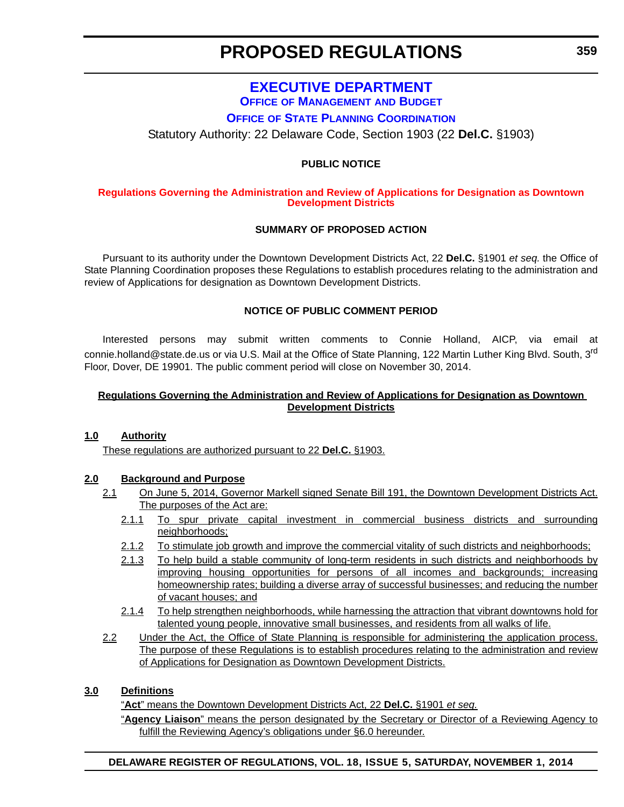# **[EXECUTIVE DEPARTMENT](http://www.stateplanning.delaware.gov/)**

**OFFICE OF MANAGEMENT AND BUDGET**

**OFFICE OF STATE PLANNING COORDINATION**

<span id="page-28-0"></span>Statutory Authority: 22 Delaware Code, Section 1903 (22 **Del.C.** §1903)

# **PUBLIC NOTICE**

#### **[Regulations Governing the Administration and Review of Applications for Designation as Downtown](#page-3-0)  Development Districts**

# **SUMMARY OF PROPOSED ACTION**

Pursuant to its authority under the Downtown Development Districts Act, 22 **Del.C.** §1901 *et seq.* the Office of State Planning Coordination proposes these Regulations to establish procedures relating to the administration and review of Applications for designation as Downtown Development Districts.

### **NOTICE OF PUBLIC COMMENT PERIOD**

Interested persons may submit written comments to Connie Holland, AICP, via email at connie.holland@state.de.us or via U.S. Mail at the Office of State Planning, 122 Martin Luther King Blvd. South, 3<sup>rd</sup> Floor, Dover, DE 19901. The public comment period will close on November 30, 2014.

### **Regulations Governing the Administration and Review of Applications for Designation as Downtown Development Districts**

### **1.0 Authority**

These regulations are authorized pursuant to 22 **Del.C.** §1903.

#### **2.0 Background and Purpose**

- 2.1 On June 5, 2014, Governor Markell signed Senate Bill 191, the Downtown Development Districts Act. The purposes of the Act are:
	- 2.1.1 To spur private capital investment in commercial business districts and surrounding neighborhoods;
	- 2.1.2 To stimulate job growth and improve the commercial vitality of such districts and neighborhoods;
	- 2.1.3 To help build a stable community of long-term residents in such districts and neighborhoods by improving housing opportunities for persons of all incomes and backgrounds; increasing homeownership rates; building a diverse array of successful businesses; and reducing the number of vacant houses; and
	- 2.1.4 To help strengthen neighborhoods, while harnessing the attraction that vibrant downtowns hold for talented young people, innovative small businesses, and residents from all walks of life.
- 2.2 Under the Act, the Office of State Planning is responsible for administering the application process. The purpose of these Regulations is to establish procedures relating to the administration and review of Applications for Designation as Downtown Development Districts.

### **3.0 Definitions**

"**Act**" means the Downtown Development Districts Act, 22 **Del.C.** §1901 *et seq.*

"**Agency Liaison**" means the person designated by the Secretary or Director of a Reviewing Agency to fulfill the Reviewing Agency's obligations under §6.0 hereunder.

# **DELAWARE REGISTER OF REGULATIONS, VOL. 18, ISSUE 5, SATURDAY, NOVEMBER 1, 2014**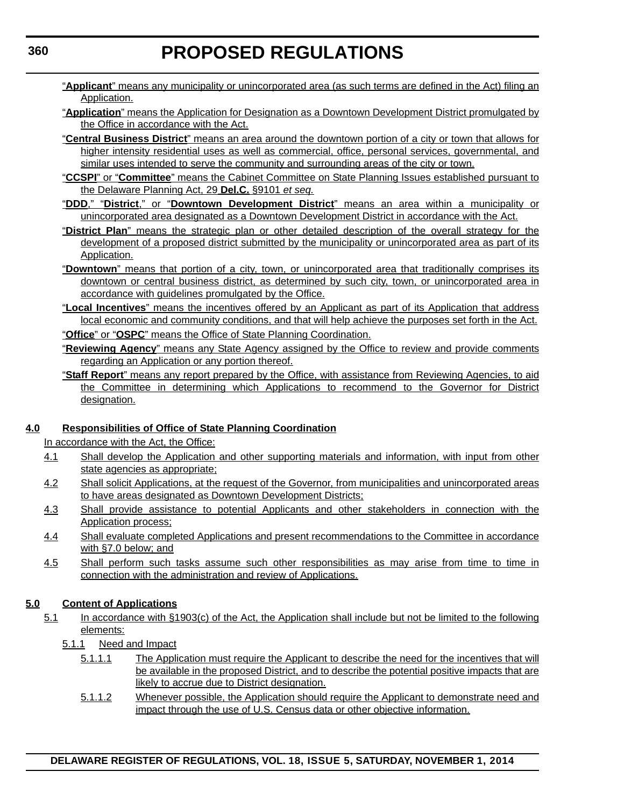- "**Applicant**" means any municipality or unincorporated area (as such terms are defined in the Act) filing an Application.
- "**Application**" means the Application for Designation as a Downtown Development District promulgated by the Office in accordance with the Act.
- "**Central Business District**" means an area around the downtown portion of a city or town that allows for higher intensity residential uses as well as commercial, office, personal services, governmental, and similar uses intended to serve the community and surrounding areas of the city or town.
- "**CCSPI**" or "**Committee**" means the Cabinet Committee on State Planning Issues established pursuant to the Delaware Planning Act, 29 **Del.C.** §9101 *et seq.*
- "**DDD**," "**District**," or "**Downtown Development District**" means an area within a municipality or unincorporated area designated as a Downtown Development District in accordance with the Act.
- "**District Plan**" means the strategic plan or other detailed description of the overall strategy for the development of a proposed district submitted by the municipality or unincorporated area as part of its Application.
- "**Downtown**" means that portion of a city, town, or unincorporated area that traditionally comprises its downtown or central business district, as determined by such city, town, or unincorporated area in accordance with guidelines promulgated by the Office.
- "**Local Incentives**" means the incentives offered by an Applicant as part of its Application that address local economic and community conditions, and that will help achieve the purposes set forth in the Act.
- "**Office**" or "**OSPC**" means the Office of State Planning Coordination.
- "**Reviewing Agency**" means any State Agency assigned by the Office to review and provide comments regarding an Application or any portion thereof.
- "**Staff Report**" means any report prepared by the Office, with assistance from Reviewing Agencies, to aid the Committee in determining which Applications to recommend to the Governor for District designation.

# **4.0 Responsibilities of Office of State Planning Coordination**

In accordance with the Act, the Office:

- 4.1 Shall develop the Application and other supporting materials and information, with input from other state agencies as appropriate;
- 4.2 Shall solicit Applications, at the request of the Governor, from municipalities and unincorporated areas to have areas designated as Downtown Development Districts;
- 4.3 Shall provide assistance to potential Applicants and other stakeholders in connection with the Application process;
- 4.4 Shall evaluate completed Applications and present recommendations to the Committee in accordance with §7.0 below; and
- 4.5 Shall perform such tasks assume such other responsibilities as may arise from time to time in connection with the administration and review of Applications.

# **5.0 Content of Applications**

- 5.1 In accordance with §1903(c) of the Act, the Application shall include but not be limited to the following elements:
	- 5.1.1 Need and Impact
		- 5.1.1.1 The Application must require the Applicant to describe the need for the incentives that will be available in the proposed District, and to describe the potential positive impacts that are likely to accrue due to District designation.
		- 5.1.1.2 Whenever possible, the Application should require the Applicant to demonstrate need and impact through the use of U.S. Census data or other objective information.

**360**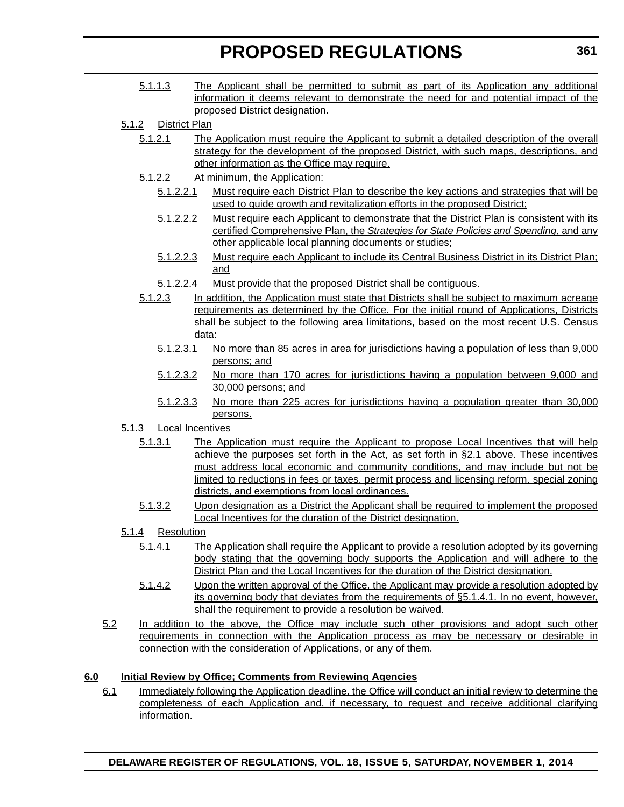- 5.1.1.3 The Applicant shall be permitted to submit as part of its Application any additional information it deems relevant to demonstrate the need for and potential impact of the proposed District designation.
- 5.1.2 District Plan
	- 5.1.2.1 The Application must require the Applicant to submit a detailed description of the overall strategy for the development of the proposed District, with such maps, descriptions, and other information as the Office may require.
	- 5.1.2.2 At minimum, the Application:
		- 5.1.2.2.1 Must require each District Plan to describe the key actions and strategies that will be used to guide growth and revitalization efforts in the proposed District;
		- 5.1.2.2.2 Must require each Applicant to demonstrate that the District Plan is consistent with its certified Comprehensive Plan, the *Strategies for State Policies and Spending*, and any other applicable local planning documents or studies;
		- 5.1.2.2.3 Must require each Applicant to include its Central Business District in its District Plan; and
	- 5.1.2.2.4 Must provide that the proposed District shall be contiguous.
	- 5.1.2.3 In addition, the Application must state that Districts shall be subject to maximum acreage requirements as determined by the Office. For the initial round of Applications, Districts shall be subject to the following area limitations, based on the most recent U.S. Census data:
		- 5.1.2.3.1 No more than 85 acres in area for jurisdictions having a population of less than 9,000 persons; and
		- 5.1.2.3.2 No more than 170 acres for jurisdictions having a population between 9,000 and 30,000 persons; and
		- 5.1.2.3.3 No more than 225 acres for jurisdictions having a population greater than 30,000 persons.
- 5.1.3 Local Incentives
	- 5.1.3.1 The Application must require the Applicant to propose Local Incentives that will help achieve the purposes set forth in the Act, as set forth in §2.1 above. These incentives must address local economic and community conditions, and may include but not be limited to reductions in fees or taxes, permit process and licensing reform, special zoning districts, and exemptions from local ordinances.
	- 5.1.3.2 Upon designation as a District the Applicant shall be required to implement the proposed Local Incentives for the duration of the District designation.

# 5.1.4 Resolution

- 5.1.4.1 The Application shall require the Applicant to provide a resolution adopted by its governing body stating that the governing body supports the Application and will adhere to the District Plan and the Local Incentives for the duration of the District designation.
- 5.1.4.2 Upon the written approval of the Office, the Applicant may provide a resolution adopted by its governing body that deviates from the requirements of §5.1.4.1. In no event, however, shall the requirement to provide a resolution be waived.
- 5.2 In addition to the above, the Office may include such other provisions and adopt such other requirements in connection with the Application process as may be necessary or desirable in connection with the consideration of Applications, or any of them.

# **6.0 Initial Review by Office; Comments from Reviewing Agencies**

6.1 Immediately following the Application deadline, the Office will conduct an initial review to determine the completeness of each Application and, if necessary, to request and receive additional clarifying information.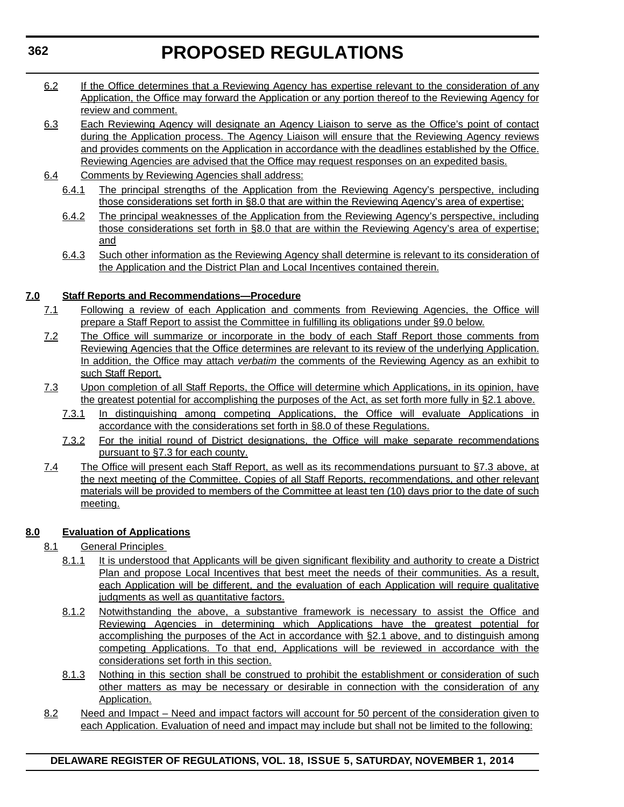- 6.2 If the Office determines that a Reviewing Agency has expertise relevant to the consideration of any Application, the Office may forward the Application or any portion thereof to the Reviewing Agency for review and comment.
- 6.3 Each Reviewing Agency will designate an Agency Liaison to serve as the Office's point of contact during the Application process. The Agency Liaison will ensure that the Reviewing Agency reviews and provides comments on the Application in accordance with the deadlines established by the Office. Reviewing Agencies are advised that the Office may request responses on an expedited basis.
- 6.4 Comments by Reviewing Agencies shall address:
	- 6.4.1 The principal strengths of the Application from the Reviewing Agency's perspective, including those considerations set forth in §8.0 that are within the Reviewing Agency's area of expertise;
	- 6.4.2 The principal weaknesses of the Application from the Reviewing Agency's perspective, including those considerations set forth in §8.0 that are within the Reviewing Agency's area of expertise; and
	- 6.4.3 Such other information as the Reviewing Agency shall determine is relevant to its consideration of the Application and the District Plan and Local Incentives contained therein.

# **7.0 Staff Reports and Recommendations—Procedure**

- 7.1 Following a review of each Application and comments from Reviewing Agencies, the Office will prepare a Staff Report to assist the Committee in fulfilling its obligations under §9.0 below.
- 7.2 The Office will summarize or incorporate in the body of each Staff Report those comments from Reviewing Agencies that the Office determines are relevant to its review of the underlying Application. In addition, the Office may attach *verbatim* the comments of the Reviewing Agency as an exhibit to such Staff Report.
- 7.3 Upon completion of all Staff Reports, the Office will determine which Applications, in its opinion, have the greatest potential for accomplishing the purposes of the Act, as set forth more fully in §2.1 above.
	- 7.3.1 In distinguishing among competing Applications, the Office will evaluate Applications in accordance with the considerations set forth in §8.0 of these Regulations.
	- 7.3.2 For the initial round of District designations, the Office will make separate recommendations pursuant to §7.3 for each county.
- 7.4 The Office will present each Staff Report, as well as its recommendations pursuant to §7.3 above, at the next meeting of the Committee. Copies of all Staff Reports, recommendations, and other relevant materials will be provided to members of the Committee at least ten (10) days prior to the date of such meeting.

# **8.0 Evaluation of Applications**

- 8.1 General Principles
	- 8.1.1 It is understood that Applicants will be given significant flexibility and authority to create a District Plan and propose Local Incentives that best meet the needs of their communities. As a result, each Application will be different, and the evaluation of each Application will require qualitative judgments as well as quantitative factors.
	- 8.1.2 Notwithstanding the above, a substantive framework is necessary to assist the Office and Reviewing Agencies in determining which Applications have the greatest potential for accomplishing the purposes of the Act in accordance with §2.1 above, and to distinguish among competing Applications. To that end, Applications will be reviewed in accordance with the considerations set forth in this section.
	- 8.1.3 Nothing in this section shall be construed to prohibit the establishment or consideration of such other matters as may be necessary or desirable in connection with the consideration of any Application.
- 8.2 Need and Impact Need and impact factors will account for 50 percent of the consideration given to each Application. Evaluation of need and impact may include but shall not be limited to the following:

# **DELAWARE REGISTER OF REGULATIONS, VOL. 18, ISSUE 5, SATURDAY, NOVEMBER 1, 2014**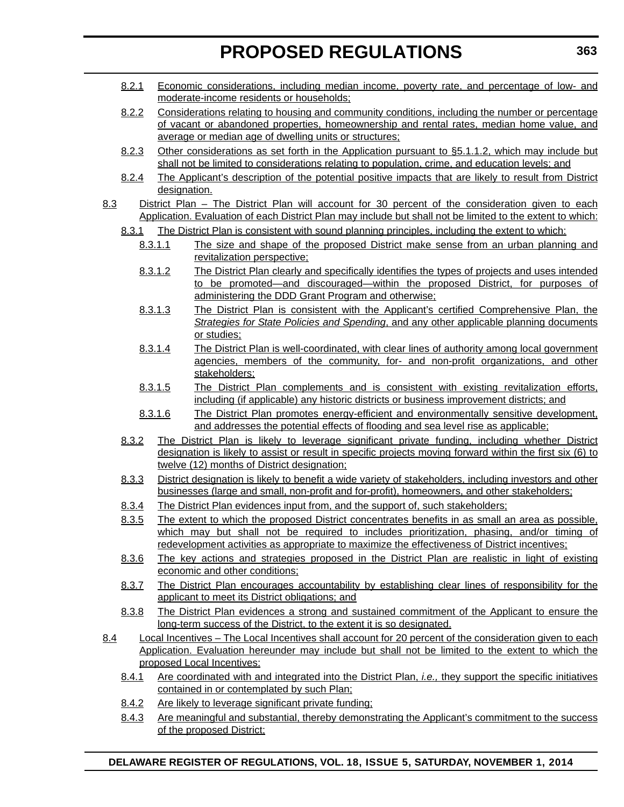- 8.2.1 Economic considerations, including median income, poverty rate, and percentage of low- and moderate-income residents or households;
- 8.2.2 Considerations relating to housing and community conditions, including the number or percentage of vacant or abandoned properties, homeownership and rental rates, median home value, and average or median age of dwelling units or structures;
- 8.2.3 Other considerations as set forth in the Application pursuant to §5.1.1.2, which may include but shall not be limited to considerations relating to population, crime, and education levels; and
- 8.2.4 The Applicant's description of the potential positive impacts that are likely to result from District designation.
- 8.3 District Plan The District Plan will account for 30 percent of the consideration given to each Application. Evaluation of each District Plan may include but shall not be limited to the extent to which:
	- 8.3.1 The District Plan is consistent with sound planning principles, including the extent to which:
		- 8.3.1.1 The size and shape of the proposed District make sense from an urban planning and revitalization perspective;
		- 8.3.1.2 The District Plan clearly and specifically identifies the types of projects and uses intended to be promoted—and discouraged—within the proposed District, for purposes of administering the DDD Grant Program and otherwise;
		- 8.3.1.3 The District Plan is consistent with the Applicant's certified Comprehensive Plan, the *Strategies for State Policies and Spending*, and any other applicable planning documents or studies;
		- 8.3.1.4 The District Plan is well-coordinated, with clear lines of authority among local government agencies, members of the community, for- and non-profit organizations, and other stakeholders;
		- 8.3.1.5 The District Plan complements and is consistent with existing revitalization efforts, including (if applicable) any historic districts or business improvement districts; and
		- 8.3.1.6 The District Plan promotes energy-efficient and environmentally sensitive development, and addresses the potential effects of flooding and sea level rise as applicable;
	- 8.3.2 The District Plan is likely to leverage significant private funding, including whether District designation is likely to assist or result in specific projects moving forward within the first six (6) to twelve (12) months of District designation;
	- 8.3.3 District designation is likely to benefit a wide variety of stakeholders, including investors and other businesses (large and small, non-profit and for-profit), homeowners, and other stakeholders;
	- 8.3.4 The District Plan evidences input from, and the support of, such stakeholders;
	- 8.3.5 The extent to which the proposed District concentrates benefits in as small an area as possible, which may but shall not be required to includes prioritization, phasing, and/or timing of redevelopment activities as appropriate to maximize the effectiveness of District incentives;
	- 8.3.6 The key actions and strategies proposed in the District Plan are realistic in light of existing economic and other conditions;
	- 8.3.7 The District Plan encourages accountability by establishing clear lines of responsibility for the applicant to meet its District obligations; and
	- 8.3.8 The District Plan evidences a strong and sustained commitment of the Applicant to ensure the long-term success of the District, to the extent it is so designated.
- 8.4 Local Incentives The Local Incentives shall account for 20 percent of the consideration given to each Application. Evaluation hereunder may include but shall not be limited to the extent to which the proposed Local Incentives:
	- 8.4.1 Are coordinated with and integrated into the District Plan, *i.e.,* they support the specific initiatives contained in or contemplated by such Plan;
	- 8.4.2 Are likely to leverage significant private funding;
	- 8.4.3 Are meaningful and substantial, thereby demonstrating the Applicant's commitment to the success of the proposed District;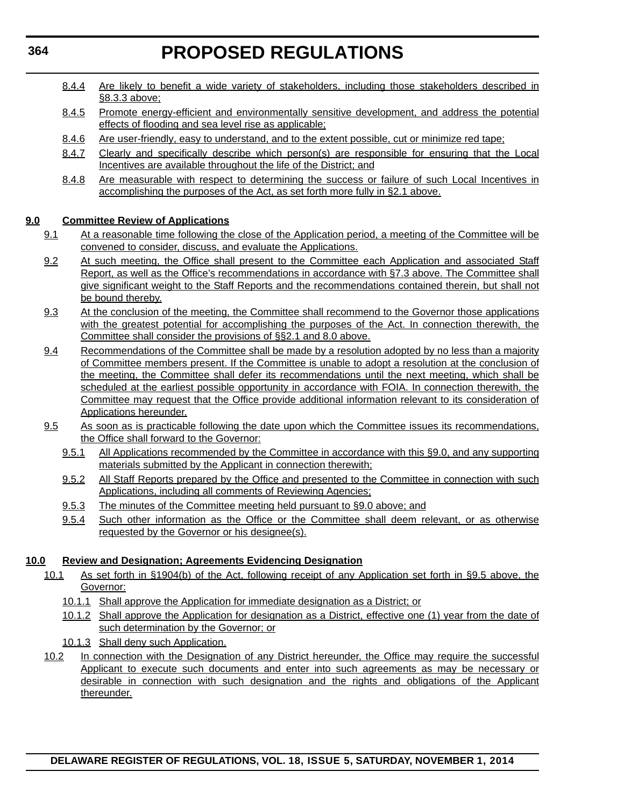- 8.4.4 Are likely to benefit a wide variety of stakeholders, including those stakeholders described in §8.3.3 above;
- 8.4.5 Promote energy-efficient and environmentally sensitive development, and address the potential effects of flooding and sea level rise as applicable;
- 8.4.6 Are user-friendly, easy to understand, and to the extent possible, cut or minimize red tape;
- 8.4.7 Clearly and specifically describe which person(s) are responsible for ensuring that the Local Incentives are available throughout the life of the District; and
- 8.4.8 Are measurable with respect to determining the success or failure of such Local Incentives in accomplishing the purposes of the Act, as set forth more fully in §2.1 above.

# **9.0 Committee Review of Applications**

- 9.1 At a reasonable time following the close of the Application period, a meeting of the Committee will be convened to consider, discuss, and evaluate the Applications.
- 9.2 At such meeting, the Office shall present to the Committee each Application and associated Staff Report, as well as the Office's recommendations in accordance with §7.3 above. The Committee shall give significant weight to the Staff Reports and the recommendations contained therein, but shall not be bound thereby.
- 9.3 At the conclusion of the meeting, the Committee shall recommend to the Governor those applications with the greatest potential for accomplishing the purposes of the Act. In connection therewith, the Committee shall consider the provisions of §§2.1 and 8.0 above.
- 9.4 Recommendations of the Committee shall be made by a resolution adopted by no less than a majority of Committee members present. If the Committee is unable to adopt a resolution at the conclusion of the meeting, the Committee shall defer its recommendations until the next meeting, which shall be scheduled at the earliest possible opportunity in accordance with FOIA. In connection therewith, the Committee may request that the Office provide additional information relevant to its consideration of Applications hereunder.
- 9.5 As soon as is practicable following the date upon which the Committee issues its recommendations, the Office shall forward to the Governor:
	- 9.5.1 All Applications recommended by the Committee in accordance with this §9.0, and any supporting materials submitted by the Applicant in connection therewith;
	- 9.5.2 All Staff Reports prepared by the Office and presented to the Committee in connection with such Applications, including all comments of Reviewing Agencies;
	- 9.5.3 The minutes of the Committee meeting held pursuant to §9.0 above; and
	- 9.5.4 Such other information as the Office or the Committee shall deem relevant, or as otherwise requested by the Governor or his designee(s).

# **10.0 Review and Designation; Agreements Evidencing Designation**

- 10.1 As set forth in §1904(b) of the Act, following receipt of any Application set forth in §9.5 above, the Governor:
	- 10.1.1 Shall approve the Application for immediate designation as a District; or
	- 10.1.2 Shall approve the Application for designation as a District, effective one (1) year from the date of such determination by the Governor; or
	- 10.1.3 Shall deny such Application.
- 10.2 In connection with the Designation of any District hereunder, the Office may require the successful Applicant to execute such documents and enter into such agreements as may be necessary or desirable in connection with such designation and the rights and obligations of the Applicant thereunder.

**DELAWARE REGISTER OF REGULATIONS, VOL. 18, ISSUE 5, SATURDAY, NOVEMBER 1, 2014**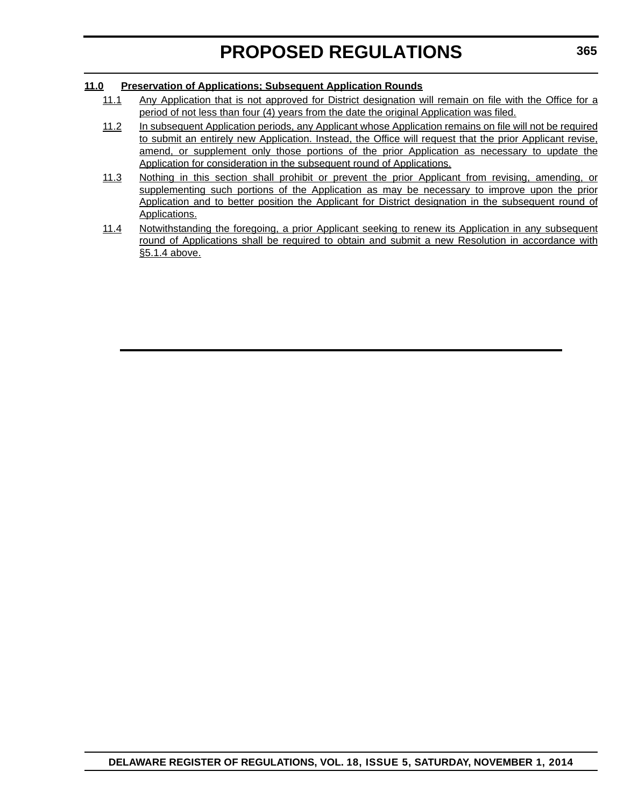# **11.0 Preservation of Applications; Subsequent Application Rounds**

- 11.1 Any Application that is not approved for District designation will remain on file with the Office for a period of not less than four (4) years from the date the original Application was filed.
- 11.2 In subsequent Application periods, any Applicant whose Application remains on file will not be required to submit an entirely new Application. Instead, the Office will request that the prior Applicant revise, amend, or supplement only those portions of the prior Application as necessary to update the Application for consideration in the subsequent round of Applications.
- 11.3 Nothing in this section shall prohibit or prevent the prior Applicant from revising, amending, or supplementing such portions of the Application as may be necessary to improve upon the prior Application and to better position the Applicant for District designation in the subsequent round of Applications.
- 11.4 Notwithstanding the foregoing, a prior Applicant seeking to renew its Application in any subsequent round of Applications shall be required to obtain and submit a new Resolution in accordance with §5.1.4 above.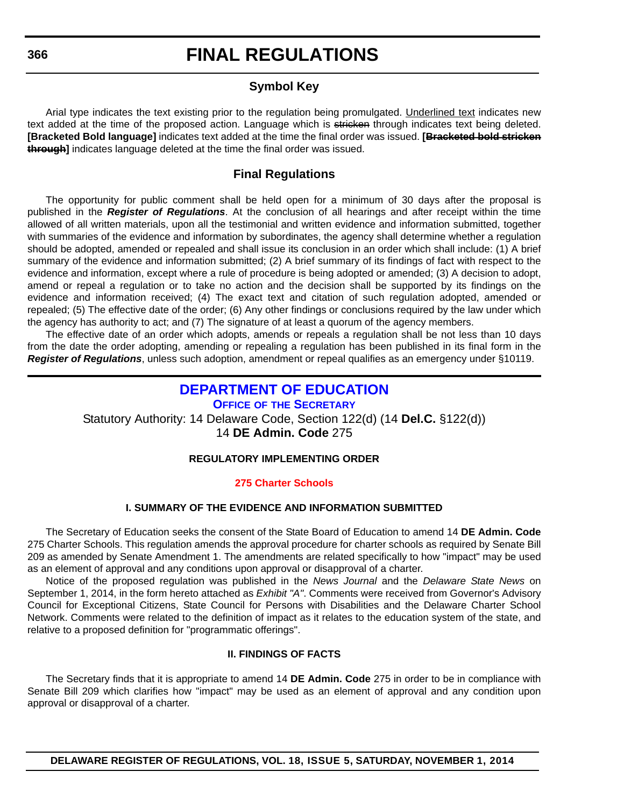# **FINAL REGULATIONS**

# **Symbol Key**

<span id="page-35-0"></span>Arial type indicates the text existing prior to the regulation being promulgated. Underlined text indicates new text added at the time of the proposed action. Language which is stricken through indicates text being deleted. **[Bracketed Bold language]** indicates text added at the time the final order was issued. **[Bracketed bold stricken through]** indicates language deleted at the time the final order was issued.

# **Final Regulations**

The opportunity for public comment shall be held open for a minimum of 30 days after the proposal is published in the *Register of Regulations*. At the conclusion of all hearings and after receipt within the time allowed of all written materials, upon all the testimonial and written evidence and information submitted, together with summaries of the evidence and information by subordinates, the agency shall determine whether a regulation should be adopted, amended or repealed and shall issue its conclusion in an order which shall include: (1) A brief summary of the evidence and information submitted; (2) A brief summary of its findings of fact with respect to the evidence and information, except where a rule of procedure is being adopted or amended; (3) A decision to adopt, amend or repeal a regulation or to take no action and the decision shall be supported by its findings on the evidence and information received; (4) The exact text and citation of such regulation adopted, amended or repealed; (5) The effective date of the order; (6) Any other findings or conclusions required by the law under which the agency has authority to act; and (7) The signature of at least a quorum of the agency members.

The effective date of an order which adopts, amends or repeals a regulation shall be not less than 10 days from the date the order adopting, amending or repealing a regulation has been published in its final form in the *Register of Regulations*, unless such adoption, amendment or repeal qualifies as an emergency under §10119.

# **[DEPARTMENT OF EDUCATION](http://www.doe.k12.de.us/)**

**OFFICE OF THE SECRETARY** Statutory Authority: 14 Delaware Code, Section 122(d) (14 **Del.C.** §122(d)) 14 **DE Admin. Code** 275

# **REGULATORY IMPLEMENTING ORDER**

# **[275 Charter Schools](#page-3-0)**

# **I. SUMMARY OF THE EVIDENCE AND INFORMATION SUBMITTED**

The Secretary of Education seeks the consent of the State Board of Education to amend 14 **DE Admin. Code** 275 Charter Schools. This regulation amends the approval procedure for charter schools as required by Senate Bill 209 as amended by Senate Amendment 1. The amendments are related specifically to how "impact" may be used as an element of approval and any conditions upon approval or disapproval of a charter.

Notice of the proposed regulation was published in the *News Journal* and the *Delaware State News* on September 1, 2014, in the form hereto attached as *Exhibit "A"*. Comments were received from Governor's Advisory Council for Exceptional Citizens, State Council for Persons with Disabilities and the Delaware Charter School Network. Comments were related to the definition of impact as it relates to the education system of the state, and relative to a proposed definition for "programmatic offerings".

# **II. FINDINGS OF FACTS**

The Secretary finds that it is appropriate to amend 14 **DE Admin. Code** 275 in order to be in compliance with Senate Bill 209 which clarifies how "impact" may be used as an element of approval and any condition upon approval or disapproval of a charter.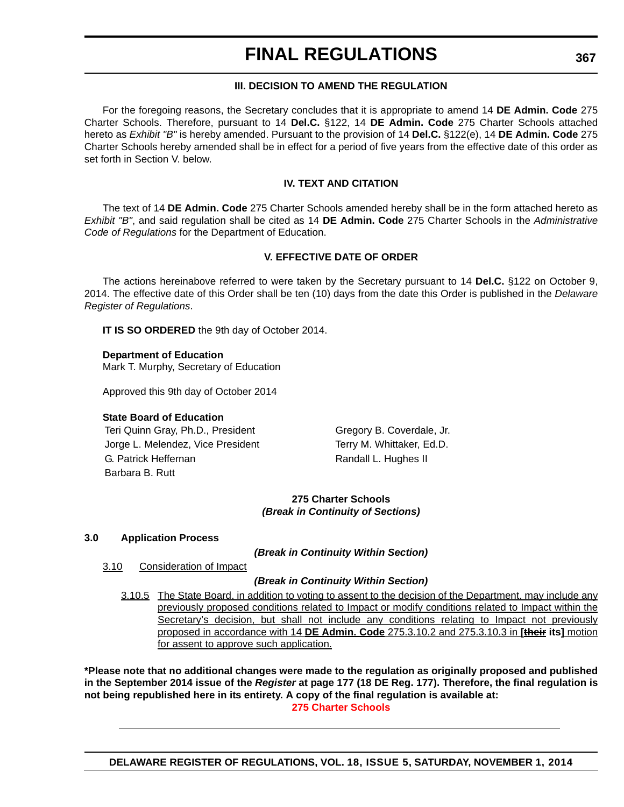# **III. DECISION TO AMEND THE REGULATION**

For the foregoing reasons, the Secretary concludes that it is appropriate to amend 14 **DE Admin. Code** 275 Charter Schools. Therefore, pursuant to 14 **Del.C.** §122, 14 **DE Admin. Code** 275 Charter Schools attached hereto as *Exhibit "B"* is hereby amended. Pursuant to the provision of 14 **Del.C.** §122(e), 14 **DE Admin. Code** 275 Charter Schools hereby amended shall be in effect for a period of five years from the effective date of this order as set forth in Section V. below.

# **IV. TEXT AND CITATION**

The text of 14 **DE Admin. Code** 275 Charter Schools amended hereby shall be in the form attached hereto as *Exhibit "B"*, and said regulation shall be cited as 14 **DE Admin. Code** 275 Charter Schools in the *Administrative Code of Regulations* for the Department of Education.

# **V. EFFECTIVE DATE OF ORDER**

The actions hereinabove referred to were taken by the Secretary pursuant to 14 **Del.C.** §122 on October 9, 2014. The effective date of this Order shall be ten (10) days from the date this Order is published in the *Delaware Register of Regulations*.

**IT IS SO ORDERED** the 9th day of October 2014.

# **Department of Education**

Mark T. Murphy, Secretary of Education

Approved this 9th day of October 2014

# **State Board of Education**

Teri Quinn Gray, Ph.D., President Gregory B. Coverdale, Jr. Jorge L. Melendez, Vice President Terry M. Whittaker, Ed.D. G. Patrick Heffernan **Randall L. Hughes II** Barbara B. Rutt

# **275 Charter Schools** *(Break in Continuity of Sections)*

# **3.0 Application Process**

*(Break in Continuity Within Section)*

3.10 Consideration of Impact

# *(Break in Continuity Within Section)*

3.10.5 The State Board, in addition to voting to assent to the decision of the Department, may include any previously proposed conditions related to Impact or modify conditions related to Impact within the Secretary's decision, but shall not include any conditions relating to Impact not previously proposed in accordance with 14 **DE Admin. Code** 275.3.10.2 and 275.3.10.3 in **[their its]** motion for assent to approve such application.

**\*Please note that no additional changes were made to the regulation as originally proposed and published in the September 2014 issue of the** *Register* **at page 177 (18 DE Reg. 177). Therefore, the final regulation is not being republished here in its entirety. A copy of the final regulation is available at: [275 Charter Schools](http://regulations.delaware.gov/register/november2014/final/18 DE Reg 366 11-01-14.htm)**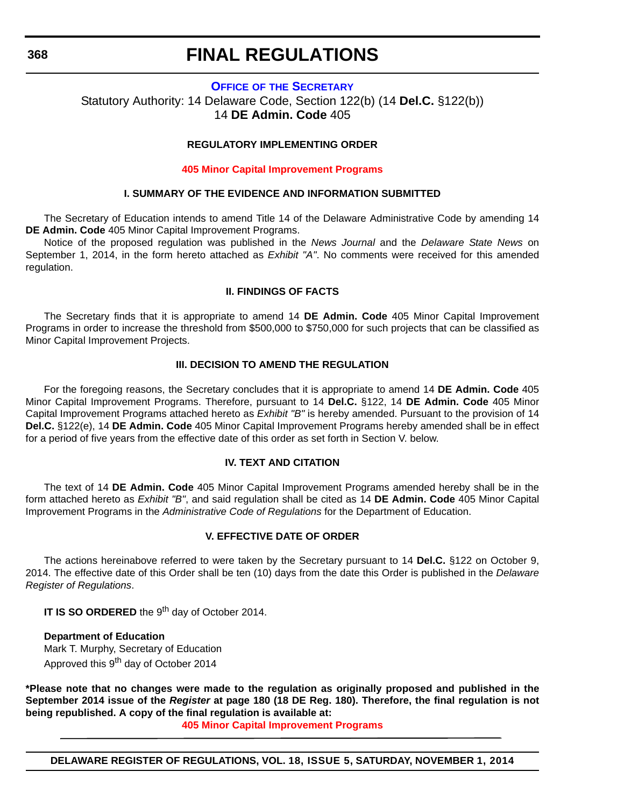#### **OFFICE OF [THE SECRETARY](http://www.doe.k12.de.us/)**

Statutory Authority: 14 Delaware Code, Section 122(b) (14 **Del.C.** §122(b)) 14 **DE Admin. Code** 405

### **REGULATORY IMPLEMENTING ORDER**

#### **[405 Minor Capital Improvement Programs](#page-3-0)**

#### **I. SUMMARY OF THE EVIDENCE AND INFORMATION SUBMITTED**

The Secretary of Education intends to amend Title 14 of the Delaware Administrative Code by amending 14 **DE Admin. Code** 405 Minor Capital Improvement Programs.

Notice of the proposed regulation was published in the *News Journal* and the *Delaware State News* on September 1, 2014, in the form hereto attached as *Exhibit "A"*. No comments were received for this amended regulation.

#### **II. FINDINGS OF FACTS**

The Secretary finds that it is appropriate to amend 14 **DE Admin. Code** 405 Minor Capital Improvement Programs in order to increase the threshold from \$500,000 to \$750,000 for such projects that can be classified as Minor Capital Improvement Projects.

### **III. DECISION TO AMEND THE REGULATION**

For the foregoing reasons, the Secretary concludes that it is appropriate to amend 14 **DE Admin. Code** 405 Minor Capital Improvement Programs. Therefore, pursuant to 14 **Del.C.** §122, 14 **DE Admin. Code** 405 Minor Capital Improvement Programs attached hereto as *Exhibit "B"* is hereby amended. Pursuant to the provision of 14 **Del.C.** §122(e), 14 **DE Admin. Code** 405 Minor Capital Improvement Programs hereby amended shall be in effect for a period of five years from the effective date of this order as set forth in Section V. below.

#### **IV. TEXT AND CITATION**

The text of 14 **DE Admin. Code** 405 Minor Capital Improvement Programs amended hereby shall be in the form attached hereto as *Exhibit "B"*, and said regulation shall be cited as 14 **DE Admin. Code** 405 Minor Capital Improvement Programs in the *Administrative Code of Regulations* for the Department of Education.

### **V. EFFECTIVE DATE OF ORDER**

The actions hereinabove referred to were taken by the Secretary pursuant to 14 **Del.C.** §122 on October 9, 2014. The effective date of this Order shall be ten (10) days from the date this Order is published in the *Delaware Register of Regulations*.

**IT IS SO ORDERED** the 9<sup>th</sup> day of October 2014.

**Department of Education** Mark T. Murphy, Secretary of Education Approved this 9<sup>th</sup> day of October 2014

**\*Please note that no changes were made to the regulation as originally proposed and published in the September 2014 issue of the** *Register* **at page 180 (18 DE Reg. 180). Therefore, the final regulation is not being republished. A copy of the final regulation is available at:**

**[405 Minor Capital Improvement Programs](http://regulations.delaware.gov/register/november2014/final/18 DE Reg 368 11-01-14.htm)**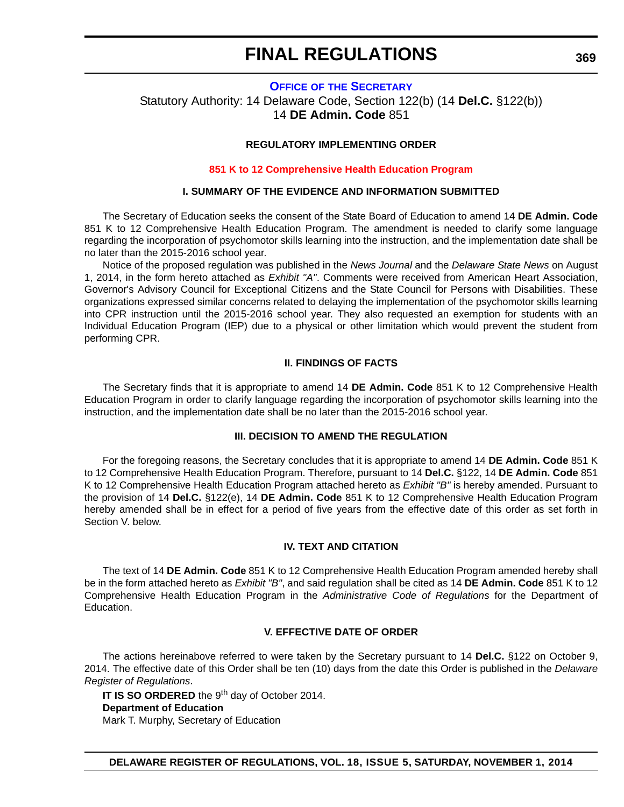# **OFFICE OF [THE SECRETARY](http://www.doe.k12.de.us/)** Statutory Authority: 14 Delaware Code, Section 122(b) (14 **Del.C.** §122(b)) 14 **DE Admin. Code** 851

### **REGULATORY IMPLEMENTING ORDER**

#### **[851 K to 12 Comprehensive Health Education Program](#page-3-0)**

#### **I. SUMMARY OF THE EVIDENCE AND INFORMATION SUBMITTED**

The Secretary of Education seeks the consent of the State Board of Education to amend 14 **DE Admin. Code** 851 K to 12 Comprehensive Health Education Program. The amendment is needed to clarify some language regarding the incorporation of psychomotor skills learning into the instruction, and the implementation date shall be no later than the 2015-2016 school year.

Notice of the proposed regulation was published in the *News Journal* and the *Delaware State News* on August 1, 2014, in the form hereto attached as *Exhibit "A"*. Comments were received from American Heart Association, Governor's Advisory Council for Exceptional Citizens and the State Council for Persons with Disabilities. These organizations expressed similar concerns related to delaying the implementation of the psychomotor skills learning into CPR instruction until the 2015-2016 school year. They also requested an exemption for students with an Individual Education Program (IEP) due to a physical or other limitation which would prevent the student from performing CPR.

#### **II. FINDINGS OF FACTS**

The Secretary finds that it is appropriate to amend 14 **DE Admin. Code** 851 K to 12 Comprehensive Health Education Program in order to clarify language regarding the incorporation of psychomotor skills learning into the instruction, and the implementation date shall be no later than the 2015-2016 school year.

#### **III. DECISION TO AMEND THE REGULATION**

For the foregoing reasons, the Secretary concludes that it is appropriate to amend 14 **DE Admin. Code** 851 K to 12 Comprehensive Health Education Program. Therefore, pursuant to 14 **Del.C.** §122, 14 **DE Admin. Code** 851 K to 12 Comprehensive Health Education Program attached hereto as *Exhibit "B"* is hereby amended. Pursuant to the provision of 14 **Del.C.** §122(e), 14 **DE Admin. Code** 851 K to 12 Comprehensive Health Education Program hereby amended shall be in effect for a period of five years from the effective date of this order as set forth in Section V. below.

#### **IV. TEXT AND CITATION**

The text of 14 **DE Admin. Code** 851 K to 12 Comprehensive Health Education Program amended hereby shall be in the form attached hereto as *Exhibit "B"*, and said regulation shall be cited as 14 **DE Admin. Code** 851 K to 12 Comprehensive Health Education Program in the *Administrative Code of Regulations* for the Department of Education.

#### **V. EFFECTIVE DATE OF ORDER**

The actions hereinabove referred to were taken by the Secretary pursuant to 14 **Del.C.** §122 on October 9, 2014. The effective date of this Order shall be ten (10) days from the date this Order is published in the *Delaware Register of Regulations*.

**IT IS SO ORDERED** the 9<sup>th</sup> day of October 2014. **Department of Education** Mark T. Murphy, Secretary of Education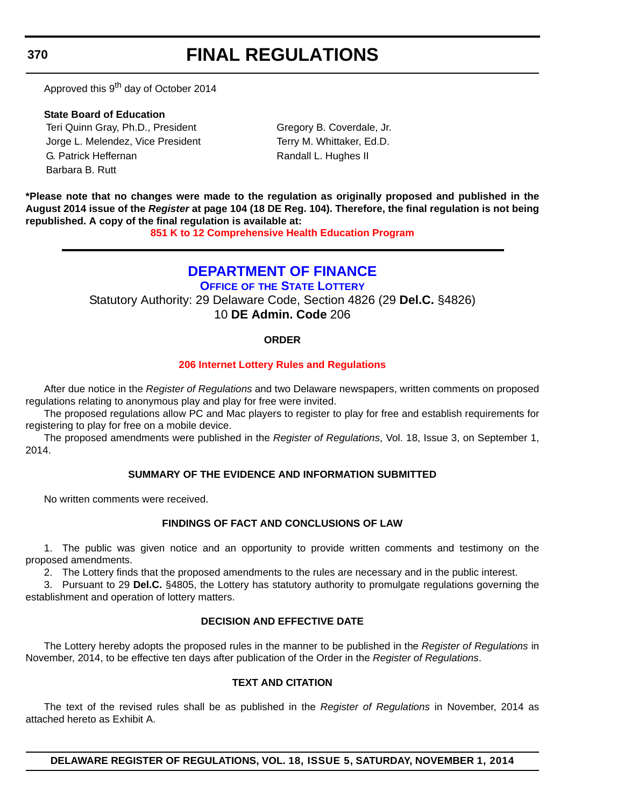**370**

# **FINAL REGULATIONS**

Approved this 9<sup>th</sup> day of October 2014

**State Board of Education** Teri Quinn Gray, Ph.D., President Gregory B. Coverdale, Jr. Jorge L. Melendez, Vice President Terry M. Whittaker, Ed.D. G. Patrick Heffernan **Randall L. Hughes II** Barbara B. Rutt

**\*Please note that no changes were made to the regulation as originally proposed and published in the August 2014 issue of the** *Register* **at page 104 (18 DE Reg. 104). Therefore, the final regulation is not being republished. A copy of the final regulation is available at:**

**[851 K to 12 Comprehensive Health Education Program](http://regulations.delaware.gov/register/november2014/final/18 DE Reg 369 11-01-14.htm)**

# **[DEPARTMENT OF FINANCE](http://www.delottery.com/index.asp)**

**OFFICE OF THE STATE LOTTERY** Statutory Authority: 29 Delaware Code, Section 4826 (29 **Del.C.** §4826) 10 **DE Admin. Code** 206

# **ORDER**

# **[206 Internet Lottery Rules and Regulations](#page-3-0)**

After due notice in the *Register of Regulations* and two Delaware newspapers, written comments on proposed regulations relating to anonymous play and play for free were invited.

The proposed regulations allow PC and Mac players to register to play for free and establish requirements for registering to play for free on a mobile device.

The proposed amendments were published in the *Register of Regulations*, Vol. 18, Issue 3, on September 1, 2014.

# **SUMMARY OF THE EVIDENCE AND INFORMATION SUBMITTED**

No written comments were received.

# **FINDINGS OF FACT AND CONCLUSIONS OF LAW**

1. The public was given notice and an opportunity to provide written comments and testimony on the proposed amendments.

2. The Lottery finds that the proposed amendments to the rules are necessary and in the public interest.

3. Pursuant to 29 **Del.C.** §4805, the Lottery has statutory authority to promulgate regulations governing the establishment and operation of lottery matters.

# **DECISION AND EFFECTIVE DATE**

The Lottery hereby adopts the proposed rules in the manner to be published in the *Register of Regulations* in November, 2014, to be effective ten days after publication of the Order in the *Register of Regulations*.

# **TEXT AND CITATION**

The text of the revised rules shall be as published in the *Register of Regulations* in November, 2014 as attached hereto as Exhibit A.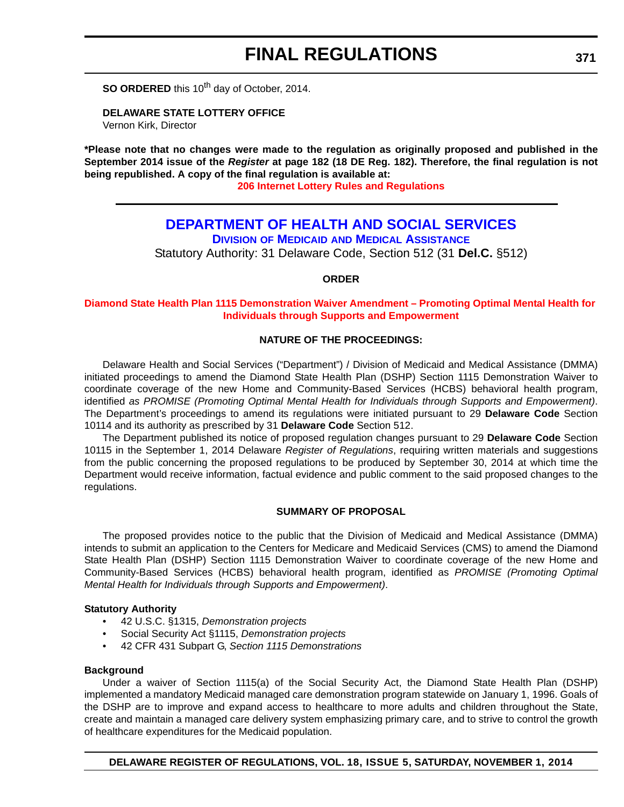**SO ORDERED** this 10<sup>th</sup> day of October, 2014.

**DELAWARE STATE LOTTERY OFFICE**

Vernon Kirk, Director

**\*Please note that no changes were made to the regulation as originally proposed and published in the September 2014 issue of the** *Register* **at page 182 (18 DE Reg. 182). Therefore, the final regulation is not being republished. A copy of the final regulation is available at:**

**[206 Internet Lottery Rules and Regulations](http://regulations.delaware.gov/register/november2014/final/18 DE Reg 370 11-01-14.htm)**

# **[DEPARTMENT OF HEALTH AND SOCIAL SERVICES](http://www.dhss.delaware.gov/dhss/dmma/)**

**DIVISION OF MEDICAID AND MEDICAL ASSISTANCE**

Statutory Authority: 31 Delaware Code, Section 512 (31 **Del.C.** §512)

**ORDER**

#### **[Diamond State Health Plan 1115 Demonstration Waiver Amendment – Promoting Optimal Mental Health for](#page-4-0)  Individuals through Supports and Empowerment**

### **NATURE OF THE PROCEEDINGS:**

Delaware Health and Social Services ("Department") / Division of Medicaid and Medical Assistance (DMMA) initiated proceedings to amend the Diamond State Health Plan (DSHP) Section 1115 Demonstration Waiver to coordinate coverage of the new Home and Community-Based Services (HCBS) behavioral health program, identified *as PROMISE (Promoting Optimal Mental Health for Individuals through Supports and Empowerment)*. The Department's proceedings to amend its regulations were initiated pursuant to 29 **Delaware Code** Section 10114 and its authority as prescribed by 31 **Delaware Code** Section 512.

The Department published its notice of proposed regulation changes pursuant to 29 **Delaware Code** Section 10115 in the September 1, 2014 Delaware *Register of Regulations*, requiring written materials and suggestions from the public concerning the proposed regulations to be produced by September 30, 2014 at which time the Department would receive information, factual evidence and public comment to the said proposed changes to the regulations.

#### **SUMMARY OF PROPOSAL**

The proposed provides notice to the public that the Division of Medicaid and Medical Assistance (DMMA) intends to submit an application to the Centers for Medicare and Medicaid Services (CMS) to amend the Diamond State Health Plan (DSHP) Section 1115 Demonstration Waiver to coordinate coverage of the new Home and Community-Based Services (HCBS) behavioral health program, identified as *PROMISE (Promoting Optimal Mental Health for Individuals through Supports and Empowerment)*.

### **Statutory Authority**

- 42 U.S.C. §1315, *Demonstration projects*
- Social Security Act §1115, *Demonstration projects*
- 42 CFR 431 Subpart G, *Section 1115 Demonstrations*

#### **Background**

Under a waiver of Section 1115(a) of the Social Security Act, the Diamond State Health Plan (DSHP) implemented a mandatory Medicaid managed care demonstration program statewide on January 1, 1996. Goals of the DSHP are to improve and expand access to healthcare to more adults and children throughout the State, create and maintain a managed care delivery system emphasizing primary care, and to strive to control the growth of healthcare expenditures for the Medicaid population.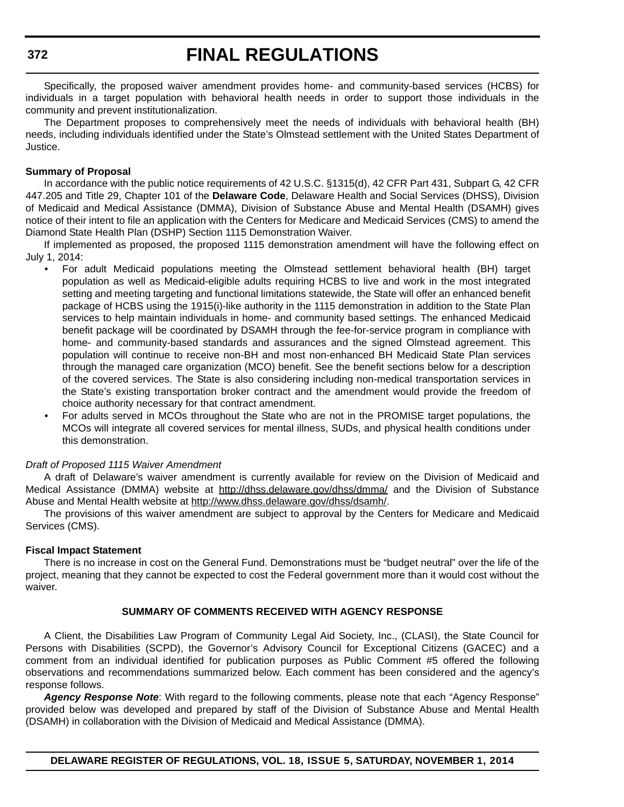Specifically, the proposed waiver amendment provides home- and community-based services (HCBS) for individuals in a target population with behavioral health needs in order to support those individuals in the community and prevent institutionalization.

The Department proposes to comprehensively meet the needs of individuals with behavioral health (BH) needs, including individuals identified under the State's Olmstead settlement with the United States Department of Justice.

#### **Summary of Proposal**

In accordance with the public notice requirements of 42 U.S.C. §1315(d), 42 CFR Part 431, Subpart G, 42 CFR 447.205 and Title 29, Chapter 101 of the **Delaware Code**, Delaware Health and Social Services (DHSS), Division of Medicaid and Medical Assistance (DMMA), Division of Substance Abuse and Mental Health (DSAMH) gives notice of their intent to file an application with the Centers for Medicare and Medicaid Services (CMS) to amend the Diamond State Health Plan (DSHP) Section 1115 Demonstration Waiver.

If implemented as proposed, the proposed 1115 demonstration amendment will have the following effect on July 1, 2014:

- For adult Medicaid populations meeting the Olmstead settlement behavioral health (BH) target population as well as Medicaid-eligible adults requiring HCBS to live and work in the most integrated setting and meeting targeting and functional limitations statewide, the State will offer an enhanced benefit package of HCBS using the 1915(i)-like authority in the 1115 demonstration in addition to the State Plan services to help maintain individuals in home- and community based settings. The enhanced Medicaid benefit package will be coordinated by DSAMH through the fee-for-service program in compliance with home- and community-based standards and assurances and the signed Olmstead agreement. This population will continue to receive non-BH and most non-enhanced BH Medicaid State Plan services through the managed care organization (MCO) benefit. See the benefit sections below for a description of the covered services. The State is also considering including non-medical transportation services in the State's existing transportation broker contract and the amendment would provide the freedom of choice authority necessary for that contract amendment.
- For adults served in MCOs throughout the State who are not in the PROMISE target populations, the MCOs will integrate all covered services for mental illness, SUDs, and physical health conditions under this demonstration.

#### *Draft of Proposed 1115 Waiver Amendment*

A draft of Delaware's waiver amendment is currently available for review on the Division of Medicaid and Medical Assistance (DMMA) website at http://dhss.delaware.gov/dhss/dmma/ and the Division of Substance Abuse and Mental Health website at http://www.dhss.delaware.gov/dhss/dsamh/.

The provisions of this waiver amendment are subject to approval by the Centers for Medicare and Medicaid Services (CMS).

#### **Fiscal Impact Statement**

There is no increase in cost on the General Fund. Demonstrations must be "budget neutral" over the life of the project, meaning that they cannot be expected to cost the Federal government more than it would cost without the waiver.

### **SUMMARY OF COMMENTS RECEIVED WITH AGENCY RESPONSE**

A Client, the Disabilities Law Program of Community Legal Aid Society, Inc., (CLASI), the State Council for Persons with Disabilities (SCPD), the Governor's Advisory Council for Exceptional Citizens (GACEC) and a comment from an individual identified for publication purposes as Public Comment #5 offered the following observations and recommendations summarized below. Each comment has been considered and the agency's response follows.

*Agency Response Note*: With regard to the following comments, please note that each "Agency Response" provided below was developed and prepared by staff of the Division of Substance Abuse and Mental Health (DSAMH) in collaboration with the Division of Medicaid and Medical Assistance (DMMA).

**372**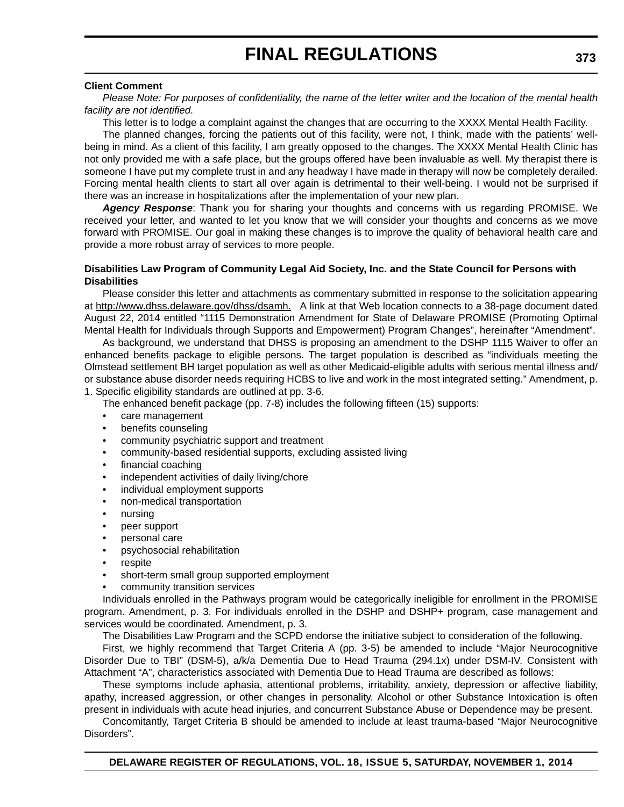#### **Client Comment**

*Please Note: For purposes of confidentiality, the name of the letter writer and the location of the mental health facility are not identified.*

This letter is to lodge a complaint against the changes that are occurring to the XXXX Mental Health Facility. The planned changes, forcing the patients out of this facility, were not, I think, made with the patients' wellbeing in mind. As a client of this facility, I am greatly opposed to the changes. The XXXX Mental Health Clinic has not only provided me with a safe place, but the groups offered have been invaluable as well. My therapist there is someone I have put my complete trust in and any headway I have made in therapy will now be completely derailed. Forcing mental health clients to start all over again is detrimental to their well-being. I would not be surprised if there was an increase in hospitalizations after the implementation of your new plan.

*Agency Response*: Thank you for sharing your thoughts and concerns with us regarding PROMISE. We received your letter, and wanted to let you know that we will consider your thoughts and concerns as we move forward with PROMISE. Our goal in making these changes is to improve the quality of behavioral health care and provide a more robust array of services to more people.

#### **Disabilities Law Program of Community Legal Aid Society, Inc. and the State Council for Persons with Disabilities**

Please consider this letter and attachments as commentary submitted in response to the solicitation appearing at http://www.dhss.delaware.gov/dhss/dsamh. A link at that Web location connects to a 38-page document dated August 22, 2014 entitled "1115 Demonstration Amendment for State of Delaware PROMISE (Promoting Optimal Mental Health for Individuals through Supports and Empowerment) Program Changes", hereinafter "Amendment".

As background, we understand that DHSS is proposing an amendment to the DSHP 1115 Waiver to offer an enhanced benefits package to eligible persons. The target population is described as "individuals meeting the Olmstead settlement BH target population as well as other Medicaid-eligible adults with serious mental illness and/ or substance abuse disorder needs requiring HCBS to live and work in the most integrated setting." Amendment, p. 1. Specific eligibility standards are outlined at pp. 3-6.

The enhanced benefit package (pp. 7-8) includes the following fifteen (15) supports:

- care management
- benefits counseling
- community psychiatric support and treatment
- community-based residential supports, excluding assisted living
- financial coaching
- independent activities of daily living/chore
- individual employment supports
- non-medical transportation
- nursing
- peer support
- personal care
- psychosocial rehabilitation
- **respite**
- short-term small group supported employment
- community transition services

Individuals enrolled in the Pathways program would be categorically ineligible for enrollment in the PROMISE program. Amendment, p. 3. For individuals enrolled in the DSHP and DSHP+ program, case management and services would be coordinated. Amendment, p. 3.

The Disabilities Law Program and the SCPD endorse the initiative subject to consideration of the following.

First, we highly recommend that Target Criteria A (pp. 3-5) be amended to include "Major Neurocognitive Disorder Due to TBI" (DSM-5), a/k/a Dementia Due to Head Trauma (294.1x) under DSM-IV. Consistent with Attachment "A", characteristics associated with Dementia Due to Head Trauma are described as follows:

These symptoms include aphasia, attentional problems, irritability, anxiety, depression or affective liability, apathy, increased aggression, or other changes in personality. Alcohol or other Substance Intoxication is often present in individuals with acute head injuries, and concurrent Substance Abuse or Dependence may be present.

Concomitantly, Target Criteria B should be amended to include at least trauma-based "Major Neurocognitive Disorders".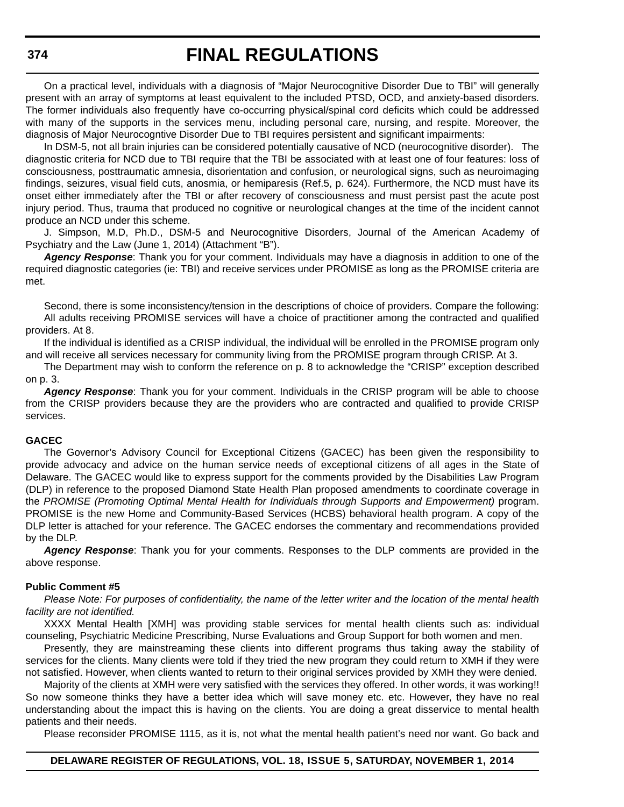On a practical level, individuals with a diagnosis of "Major Neurocognitive Disorder Due to TBI" will generally present with an array of symptoms at least equivalent to the included PTSD, OCD, and anxiety-based disorders. The former individuals also frequently have co-occurring physical/spinal cord deficits which could be addressed with many of the supports in the services menu, including personal care, nursing, and respite. Moreover, the diagnosis of Major Neurocogntive Disorder Due to TBI requires persistent and significant impairments:

In DSM-5, not all brain injuries can be considered potentially causative of NCD (neurocognitive disorder). The diagnostic criteria for NCD due to TBI require that the TBI be associated with at least one of four features: loss of consciousness, posttraumatic amnesia, disorientation and confusion, or neurological signs, such as neuroimaging findings, seizures, visual field cuts, anosmia, or hemiparesis (Ref.5, p. 624). Furthermore, the NCD must have its onset either immediately after the TBI or after recovery of consciousness and must persist past the acute post injury period. Thus, trauma that produced no cognitive or neurological changes at the time of the incident cannot produce an NCD under this scheme.

J. Simpson, M.D, Ph.D., DSM-5 and Neurocognitive Disorders, Journal of the American Academy of Psychiatry and the Law (June 1, 2014) (Attachment "B").

*Agency Response*: Thank you for your comment. Individuals may have a diagnosis in addition to one of the required diagnostic categories (ie: TBI) and receive services under PROMISE as long as the PROMISE criteria are met.

Second, there is some inconsistency/tension in the descriptions of choice of providers. Compare the following: All adults receiving PROMISE services will have a choice of practitioner among the contracted and qualified providers. At 8.

If the individual is identified as a CRISP individual, the individual will be enrolled in the PROMISE program only and will receive all services necessary for community living from the PROMISE program through CRISP. At 3.

The Department may wish to conform the reference on p. 8 to acknowledge the "CRISP" exception described on p. 3.

*Agency Response*: Thank you for your comment. Individuals in the CRISP program will be able to choose from the CRISP providers because they are the providers who are contracted and qualified to provide CRISP services.

#### **GACEC**

The Governor's Advisory Council for Exceptional Citizens (GACEC) has been given the responsibility to provide advocacy and advice on the human service needs of exceptional citizens of all ages in the State of Delaware. The GACEC would like to express support for the comments provided by the Disabilities Law Program (DLP) in reference to the proposed Diamond State Health Plan proposed amendments to coordinate coverage in the *PROMISE (Promoting Optimal Mental Health for Individuals through Supports and Empowerment)* program. PROMISE is the new Home and Community-Based Services (HCBS) behavioral health program. A copy of the DLP letter is attached for your reference. The GACEC endorses the commentary and recommendations provided by the DLP.

*Agency Response*: Thank you for your comments. Responses to the DLP comments are provided in the above response.

#### **Public Comment #5**

*Please Note: For purposes of confidentiality, the name of the letter writer and the location of the mental health facility are not identified.*

XXXX Mental Health [XMH] was providing stable services for mental health clients such as: individual counseling, Psychiatric Medicine Prescribing, Nurse Evaluations and Group Support for both women and men.

Presently, they are mainstreaming these clients into different programs thus taking away the stability of services for the clients. Many clients were told if they tried the new program they could return to XMH if they were not satisfied. However, when clients wanted to return to their original services provided by XMH they were denied.

Majority of the clients at XMH were very satisfied with the services they offered. In other words, it was working!! So now someone thinks they have a better idea which will save money etc. etc. However, they have no real understanding about the impact this is having on the clients. You are doing a great disservice to mental health patients and their needs.

Please reconsider PROMISE 1115, as it is, not what the mental health patient's need nor want. Go back and

#### **DELAWARE REGISTER OF REGULATIONS, VOL. 18, ISSUE 5, SATURDAY, NOVEMBER 1, 2014**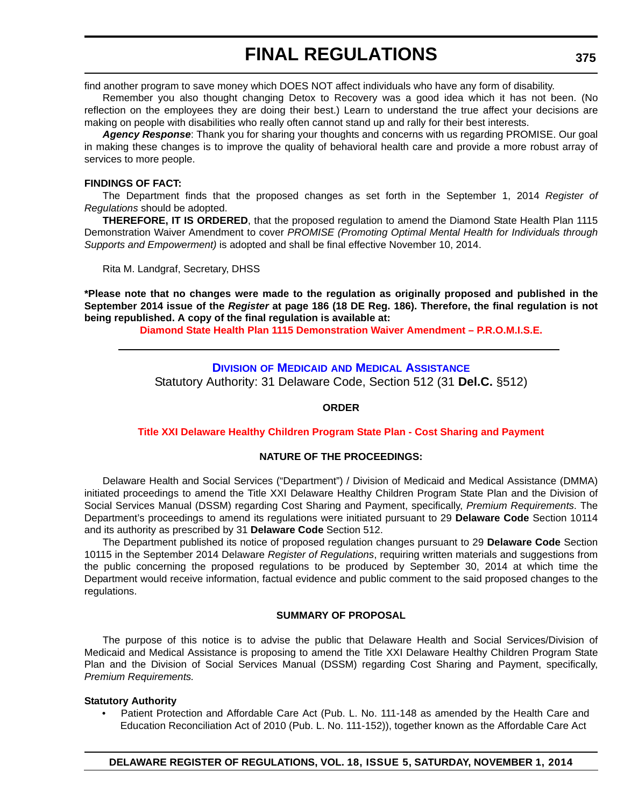find another program to save money which DOES NOT affect individuals who have any form of disability.

Remember you also thought changing Detox to Recovery was a good idea which it has not been. (No reflection on the employees they are doing their best.) Learn to understand the true affect your decisions are making on people with disabilities who really often cannot stand up and rally for their best interests.

*Agency Response*: Thank you for sharing your thoughts and concerns with us regarding PROMISE. Our goal in making these changes is to improve the quality of behavioral health care and provide a more robust array of services to more people.

### **FINDINGS OF FACT:**

The Department finds that the proposed changes as set forth in the September 1, 2014 *Register of Regulations* should be adopted.

**THEREFORE, IT IS ORDERED**, that the proposed regulation to amend the Diamond State Health Plan 1115 Demonstration Waiver Amendment to cover *PROMISE (Promoting Optimal Mental Health for Individuals through Supports and Empowerment)* is adopted and shall be final effective November 10, 2014.

Rita M. Landgraf, Secretary, DHSS

**\*Please note that no changes were made to the regulation as originally proposed and published in the September 2014 issue of the** *Register* **at page 186 (18 DE Reg. 186). Therefore, the final regulation is not being republished. A copy of the final regulation is available at:**

**[Diamond State Health Plan 1115 Demonstration Waiver Amendment – P.R.O.M.I.S.E.](http://regulations.delaware.gov/register/november2014/final/18 DE Reg 371 11-01-14.htm)**

# **DIVISION OF MEDICAID [AND MEDICAL ASSISTANCE](http://www.dhss.delaware.gov/dhss/dmma/)**

Statutory Authority: 31 Delaware Code, Section 512 (31 **Del.C.** §512)

# **ORDER**

# **[Title XXI Delaware Healthy Children Program State Plan - Cost Sharing and Payment](#page-4-0)**

# **NATURE OF THE PROCEEDINGS:**

Delaware Health and Social Services ("Department") / Division of Medicaid and Medical Assistance (DMMA) initiated proceedings to amend the Title XXI Delaware Healthy Children Program State Plan and the Division of Social Services Manual (DSSM) regarding Cost Sharing and Payment, specifically, *Premium Requirements*. The Department's proceedings to amend its regulations were initiated pursuant to 29 **Delaware Code** Section 10114 and its authority as prescribed by 31 **Delaware Code** Section 512.

The Department published its notice of proposed regulation changes pursuant to 29 **Delaware Code** Section 10115 in the September 2014 Delaware *Register of Regulations*, requiring written materials and suggestions from the public concerning the proposed regulations to be produced by September 30, 2014 at which time the Department would receive information, factual evidence and public comment to the said proposed changes to the regulations.

# **SUMMARY OF PROPOSAL**

The purpose of this notice is to advise the public that Delaware Health and Social Services/Division of Medicaid and Medical Assistance is proposing to amend the Title XXI Delaware Healthy Children Program State Plan and the Division of Social Services Manual (DSSM) regarding Cost Sharing and Payment, specifically, *Premium Requirements.*

# **Statutory Authority**

• Patient Protection and Affordable Care Act (Pub. L. No. 111-148 as amended by the Health Care and Education Reconciliation Act of 2010 (Pub. L. No. 111-152)), together known as the Affordable Care Act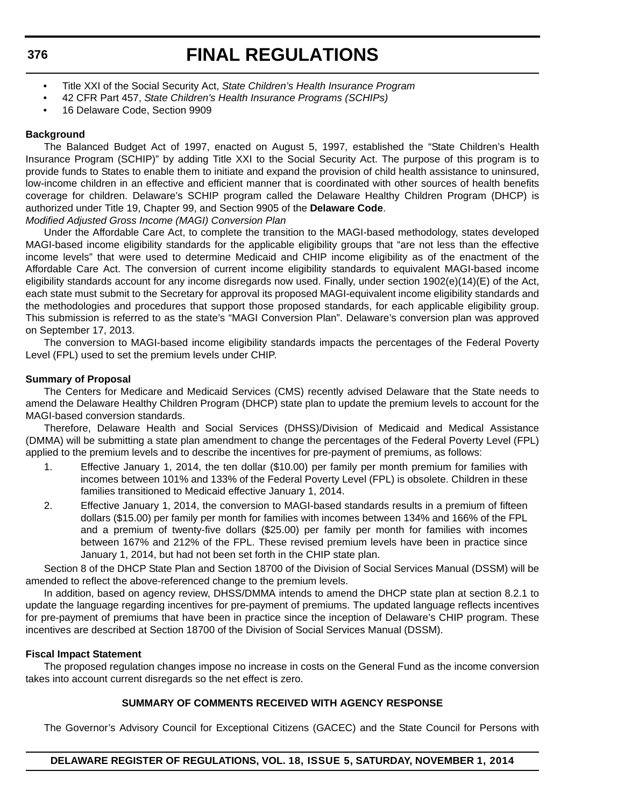**376**

# **FINAL REGULATIONS**

- Title XXI of the Social Security Act, *State Children's Health Insurance Program*
- 42 CFR Part 457, *State Children's Health Insurance Programs (SCHIPs)*
- 16 Delaware Code, Section 9909

# **Background**

The Balanced Budget Act of 1997, enacted on August 5, 1997, established the "State Children's Health Insurance Program (SCHIP)" by adding Title XXI to the Social Security Act. The purpose of this program is to provide funds to States to enable them to initiate and expand the provision of child health assistance to uninsured, low-income children in an effective and efficient manner that is coordinated with other sources of health benefits coverage for children. Delaware's SCHIP program called the Delaware Healthy Children Program (DHCP) is authorized under Title 19, Chapter 99, and Section 9905 of the **Delaware Code**.

*Modified Adjusted Gross Income (MAGI) Conversion Plan*

Under the Affordable Care Act, to complete the transition to the MAGI-based methodology, states developed MAGI-based income eligibility standards for the applicable eligibility groups that "are not less than the effective income levels" that were used to determine Medicaid and CHIP income eligibility as of the enactment of the Affordable Care Act. The conversion of current income eligibility standards to equivalent MAGI-based income eligibility standards account for any income disregards now used. Finally, under section 1902(e)(14)(E) of the Act, each state must submit to the Secretary for approval its proposed MAGI-equivalent income eligibility standards and the methodologies and procedures that support those proposed standards, for each applicable eligibility group. This submission is referred to as the state's "MAGI Conversion Plan". Delaware's conversion plan was approved on September 17, 2013.

The conversion to MAGI-based income eligibility standards impacts the percentages of the Federal Poverty Level (FPL) used to set the premium levels under CHIP.

# **Summary of Proposal**

The Centers for Medicare and Medicaid Services (CMS) recently advised Delaware that the State needs to amend the Delaware Healthy Children Program (DHCP) state plan to update the premium levels to account for the MAGI-based conversion standards.

Therefore, Delaware Health and Social Services (DHSS)/Division of Medicaid and Medical Assistance (DMMA) will be submitting a state plan amendment to change the percentages of the Federal Poverty Level (FPL) applied to the premium levels and to describe the incentives for pre-payment of premiums, as follows:

- 1. Effective January 1, 2014, the ten dollar (\$10.00) per family per month premium for families with incomes between 101% and 133% of the Federal Poverty Level (FPL) is obsolete. Children in these families transitioned to Medicaid effective January 1, 2014.
- 2. Effective January 1, 2014, the conversion to MAGI-based standards results in a premium of fifteen dollars (\$15.00) per family per month for families with incomes between 134% and 166% of the FPL and a premium of twenty-five dollars (\$25.00) per family per month for families with incomes between 167% and 212% of the FPL. These revised premium levels have been in practice since January 1, 2014, but had not been set forth in the CHIP state plan.

Section 8 of the DHCP State Plan and Section 18700 of the Division of Social Services Manual (DSSM) will be amended to reflect the above-referenced change to the premium levels.

In addition, based on agency review, DHSS/DMMA intends to amend the DHCP state plan at section 8.2.1 to update the language regarding incentives for pre-payment of premiums. The updated language reflects incentives for pre-payment of premiums that have been in practice since the inception of Delaware's CHIP program. These incentives are described at Section 18700 of the Division of Social Services Manual (DSSM).

# **Fiscal Impact Statement**

The proposed regulation changes impose no increase in costs on the General Fund as the income conversion takes into account current disregards so the net effect is zero.

# **SUMMARY OF COMMENTS RECEIVED WITH AGENCY RESPONSE**

The Governor's Advisory Council for Exceptional Citizens (GACEC) and the State Council for Persons with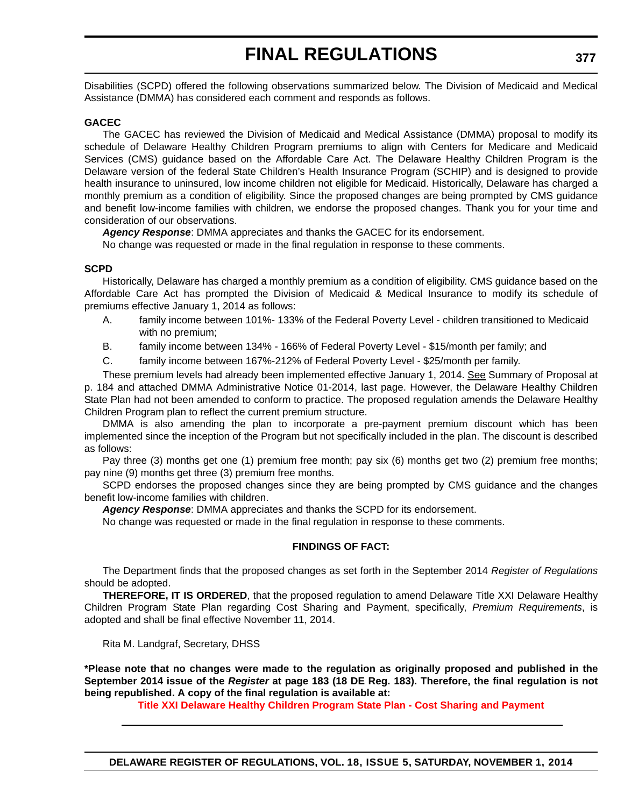Disabilities (SCPD) offered the following observations summarized below. The Division of Medicaid and Medical Assistance (DMMA) has considered each comment and responds as follows.

#### **GACEC**

The GACEC has reviewed the Division of Medicaid and Medical Assistance (DMMA) proposal to modify its schedule of Delaware Healthy Children Program premiums to align with Centers for Medicare and Medicaid Services (CMS) guidance based on the Affordable Care Act. The Delaware Healthy Children Program is the Delaware version of the federal State Children's Health Insurance Program (SCHIP) and is designed to provide health insurance to uninsured, low income children not eligible for Medicaid. Historically, Delaware has charged a monthly premium as a condition of eligibility. Since the proposed changes are being prompted by CMS guidance and benefit low-income families with children, we endorse the proposed changes. Thank you for your time and consideration of our observations.

*Agency Response*: DMMA appreciates and thanks the GACEC for its endorsement.

No change was requested or made in the final regulation in response to these comments.

### **SCPD**

Historically, Delaware has charged a monthly premium as a condition of eligibility. CMS guidance based on the Affordable Care Act has prompted the Division of Medicaid & Medical Insurance to modify its schedule of premiums effective January 1, 2014 as follows:

- A. family income between 101%- 133% of the Federal Poverty Level children transitioned to Medicaid with no premium;
- B. family income between 134% 166% of Federal Poverty Level \$15/month per family; and
- C. family income between 167%-212% of Federal Poverty Level \$25/month per family.

These premium levels had already been implemented effective January 1, 2014. See Summary of Proposal at p. 184 and attached DMMA Administrative Notice 01-2014, last page. However, the Delaware Healthy Children State Plan had not been amended to conform to practice. The proposed regulation amends the Delaware Healthy Children Program plan to reflect the current premium structure.

DMMA is also amending the plan to incorporate a pre-payment premium discount which has been implemented since the inception of the Program but not specifically included in the plan. The discount is described as follows:

Pay three (3) months get one (1) premium free month; pay six (6) months get two (2) premium free months; pay nine (9) months get three (3) premium free months.

SCPD endorses the proposed changes since they are being prompted by CMS guidance and the changes benefit low-income families with children.

*Agency Response*: DMMA appreciates and thanks the SCPD for its endorsement.

No change was requested or made in the final regulation in response to these comments.

#### **FINDINGS OF FACT:**

The Department finds that the proposed changes as set forth in the September 2014 *Register of Regulations* should be adopted.

**THEREFORE, IT IS ORDERED**, that the proposed regulation to amend Delaware Title XXI Delaware Healthy Children Program State Plan regarding Cost Sharing and Payment, specifically, *Premium Requirements*, is adopted and shall be final effective November 11, 2014.

Rita M. Landgraf, Secretary, DHSS

**\*Please note that no changes were made to the regulation as originally proposed and published in the September 2014 issue of the** *Register* **at page 183 (18 DE Reg. 183). Therefore, the final regulation is not being republished. A copy of the final regulation is available at:**

**[Title XXI Delaware Healthy Children Program State Plan - Cost Sharing and Payment](http://regulations.delaware.gov/register/november2014/final/18 DE Reg 375 11-01-14.htm)**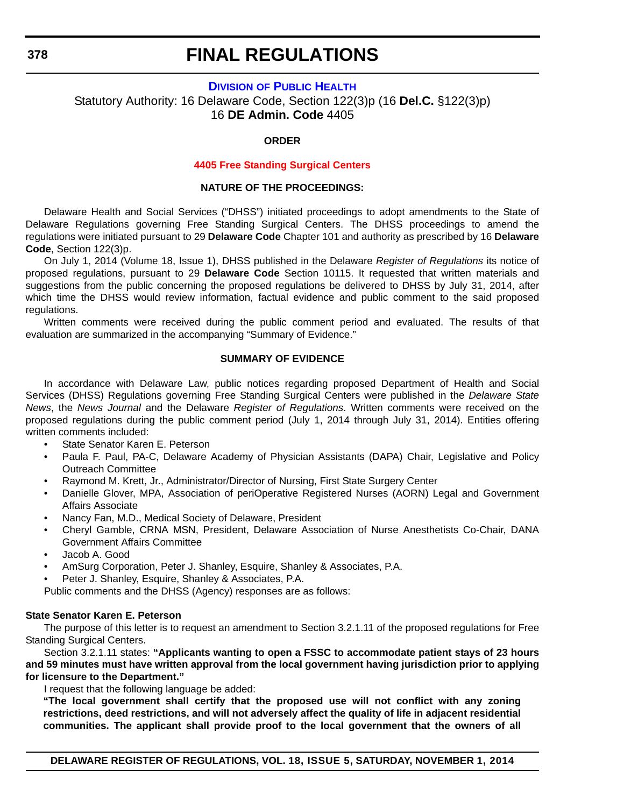# **DIVISION [OF PUBLIC HEALTH](http://dhss.delaware.gov/dhss/dph/index.html)**

Statutory Authority: 16 Delaware Code, Section 122(3)p (16 **Del.C.** §122(3)p) 16 **DE Admin. Code** 4405

#### **ORDER**

#### **[4405 Free Standing Surgical Centers](#page-4-0)**

#### **NATURE OF THE PROCEEDINGS:**

Delaware Health and Social Services ("DHSS") initiated proceedings to adopt amendments to the State of Delaware Regulations governing Free Standing Surgical Centers. The DHSS proceedings to amend the regulations were initiated pursuant to 29 **Delaware Code** Chapter 101 and authority as prescribed by 16 **Delaware Code**, Section 122(3)p.

On July 1, 2014 (Volume 18, Issue 1), DHSS published in the Delaware *Register of Regulations* its notice of proposed regulations, pursuant to 29 **Delaware Code** Section 10115. It requested that written materials and suggestions from the public concerning the proposed regulations be delivered to DHSS by July 31, 2014, after which time the DHSS would review information, factual evidence and public comment to the said proposed regulations.

Written comments were received during the public comment period and evaluated. The results of that evaluation are summarized in the accompanying "Summary of Evidence."

# **SUMMARY OF EVIDENCE**

In accordance with Delaware Law, public notices regarding proposed Department of Health and Social Services (DHSS) Regulations governing Free Standing Surgical Centers were published in the *Delaware State News*, the *News Journal* and the Delaware *Register of Regulations*. Written comments were received on the proposed regulations during the public comment period (July 1, 2014 through July 31, 2014). Entities offering written comments included:

- State Senator Karen E. Peterson
- Paula F. Paul, PA-C, Delaware Academy of Physician Assistants (DAPA) Chair, Legislative and Policy Outreach Committee
- Raymond M. Krett, Jr., Administrator/Director of Nursing, First State Surgery Center
- Danielle Glover, MPA, Association of periOperative Registered Nurses (AORN) Legal and Government Affairs Associate
- Nancy Fan, M.D., Medical Society of Delaware, President
- Cheryl Gamble, CRNA MSN, President, Delaware Association of Nurse Anesthetists Co-Chair, DANA Government Affairs Committee
- Jacob A. Good
- AmSurg Corporation, Peter J. Shanley, Esquire, Shanley & Associates, P.A.
- Peter J. Shanley, Esquire, Shanley & Associates, P.A.

Public comments and the DHSS (Agency) responses are as follows:

#### **State Senator Karen E. Peterson**

The purpose of this letter is to request an amendment to Section 3.2.1.11 of the proposed regulations for Free Standing Surgical Centers.

Section 3.2.1.11 states: **"Applicants wanting to open a FSSC to accommodate patient stays of 23 hours and 59 minutes must have written approval from the local government having jurisdiction prior to applying for licensure to the Department."**

I request that the following language be added:

**"The local government shall certify that the proposed use will not conflict with any zoning restrictions, deed restrictions, and will not adversely affect the quality of life in adjacent residential communities. The applicant shall provide proof to the local government that the owners of all**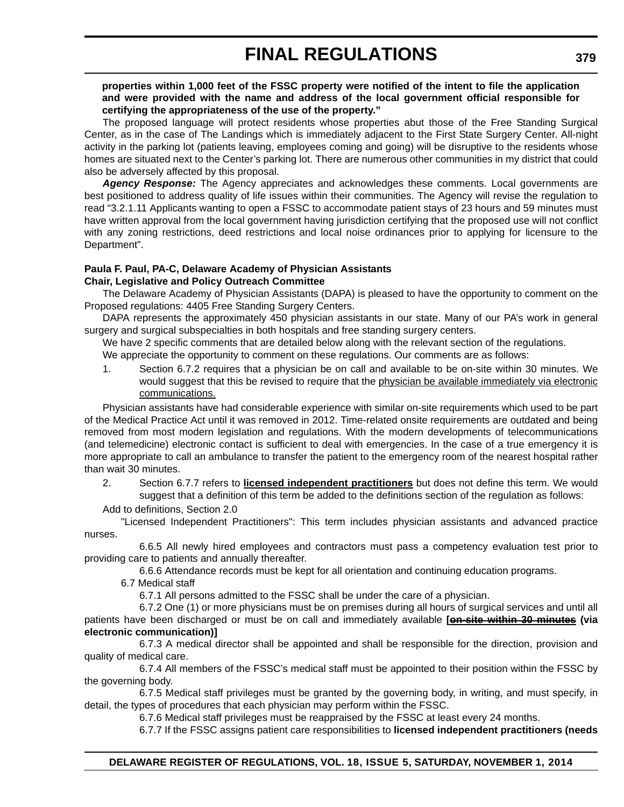### **properties within 1,000 feet of the FSSC property were notified of the intent to file the application and were provided with the name and address of the local government official responsible for certifying the appropriateness of the use of the property."**

The proposed language will protect residents whose properties abut those of the Free Standing Surgical Center, as in the case of The Landings which is immediately adjacent to the First State Surgery Center. All-night activity in the parking lot (patients leaving, employees coming and going) will be disruptive to the residents whose homes are situated next to the Center's parking lot. There are numerous other communities in my district that could also be adversely affected by this proposal.

*Agency Response:* The Agency appreciates and acknowledges these comments. Local governments are best positioned to address quality of life issues within their communities. The Agency will revise the regulation to read "3.2.1.11 Applicants wanting to open a FSSC to accommodate patient stays of 23 hours and 59 minutes must have written approval from the local government having jurisdiction certifying that the proposed use will not conflict with any zoning restrictions, deed restrictions and local noise ordinances prior to applying for licensure to the Department".

#### **Paula F. Paul, PA-C, Delaware Academy of Physician Assistants Chair, Legislative and Policy Outreach Committee**

The Delaware Academy of Physician Assistants (DAPA) is pleased to have the opportunity to comment on the Proposed regulations: 4405 Free Standing Surgery Centers.

DAPA represents the approximately 450 physician assistants in our state. Many of our PA's work in general surgery and surgical subspecialties in both hospitals and free standing surgery centers.

We have 2 specific comments that are detailed below along with the relevant section of the regulations.

We appreciate the opportunity to comment on these regulations. Our comments are as follows:

1. Section 6.7.2 requires that a physician be on call and available to be on-site within 30 minutes. We would suggest that this be revised to require that the physician be available immediately via electronic communications.

Physician assistants have had considerable experience with similar on-site requirements which used to be part of the Medical Practice Act until it was removed in 2012. Time-related onsite requirements are outdated and being removed from most modern legislation and regulations. With the modern developments of telecommunications (and telemedicine) electronic contact is sufficient to deal with emergencies. In the case of a true emergency it is more appropriate to call an ambulance to transfer the patient to the emergency room of the nearest hospital rather than wait 30 minutes.

- 2. Section 6.7.7 refers to **licensed independent practitioners** but does not define this term. We would suggest that a definition of this term be added to the definitions section of the regulation as follows:
- Add to definitions, Section 2.0

"Licensed Independent Practitioners": This term includes physician assistants and advanced practice nurses.

6.6.5 All newly hired employees and contractors must pass a competency evaluation test prior to providing care to patients and annually thereafter.

6.6.6 Attendance records must be kept for all orientation and continuing education programs.

6.7 Medical staff

6.7.1 All persons admitted to the FSSC shall be under the care of a physician.

6.7.2 One (1) or more physicians must be on premises during all hours of surgical services and until all patients have been discharged or must be on call and immediately available **[on-site within 30 minutes (via electronic communication)]**

6.7.3 A medical director shall be appointed and shall be responsible for the direction, provision and quality of medical care.

6.7.4 All members of the FSSC's medical staff must be appointed to their position within the FSSC by the governing body.

6.7.5 Medical staff privileges must be granted by the governing body, in writing, and must specify, in detail, the types of procedures that each physician may perform within the FSSC.

6.7.6 Medical staff privileges must be reappraised by the FSSC at least every 24 months.

6.7.7 If the FSSC assigns patient care responsibilities to **licensed independent practitioners (needs**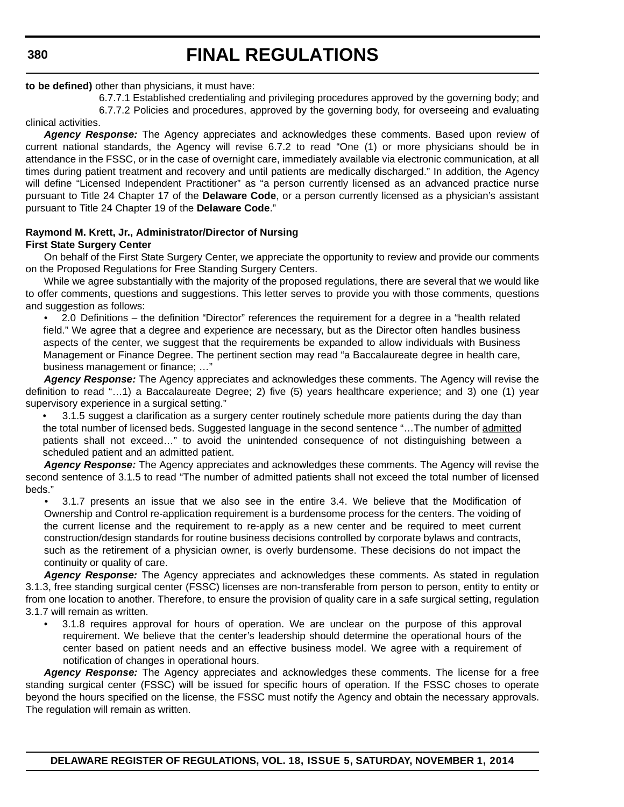**380**

# **FINAL REGULATIONS**

### **to be defined)** other than physicians, it must have:

6.7.7.1 Established credentialing and privileging procedures approved by the governing body; and 6.7.7.2 Policies and procedures, approved by the governing body, for overseeing and evaluating

clinical activities.

*Agency Response:* The Agency appreciates and acknowledges these comments. Based upon review of current national standards, the Agency will revise 6.7.2 to read "One (1) or more physicians should be in attendance in the FSSC, or in the case of overnight care, immediately available via electronic communication, at all times during patient treatment and recovery and until patients are medically discharged." In addition, the Agency will define "Licensed Independent Practitioner" as "a person currently licensed as an advanced practice nurse pursuant to Title 24 Chapter 17 of the **Delaware Code**, or a person currently licensed as a physician's assistant pursuant to Title 24 Chapter 19 of the **Delaware Code**."

### **Raymond M. Krett, Jr., Administrator/Director of Nursing First State Surgery Center**

On behalf of the First State Surgery Center, we appreciate the opportunity to review and provide our comments on the Proposed Regulations for Free Standing Surgery Centers.

While we agree substantially with the majority of the proposed regulations, there are several that we would like to offer comments, questions and suggestions. This letter serves to provide you with those comments, questions and suggestion as follows:

• 2.0 Definitions – the definition "Director" references the requirement for a degree in a "health related field." We agree that a degree and experience are necessary, but as the Director often handles business aspects of the center, we suggest that the requirements be expanded to allow individuals with Business Management or Finance Degree. The pertinent section may read "a Baccalaureate degree in health care, business management or finance; …"

*Agency Response:* The Agency appreciates and acknowledges these comments. The Agency will revise the definition to read "…1) a Baccalaureate Degree; 2) five (5) years healthcare experience; and 3) one (1) year supervisory experience in a surgical setting."

• 3.1.5 suggest a clarification as a surgery center routinely schedule more patients during the day than the total number of licensed beds. Suggested language in the second sentence "…The number of admitted patients shall not exceed…" to avoid the unintended consequence of not distinguishing between a scheduled patient and an admitted patient.

*Agency Response:* The Agency appreciates and acknowledges these comments. The Agency will revise the second sentence of 3.1.5 to read "The number of admitted patients shall not exceed the total number of licensed beds."

• 3.1.7 presents an issue that we also see in the entire 3.4. We believe that the Modification of Ownership and Control re-application requirement is a burdensome process for the centers. The voiding of the current license and the requirement to re-apply as a new center and be required to meet current construction/design standards for routine business decisions controlled by corporate bylaws and contracts, such as the retirement of a physician owner, is overly burdensome. These decisions do not impact the continuity or quality of care.

*Agency Response:* The Agency appreciates and acknowledges these comments. As stated in regulation 3.1.3, free standing surgical center (FSSC) licenses are non-transferable from person to person, entity to entity or from one location to another. Therefore, to ensure the provision of quality care in a safe surgical setting, regulation 3.1.7 will remain as written.

• 3.1.8 requires approval for hours of operation. We are unclear on the purpose of this approval requirement. We believe that the center's leadership should determine the operational hours of the center based on patient needs and an effective business model. We agree with a requirement of notification of changes in operational hours.

*Agency Response:* The Agency appreciates and acknowledges these comments. The license for a free standing surgical center (FSSC) will be issued for specific hours of operation. If the FSSC choses to operate beyond the hours specified on the license, the FSSC must notify the Agency and obtain the necessary approvals. The regulation will remain as written.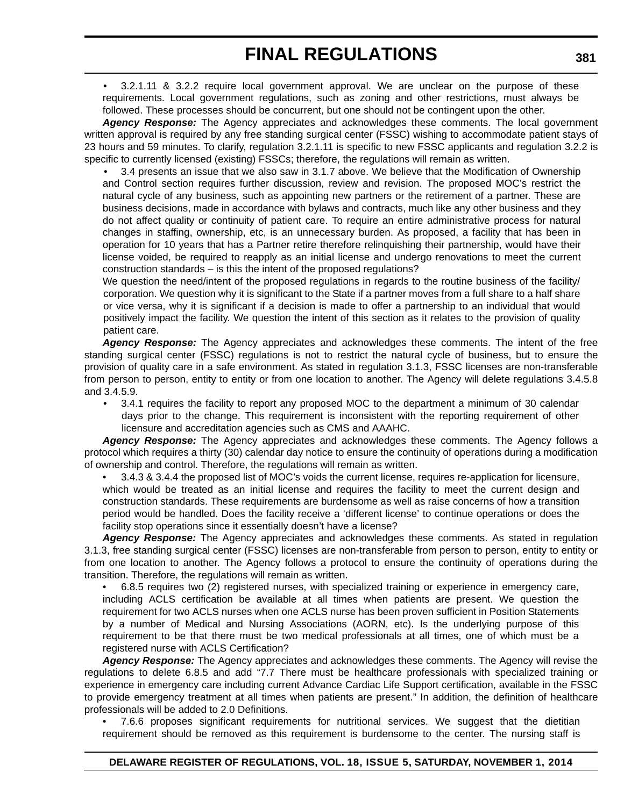• 3.2.1.11 & 3.2.2 require local government approval. We are unclear on the purpose of these requirements. Local government regulations, such as zoning and other restrictions, must always be followed. These processes should be concurrent, but one should not be contingent upon the other.

*Agency Response:* The Agency appreciates and acknowledges these comments. The local government written approval is required by any free standing surgical center (FSSC) wishing to accommodate patient stays of 23 hours and 59 minutes. To clarify, regulation 3.2.1.11 is specific to new FSSC applicants and regulation 3.2.2 is specific to currently licensed (existing) FSSCs; therefore, the regulations will remain as written.

• 3.4 presents an issue that we also saw in 3.1.7 above. We believe that the Modification of Ownership and Control section requires further discussion, review and revision. The proposed MOC's restrict the natural cycle of any business, such as appointing new partners or the retirement of a partner. These are business decisions, made in accordance with bylaws and contracts, much like any other business and they do not affect quality or continuity of patient care. To require an entire administrative process for natural changes in staffing, ownership, etc, is an unnecessary burden. As proposed, a facility that has been in operation for 10 years that has a Partner retire therefore relinquishing their partnership, would have their license voided, be required to reapply as an initial license and undergo renovations to meet the current construction standards – is this the intent of the proposed regulations?

We question the need/intent of the proposed regulations in regards to the routine business of the facility/ corporation. We question why it is significant to the State if a partner moves from a full share to a half share or vice versa, why it is significant if a decision is made to offer a partnership to an individual that would positively impact the facility. We question the intent of this section as it relates to the provision of quality patient care.

*Agency Response:* The Agency appreciates and acknowledges these comments. The intent of the free standing surgical center (FSSC) regulations is not to restrict the natural cycle of business, but to ensure the provision of quality care in a safe environment. As stated in regulation 3.1.3, FSSC licenses are non-transferable from person to person, entity to entity or from one location to another. The Agency will delete regulations 3.4.5.8 and 3.4.5.9.

• 3.4.1 requires the facility to report any proposed MOC to the department a minimum of 30 calendar days prior to the change. This requirement is inconsistent with the reporting requirement of other licensure and accreditation agencies such as CMS and AAAHC.

*Agency Response:* The Agency appreciates and acknowledges these comments. The Agency follows a protocol which requires a thirty (30) calendar day notice to ensure the continuity of operations during a modification of ownership and control. Therefore, the regulations will remain as written.

• 3.4.3 & 3.4.4 the proposed list of MOC's voids the current license, requires re-application for licensure, which would be treated as an initial license and requires the facility to meet the current design and construction standards. These requirements are burdensome as well as raise concerns of how a transition period would be handled. Does the facility receive a 'different license' to continue operations or does the facility stop operations since it essentially doesn't have a license?

*Agency Response:* The Agency appreciates and acknowledges these comments. As stated in regulation 3.1.3, free standing surgical center (FSSC) licenses are non-transferable from person to person, entity to entity or from one location to another. The Agency follows a protocol to ensure the continuity of operations during the transition. Therefore, the regulations will remain as written.

• 6.8.5 requires two (2) registered nurses, with specialized training or experience in emergency care, including ACLS certification be available at all times when patients are present. We question the requirement for two ACLS nurses when one ACLS nurse has been proven sufficient in Position Statements by a number of Medical and Nursing Associations (AORN, etc). Is the underlying purpose of this requirement to be that there must be two medical professionals at all times, one of which must be a registered nurse with ACLS Certification?

*Agency Response:* The Agency appreciates and acknowledges these comments. The Agency will revise the regulations to delete 6.8.5 and add "7.7 There must be healthcare professionals with specialized training or experience in emergency care including current Advance Cardiac Life Support certification, available in the FSSC to provide emergency treatment at all times when patients are present." In addition, the definition of healthcare professionals will be added to 2.0 Definitions.

• 7.6.6 proposes significant requirements for nutritional services. We suggest that the dietitian requirement should be removed as this requirement is burdensome to the center. The nursing staff is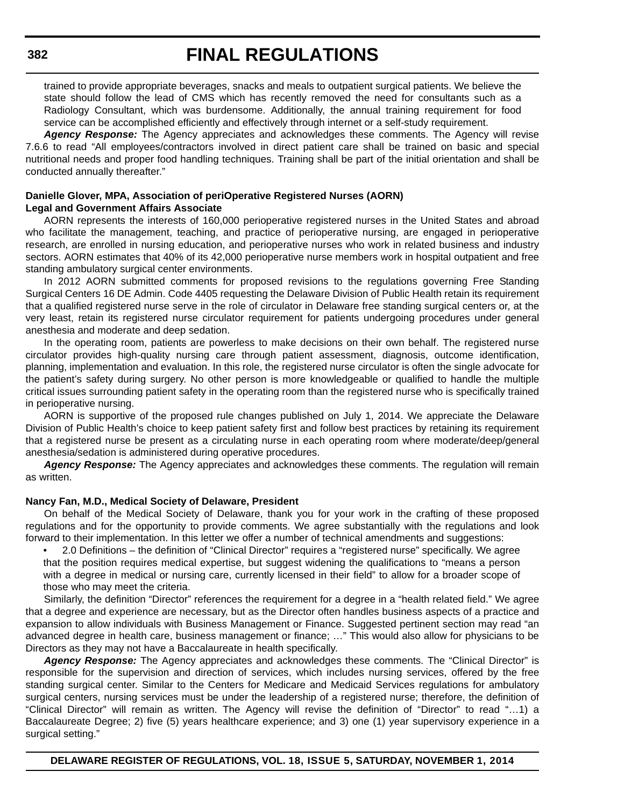trained to provide appropriate beverages, snacks and meals to outpatient surgical patients. We believe the state should follow the lead of CMS which has recently removed the need for consultants such as a Radiology Consultant, which was burdensome. Additionally, the annual training requirement for food service can be accomplished efficiently and effectively through internet or a self-study requirement.

*Agency Response:* The Agency appreciates and acknowledges these comments. The Agency will revise 7.6.6 to read "All employees/contractors involved in direct patient care shall be trained on basic and special nutritional needs and proper food handling techniques. Training shall be part of the initial orientation and shall be conducted annually thereafter."

### **Danielle Glover, MPA, Association of periOperative Registered Nurses (AORN) Legal and Government Affairs Associate**

AORN represents the interests of 160,000 perioperative registered nurses in the United States and abroad who facilitate the management, teaching, and practice of perioperative nursing, are engaged in perioperative research, are enrolled in nursing education, and perioperative nurses who work in related business and industry sectors. AORN estimates that 40% of its 42,000 perioperative nurse members work in hospital outpatient and free standing ambulatory surgical center environments.

In 2012 AORN submitted comments for proposed revisions to the regulations governing Free Standing Surgical Centers 16 DE Admin. Code 4405 requesting the Delaware Division of Public Health retain its requirement that a qualified registered nurse serve in the role of circulator in Delaware free standing surgical centers or, at the very least, retain its registered nurse circulator requirement for patients undergoing procedures under general anesthesia and moderate and deep sedation.

In the operating room, patients are powerless to make decisions on their own behalf. The registered nurse circulator provides high-quality nursing care through patient assessment, diagnosis, outcome identification, planning, implementation and evaluation. In this role, the registered nurse circulator is often the single advocate for the patient's safety during surgery. No other person is more knowledgeable or qualified to handle the multiple critical issues surrounding patient safety in the operating room than the registered nurse who is specifically trained in perioperative nursing.

AORN is supportive of the proposed rule changes published on July 1, 2014. We appreciate the Delaware Division of Public Health's choice to keep patient safety first and follow best practices by retaining its requirement that a registered nurse be present as a circulating nurse in each operating room where moderate/deep/general anesthesia/sedation is administered during operative procedures.

*Agency Response:* The Agency appreciates and acknowledges these comments. The regulation will remain as written.

#### **Nancy Fan, M.D., Medical Society of Delaware, President**

On behalf of the Medical Society of Delaware, thank you for your work in the crafting of these proposed regulations and for the opportunity to provide comments. We agree substantially with the regulations and look forward to their implementation. In this letter we offer a number of technical amendments and suggestions:

• 2.0 Definitions – the definition of "Clinical Director" requires a "registered nurse" specifically. We agree that the position requires medical expertise, but suggest widening the qualifications to "means a person with a degree in medical or nursing care, currently licensed in their field" to allow for a broader scope of those who may meet the criteria.

Similarly, the definition "Director" references the requirement for a degree in a "health related field." We agree that a degree and experience are necessary, but as the Director often handles business aspects of a practice and expansion to allow individuals with Business Management or Finance. Suggested pertinent section may read "an advanced degree in health care, business management or finance; …" This would also allow for physicians to be Directors as they may not have a Baccalaureate in health specifically.

*Agency Response:* The Agency appreciates and acknowledges these comments. The "Clinical Director" is responsible for the supervision and direction of services, which includes nursing services, offered by the free standing surgical center. Similar to the Centers for Medicare and Medicaid Services regulations for ambulatory surgical centers, nursing services must be under the leadership of a registered nurse; therefore, the definition of "Clinical Director" will remain as written. The Agency will revise the definition of "Director" to read "…1) a Baccalaureate Degree; 2) five (5) years healthcare experience; and 3) one (1) year supervisory experience in a surgical setting."

**382**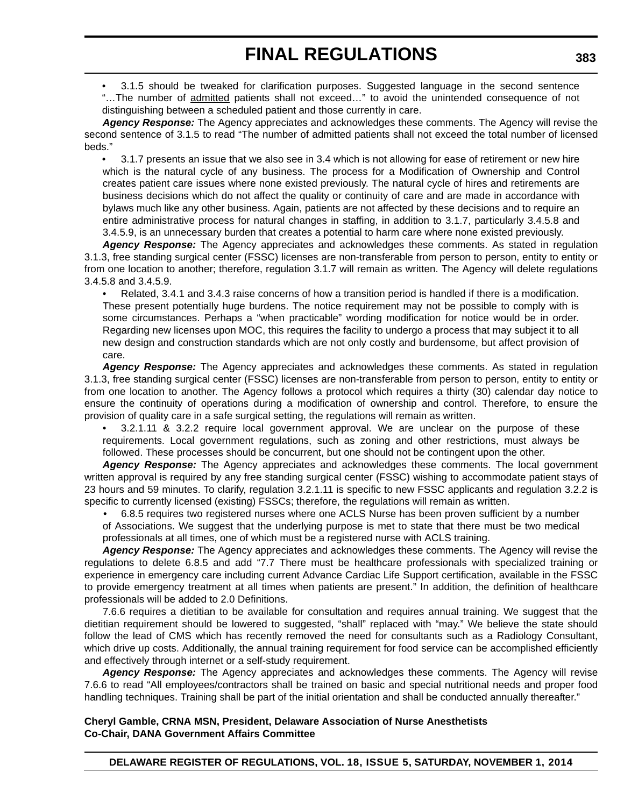• 3.1.5 should be tweaked for clarification purposes. Suggested language in the second sentence "…The number of admitted patients shall not exceed…" to avoid the unintended consequence of not distinguishing between a scheduled patient and those currently in care.

*Agency Response:* The Agency appreciates and acknowledges these comments. The Agency will revise the second sentence of 3.1.5 to read "The number of admitted patients shall not exceed the total number of licensed beds."

• 3.1.7 presents an issue that we also see in 3.4 which is not allowing for ease of retirement or new hire which is the natural cycle of any business. The process for a Modification of Ownership and Control creates patient care issues where none existed previously. The natural cycle of hires and retirements are business decisions which do not affect the quality or continuity of care and are made in accordance with bylaws much like any other business. Again, patients are not affected by these decisions and to require an entire administrative process for natural changes in staffing, in addition to 3.1.7, particularly 3.4.5.8 and 3.4.5.9, is an unnecessary burden that creates a potential to harm care where none existed previously.

*Agency Response:* The Agency appreciates and acknowledges these comments. As stated in regulation 3.1.3, free standing surgical center (FSSC) licenses are non-transferable from person to person, entity to entity or from one location to another; therefore, regulation 3.1.7 will remain as written. The Agency will delete regulations 3.4.5.8 and 3.4.5.9.

• Related, 3.4.1 and 3.4.3 raise concerns of how a transition period is handled if there is a modification. These present potentially huge burdens. The notice requirement may not be possible to comply with is some circumstances. Perhaps a "when practicable" wording modification for notice would be in order. Regarding new licenses upon MOC, this requires the facility to undergo a process that may subject it to all new design and construction standards which are not only costly and burdensome, but affect provision of care.

*Agency Response:* The Agency appreciates and acknowledges these comments. As stated in regulation 3.1.3, free standing surgical center (FSSC) licenses are non-transferable from person to person, entity to entity or from one location to another. The Agency follows a protocol which requires a thirty (30) calendar day notice to ensure the continuity of operations during a modification of ownership and control. Therefore, to ensure the provision of quality care in a safe surgical setting, the regulations will remain as written.

• 3.2.1.11 & 3.2.2 require local government approval. We are unclear on the purpose of these requirements. Local government regulations, such as zoning and other restrictions, must always be followed. These processes should be concurrent, but one should not be contingent upon the other.

*Agency Response:* The Agency appreciates and acknowledges these comments. The local government written approval is required by any free standing surgical center (FSSC) wishing to accommodate patient stays of 23 hours and 59 minutes. To clarify, regulation 3.2.1.11 is specific to new FSSC applicants and regulation 3.2.2 is specific to currently licensed (existing) FSSCs; therefore, the regulations will remain as written.

• 6.8.5 requires two registered nurses where one ACLS Nurse has been proven sufficient by a number of Associations. We suggest that the underlying purpose is met to state that there must be two medical professionals at all times, one of which must be a registered nurse with ACLS training.

*Agency Response:* The Agency appreciates and acknowledges these comments. The Agency will revise the regulations to delete 6.8.5 and add "7.7 There must be healthcare professionals with specialized training or experience in emergency care including current Advance Cardiac Life Support certification, available in the FSSC to provide emergency treatment at all times when patients are present." In addition, the definition of healthcare professionals will be added to 2.0 Definitions.

7.6.6 requires a dietitian to be available for consultation and requires annual training. We suggest that the dietitian requirement should be lowered to suggested, "shall" replaced with "may." We believe the state should follow the lead of CMS which has recently removed the need for consultants such as a Radiology Consultant, which drive up costs. Additionally, the annual training requirement for food service can be accomplished efficiently and effectively through internet or a self-study requirement.

*Agency Response:* The Agency appreciates and acknowledges these comments. The Agency will revise 7.6.6 to read "All employees/contractors shall be trained on basic and special nutritional needs and proper food handling techniques. Training shall be part of the initial orientation and shall be conducted annually thereafter."

# **Cheryl Gamble, CRNA MSN, President, Delaware Association of Nurse Anesthetists Co-Chair, DANA Government Affairs Committee**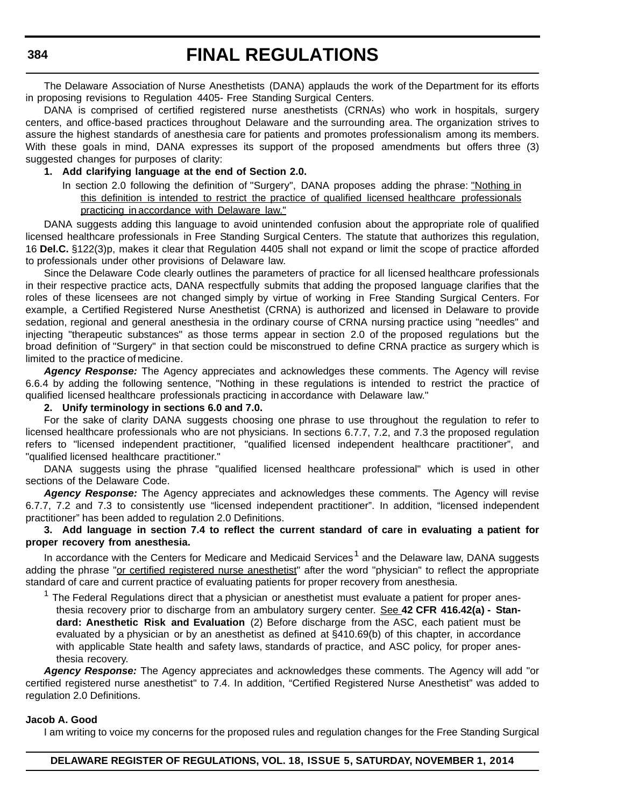The Delaware Association of Nurse Anesthetists (DANA) applauds the work of the Department for its efforts in proposing revisions to Regulation 4405- Free Standing Surgical Centers.

DANA is comprised of certified registered nurse anesthetists (CRNAs) who work in hospitals, surgery centers, and office-based practices throughout Delaware and the surrounding area. The organization strives to assure the highest standards of anesthesia care for patients and promotes professionalism among its members. With these goals in mind, DANA expresses its support of the proposed amendments but offers three (3) suggested changes for purposes of clarity:

# **1. Add clarifying language at the end of Section 2.0.**

In section 2.0 following the definition of "Surgery", DANA proposes adding the phrase: "Nothing in this definition is intended to restrict the practice of qualified licensed healthcare professionals practicing in accordance with Delaware law."

DANA suggests adding this language to avoid unintended confusion about the appropriate role of qualified licensed healthcare professionals in Free Standing Surgical Centers. The statute that authorizes this regulation, 16 **Del.C.** §122(3)p, makes it clear that Regulation 4405 shall not expand or limit the scope of practice afforded to professionals under other provisions of Delaware law.

Since the Delaware Code clearly outlines the parameters of practice for all licensed healthcare professionals in their respective practice acts, DANA respectfully submits that adding the proposed language clarifies that the roles of these licensees are not changed simply by virtue of working in Free Standing Surgical Centers. For example, a Certified Registered Nurse Anesthetist (CRNA) is authorized and licensed in Delaware to provide sedation, regional and general anesthesia in the ordinary course of CRNA nursing practice using "needles" and injecting "therapeutic substances" as those terms appear in section 2.0 of the proposed regulations but the broad definition of "Surgery" in that section could be misconstrued to define CRNA practice as surgery which is limited to the practice of medicine.

*Agency Response:* The Agency appreciates and acknowledges these comments. The Agency will revise 6.6.4 by adding the following sentence, "Nothing in these regulations is intended to restrict the practice of qualified licensed healthcare professionals practicing in accordance with Delaware law."

#### **2. Unify terminology in sections 6.0 and 7.0.**

For the sake of clarity DANA suggests choosing one phrase to use throughout the regulation to refer to licensed healthcare professionals who are not physicians. In sections 6.7.7, 7.2, and 7.3 the proposed regulation refers to "licensed independent practitioner, "qualified licensed independent healthcare practitioner", and "qualified licensed healthcare practitioner."

DANA suggests using the phrase "qualified licensed healthcare professional" which is used in other sections of the Delaware Code.

Agency Response: The Agency appreciates and acknowledges these comments. The Agency will revise 6.7.7, 7.2 and 7.3 to consistently use "licensed independent practitioner". In addition, "licensed independent practitioner" has been added to regulation 2.0 Definitions.

### **3. Add language in section 7.4 to reflect the current standard of care in evaluating a patient for proper recovery from anesthesia.**

In accordance with the Centers for Medicare and Medicaid Services<sup>1</sup> and the Delaware law, DANA suggests adding the phrase "or certified registered nurse anesthetist" after the word "physician" to reflect the appropriate standard of care and current practice of evaluating patients for proper recovery from anesthesia.

 $1$  The Federal Regulations direct that a physician or anesthetist must evaluate a patient for proper anesthesia recovery prior to discharge from an ambulatory surgery center. See **42 CFR 416.42(a) - Standard: Anesthetic Risk and Evaluation** (2) Before discharge from the ASC, each patient must be evaluated by a physician or by an anesthetist as defined at §410.69(b) of this chapter, in accordance with applicable State health and safety laws, standards of practice, and ASC policy, for proper anesthesia recovery.

*Agency Response:* The Agency appreciates and acknowledges these comments. The Agency will add "or certified registered nurse anesthetist" to 7.4. In addition, "Certified Registered Nurse Anesthetist" was added to regulation 2.0 Definitions.

#### **Jacob A. Good**

I am writing to voice my concerns for the proposed rules and regulation changes for the Free Standing Surgical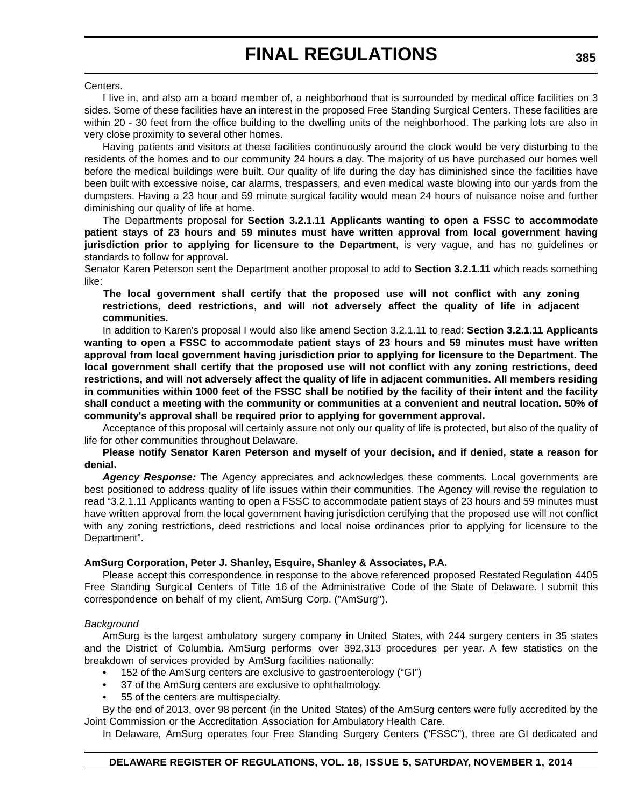Centers.

I live in, and also am a board member of, a neighborhood that is surrounded by medical office facilities on 3 sides. Some of these facilities have an interest in the proposed Free Standing Surgical Centers. These facilities are within 20 - 30 feet from the office building to the dwelling units of the neighborhood. The parking lots are also in very close proximity to several other homes.

Having patients and visitors at these facilities continuously around the clock would be very disturbing to the residents of the homes and to our community 24 hours a day. The majority of us have purchased our homes well before the medical buildings were built. Our quality of life during the day has diminished since the facilities have been built with excessive noise, car alarms, trespassers, and even medical waste blowing into our yards from the dumpsters. Having a 23 hour and 59 minute surgical facility would mean 24 hours of nuisance noise and further diminishing our quality of life at home.

The Departments proposal for **Section 3.2.1.11 Applicants wanting to open a FSSC to accommodate patient stays of 23 hours and 59 minutes must have written approval from local government having jurisdiction prior to applying for licensure to the Department**, is very vague, and has no guidelines or standards to follow for approval.

Senator Karen Peterson sent the Department another proposal to add to **Section 3.2.1.11** which reads something like:

**The local government shall certify that the proposed use will not conflict with any zoning restrictions, deed restrictions, and will not adversely affect the quality of life in adjacent communities.**

In addition to Karen's proposal I would also like amend Section 3.2.1.11 to read: **Section 3.2.1.11 Applicants wanting to open a FSSC to accommodate patient stays of 23 hours and 59 minutes must have written approval from local government having jurisdiction prior to applying for licensure to the Department. The local government shall certify that the proposed use will not conflict with any zoning restrictions, deed restrictions, and will not adversely affect the quality of life in adjacent communities. All members residing in communities within 1000 feet of the FSSC shall be notified by the facility of their intent and the facility shall conduct a meeting with the community or communities at a convenient and neutral location. 50% of community's approval shall be required prior to applying for government approval.**

Acceptance of this proposal will certainly assure not only our quality of life is protected, but also of the quality of life for other communities throughout Delaware.

#### **Please notify Senator Karen Peterson and myself of your decision, and if denied, state a reason for denial.**

*Agency Response:* The Agency appreciates and acknowledges these comments. Local governments are best positioned to address quality of life issues within their communities. The Agency will revise the regulation to read "3.2.1.11 Applicants wanting to open a FSSC to accommodate patient stays of 23 hours and 59 minutes must have written approval from the local government having jurisdiction certifying that the proposed use will not conflict with any zoning restrictions, deed restrictions and local noise ordinances prior to applying for licensure to the Department".

# **AmSurg Corporation, Peter J. Shanley, Esquire, Shanley & Associates, P.A.**

Please accept this correspondence in response to the above referenced proposed Restated Regulation 4405 Free Standing Surgical Centers of Title 16 of the Administrative Code of the State of Delaware. I submit this correspondence on behalf of my client, AmSurg Corp. ("AmSurg").

# *Background*

AmSurg is the largest ambulatory surgery company in United States, with 244 surgery centers in 35 states and the District of Columbia. AmSurg performs over 392,313 procedures per year. A few statistics on the breakdown of services provided by AmSurg facilities nationally:

- 152 of the AmSurg centers are exclusive to gastroenterology ("GI")
- 37 of the AmSurg centers are exclusive to ophthalmology.
- 55 of the centers are multispecialty.

By the end of 2013, over 98 percent (in the United States) of the AmSurg centers were fully accredited by the Joint Commission or the Accreditation Association for Ambulatory Health Care.

In Delaware, AmSurg operates four Free Standing Surgery Centers ("FSSC"), three are GI dedicated and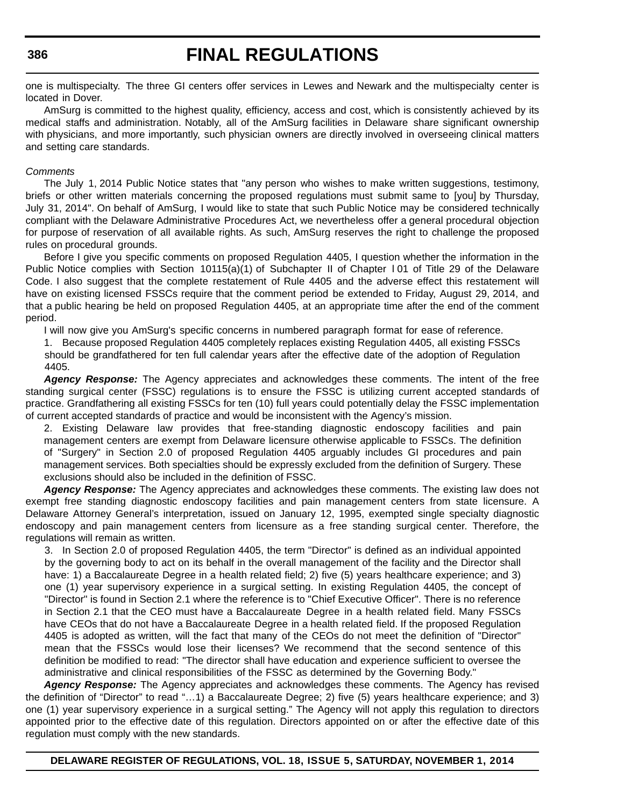one is multispecialty. The three GI centers offer services in Lewes and Newark and the multispecialty center is located in Dover.

AmSurg is committed to the highest quality, efficiency, access and cost, which is consistently achieved by its medical staffs and administration. Notably, all of the AmSurg facilities in Delaware share significant ownership with physicians, and more importantly, such physician owners are directly involved in overseeing clinical matters and setting care standards.

#### *Comments*

The July 1, 2014 Public Notice states that "any person who wishes to make written suggestions, testimony, briefs or other written materials concerning the proposed regulations must submit same to [you] by Thursday, July 31, 2014". On behalf of AmSurg, I would like to state that such Public Notice may be considered technically compliant with the Delaware Administrative Procedures Act, we nevertheless offer a general procedural objection for purpose of reservation of all available rights. As such, AmSurg reserves the right to challenge the proposed rules on procedural grounds.

Before I give you specific comments on proposed Regulation 4405, I question whether the information in the Public Notice complies with Section 10115(a)(1) of Subchapter II of Chapter 101 of Title 29 of the Delaware Code. I also suggest that the complete restatement of Rule 4405 and the adverse effect this restatement will have on existing licensed FSSCs require that the comment period be extended to Friday, August 29, 2014, and that a public hearing be held on proposed Regulation 4405, at an appropriate time after the end of the comment period.

I will now give you AmSurg's specific concerns in numbered paragraph format for ease of reference.

1. Because proposed Regulation 4405 completely replaces existing Regulation 4405, all existing FSSCs should be grandfathered for ten full calendar years after the effective date of the adoption of Regulation 4405.

*Agency Response:* The Agency appreciates and acknowledges these comments. The intent of the free standing surgical center (FSSC) regulations is to ensure the FSSC is utilizing current accepted standards of practice. Grandfathering all existing FSSCs for ten (10) full years could potentially delay the FSSC implementation of current accepted standards of practice and would be inconsistent with the Agency's mission.

2. Existing Delaware law provides that free-standing diagnostic endoscopy facilities and pain management centers are exempt from Delaware licensure otherwise applicable to FSSCs. The definition of "Surgery" in Section 2.0 of proposed Regulation 4405 arguably includes GI procedures and pain management services. Both specialties should be expressly excluded from the definition of Surgery. These exclusions should also be included in the definition of FSSC.

*Agency Response:* The Agency appreciates and acknowledges these comments. The existing law does not exempt free standing diagnostic endoscopy facilities and pain management centers from state licensure. A Delaware Attorney General's interpretation, issued on January 12, 1995, exempted single specialty diagnostic endoscopy and pain management centers from licensure as a free standing surgical center. Therefore, the regulations will remain as written.

3. In Section 2.0 of proposed Regulation 4405, the term "Director" is defined as an individual appointed by the governing body to act on its behalf in the overall management of the facility and the Director shall have: 1) a Baccalaureate Degree in a health related field; 2) five (5) years healthcare experience; and 3) one (1) year supervisory experience in a surgical setting. In existing Regulation 4405, the concept of "Director" is found in Section 2.1 where the reference is to "Chief Executive Officer". There is no reference in Section 2.1 that the CEO must have a Baccalaureate Degree in a health related field. Many FSSCs have CEOs that do not have a Baccalaureate Degree in a health related field. If the proposed Regulation 4405 is adopted as written, will the fact that many of the CEOs do not meet the definition of "Director" mean that the FSSCs would lose their licenses? We recommend that the second sentence of this definition be modified to read: "The director shall have education and experience sufficient to oversee the administrative and clinical responsibilities of the FSSC as determined by the Governing Body."

*Agency Response:* The Agency appreciates and acknowledges these comments. The Agency has revised the definition of "Director" to read "…1) a Baccalaureate Degree; 2) five (5) years healthcare experience; and 3) one (1) year supervisory experience in a surgical setting." The Agency will not apply this regulation to directors appointed prior to the effective date of this regulation. Directors appointed on or after the effective date of this regulation must comply with the new standards.

#### **386**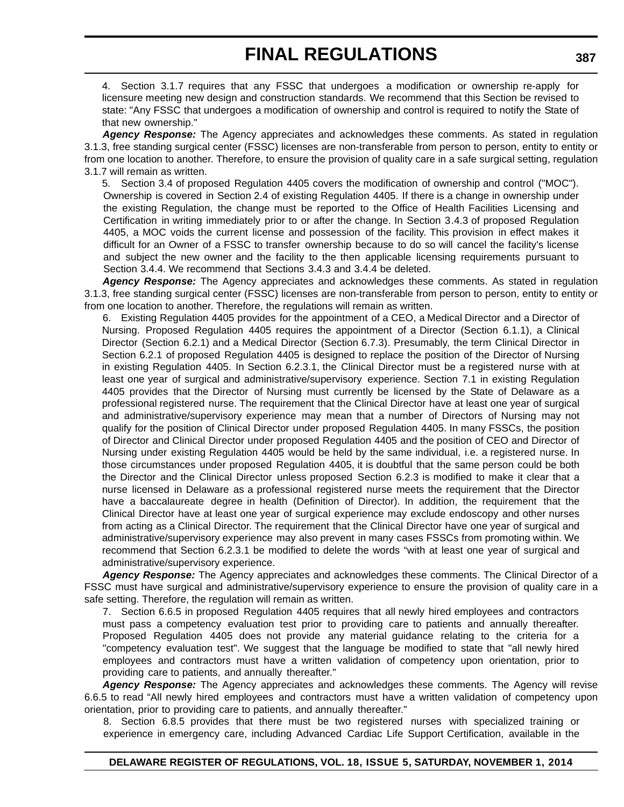4. Section 3.1.7 requires that any FSSC that undergoes a modification or ownership re-apply for licensure meeting new design and construction standards. We recommend that this Section be revised to state: "Any FSSC that undergoes a modification of ownership and control is required to notify the State of that new ownership."

*Agency Response:* The Agency appreciates and acknowledges these comments. As stated in regulation 3.1.3, free standing surgical center (FSSC) licenses are non-transferable from person to person, entity to entity or from one location to another. Therefore, to ensure the provision of quality care in a safe surgical setting, regulation 3.1.7 will remain as written.

5. Section 3.4 of proposed Regulation 4405 covers the modification of ownership and control ("MOC"). Ownership is covered in Section 2.4 of existing Regulation 4405. If there is a change in ownership under the existing Regulation, the change must be reported to the Office of Health Facilities Licensing and Certification in writing immediately prior to or after the change. In Section 3.4.3 of proposed Regulation 4405, a MOC voids the current license and possession of the facility. This provision in effect makes it difficult for an Owner of a FSSC to transfer ownership because to do so will cancel the facility's license and subject the new owner and the facility to the then applicable licensing requirements pursuant to Section 3.4.4. We recommend that Sections 3.4.3 and 3.4.4 be deleted.

*Agency Response:* The Agency appreciates and acknowledges these comments. As stated in regulation 3.1.3, free standing surgical center (FSSC) licenses are non-transferable from person to person, entity to entity or from one location to another. Therefore, the regulations will remain as written.

6. Existing Regulation 4405 provides for the appointment of a CEO, a Medical Director and a Director of Nursing. Proposed Regulation 4405 requires the appointment of a Director (Section 6.1.1), a Clinical Director (Section 6.2.1) and a Medical Director (Section 6.7.3). Presumably, the term Clinical Director in Section 6.2.1 of proposed Regulation 4405 is designed to replace the position of the Director of Nursing in existing Regulation 4405. In Section 6.2.3.1, the Clinical Director must be a registered nurse with at least one year of surgical and administrative/supervisory experience. Section 7.1 in existing Regulation 4405 provides that the Director of Nursing must currently be licensed by the State of Delaware as a professional registered nurse. The requirement that the Clinical Director have at least one year of surgical and administrative/supervisory experience may mean that a number of Directors of Nursing may not qualify for the position of Clinical Director under proposed Regulation 4405. In many FSSCs, the position of Director and Clinical Director under proposed Regulation 4405 and the position of CEO and Director of Nursing under existing Regulation 4405 would be held by the same individual, i.e. a registered nurse. In those circumstances under proposed Regulation 4405, it is doubtful that the same person could be both the Director and the Clinical Director unless proposed Section 6.2.3 is modified to make it clear that a nurse licensed in Delaware as a professional registered nurse meets the requirement that the Director have a baccalaureate degree in health (Definition of Director). In addition, the requirement that the Clinical Director have at least one year of surgical experience may exclude endoscopy and other nurses from acting as a Clinical Director. The requirement that the Clinical Director have one year of surgical and administrative/supervisory experience may also prevent in many cases FSSCs from promoting within. We recommend that Section 6.2.3.1 be modified to delete the words "with at least one year of surgical and administrative/supervisory experience.

*Agency Response:* The Agency appreciates and acknowledges these comments. The Clinical Director of a FSSC must have surgical and administrative/supervisory experience to ensure the provision of quality care in a safe setting. Therefore, the regulation will remain as written.

7. Section 6.6.5 in proposed Regulation 4405 requires that all newly hired employees and contractors must pass a competency evaluation test prior to providing care to patients and annually thereafter. Proposed Regulation 4405 does not provide any material guidance relating to the criteria for a "competency evaluation test". We suggest that the language be modified to state that "all newly hired employees and contractors must have a written validation of competency upon orientation, prior to providing care to patients, and annually thereafter."

*Agency Response:* The Agency appreciates and acknowledges these comments. The Agency will revise 6.6.5 to read "All newly hired employees and contractors must have a written validation of competency upon orientation, prior to providing care to patients, and annually thereafter."

8. Section 6.8.5 provides that there must be two registered nurses with specialized training or experience in emergency care, including Advanced Cardiac Life Support Certification, available in the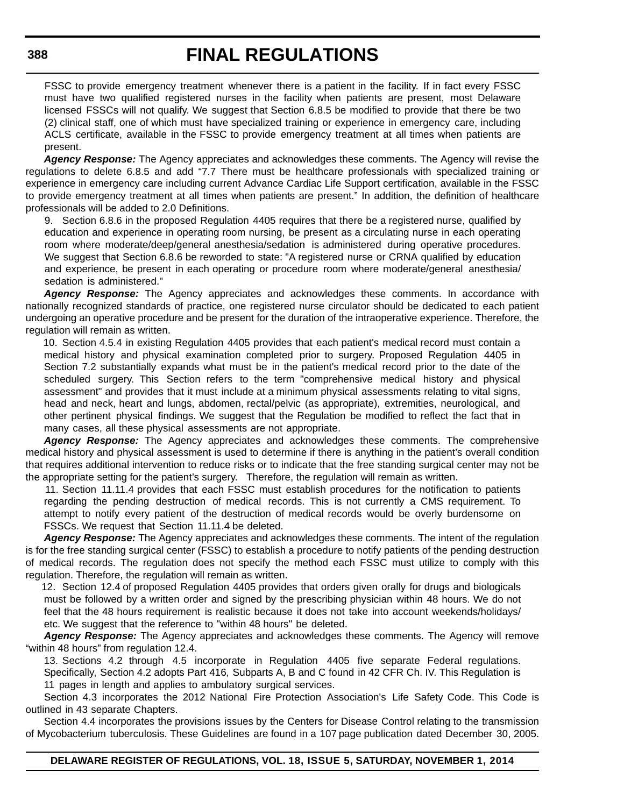FSSC to provide emergency treatment whenever there is a patient in the facility. If in fact every FSSC must have two qualified registered nurses in the facility when patients are present, most Delaware licensed FSSCs will not qualify. We suggest that Section 6.8.5 be modified to provide that there be two (2) clinical staff, one of which must have specialized training or experience in emergency care, including ACLS certificate, available in the FSSC to provide emergency treatment at all times when patients are present.

*Agency Response:* The Agency appreciates and acknowledges these comments. The Agency will revise the regulations to delete 6.8.5 and add "7.7 There must be healthcare professionals with specialized training or experience in emergency care including current Advance Cardiac Life Support certification, available in the FSSC to provide emergency treatment at all times when patients are present." In addition, the definition of healthcare professionals will be added to 2.0 Definitions.

9. Section 6.8.6 in the proposed Regulation 4405 requires that there be a registered nurse, qualified by education and experience in operating room nursing, be present as a circulating nurse in each operating room where moderate/deep/general anesthesia/sedation is administered during operative procedures. We suggest that Section 6.8.6 be reworded to state: "A registered nurse or CRNA qualified by education and experience, be present in each operating or procedure room where moderate/general anesthesia/ sedation is administered."

*Agency Response:* The Agency appreciates and acknowledges these comments. In accordance with nationally recognized standards of practice, one registered nurse circulator should be dedicated to each patient undergoing an operative procedure and be present for the duration of the intraoperative experience. Therefore, the regulation will remain as written.

10. Section 4.5.4 in existing Regulation 4405 provides that each patient's medical record must contain a medical history and physical examination completed prior to surgery. Proposed Regulation 4405 in Section 7.2 substantially expands what must be in the patient's medical record prior to the date of the scheduled surgery. This Section refers to the term "comprehensive medical history and physical assessment" and provides that it must include at a minimum physical assessments relating to vital signs, head and neck, heart and lungs, abdomen, rectal/pelvic (as appropriate), extremities, neurological, and other pertinent physical findings. We suggest that the Regulation be modified to reflect the fact that in many cases, all these physical assessments are not appropriate.

*Agency Response:* The Agency appreciates and acknowledges these comments. The comprehensive medical history and physical assessment is used to determine if there is anything in the patient's overall condition that requires additional intervention to reduce risks or to indicate that the free standing surgical center may not be the appropriate setting for the patient's surgery. Therefore, the regulation will remain as written.

11. Section 11.11.4 provides that each FSSC must establish procedures for the notification to patients regarding the pending destruction of medical records. This is not currently a CMS requirement. To attempt to notify every patient of the destruction of medical records would be overly burdensome on FSSCs. We request that Section 11.11.4 be deleted.

*Agency Response:* The Agency appreciates and acknowledges these comments. The intent of the regulation is for the free standing surgical center (FSSC) to establish a procedure to notify patients of the pending destruction of medical records. The regulation does not specify the method each FSSC must utilize to comply with this regulation. Therefore, the regulation will remain as written.

12. Section 12.4 of proposed Regulation 4405 provides that orders given orally for drugs and biologicals must be followed by a written order and signed by the prescribing physician within 48 hours. We do not feel that the 48 hours requirement is realistic because it does not take into account weekends/holidays/ etc. We suggest that the reference to "within 48 hours" be deleted.

*Agency Response:* The Agency appreciates and acknowledges these comments. The Agency will remove "within 48 hours" from regulation 12.4.

13. Sections 4.2 through 4.5 incorporate in Regulation 4405 five separate Federal regulations. Specifically, Section 4.2 adopts Part 416, Subparts A, B and C found in 42 CFR Ch. IV. This Regulation is 11 pages in length and applies to ambulatory surgical services.

Section 4.3 incorporates the 2012 National Fire Protection Association's Life Safety Code. This Code is outlined in 43 separate Chapters.

Section 4.4 incorporates the provisions issues by the Centers for Disease Control relating to the transmission of Mycobacterium tuberculosis. These Guidelines are found in a 107 page publication dated December 30, 2005.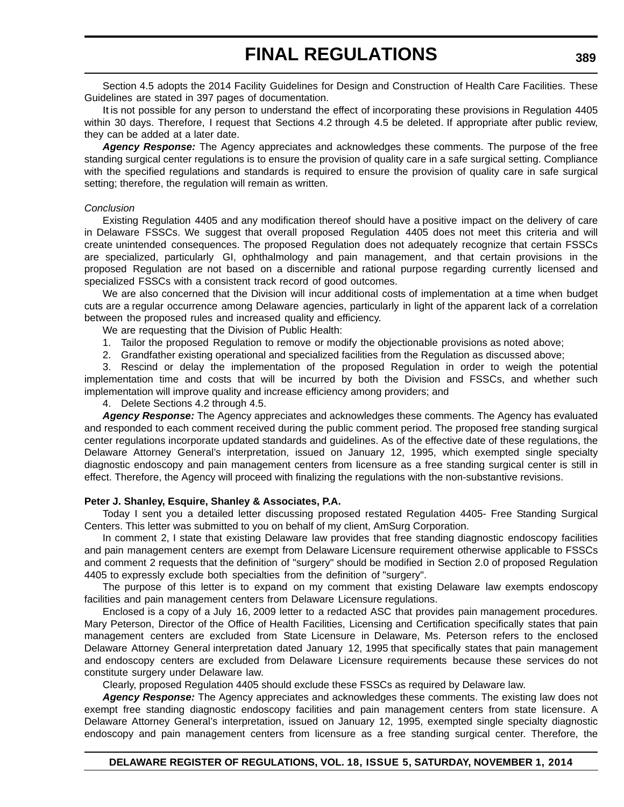Section 4.5 adopts the 2014 Facility Guidelines for Design and Construction of Health Care Facilities. These Guidelines are stated in 397 pages of documentation.

It is not possible for any person to understand the effect of incorporating these provisions in Regulation 4405 within 30 days. Therefore, I request that Sections 4.2 through 4.5 be deleted. If appropriate after public review, they can be added at a later date.

*Agency Response:* The Agency appreciates and acknowledges these comments. The purpose of the free standing surgical center regulations is to ensure the provision of quality care in a safe surgical setting. Compliance with the specified regulations and standards is required to ensure the provision of quality care in safe surgical setting; therefore, the regulation will remain as written.

#### *Conclusion*

Existing Regulation 4405 and any modification thereof should have a positive impact on the delivery of care in Delaware FSSCs. We suggest that overall proposed Regulation 4405 does not meet this criteria and will create unintended consequences. The proposed Regulation does not adequately recognize that certain FSSCs are specialized, particularly GI, ophthalmology and pain management, and that certain provisions in the proposed Regulation are not based on a discernible and rational purpose regarding currently licensed and specialized FSSCs with a consistent track record of good outcomes.

We are also concerned that the Division will incur additional costs of implementation at a time when budget cuts are a regular occurrence among Delaware agencies, particularly in light of the apparent lack of a correlation between the proposed rules and increased quality and efficiency.

We are requesting that the Division of Public Health:

1. Tailor the proposed Regulation to remove or modify the objectionable provisions as noted above;

2. Grandfather existing operational and specialized facilities from the Regulation as discussed above;

3. Rescind or delay the implementation of the proposed Regulation in order to weigh the potential implementation time and costs that will be incurred by both the Division and FSSCs, and whether such implementation will improve quality and increase efficiency among providers; and

4. Delete Sections 4.2 through 4.5.

*Agency Response:* The Agency appreciates and acknowledges these comments. The Agency has evaluated and responded to each comment received during the public comment period. The proposed free standing surgical center regulations incorporate updated standards and guidelines. As of the effective date of these regulations, the Delaware Attorney General's interpretation, issued on January 12, 1995, which exempted single specialty diagnostic endoscopy and pain management centers from licensure as a free standing surgical center is still in effect. Therefore, the Agency will proceed with finalizing the regulations with the non-substantive revisions.

#### **Peter J. Shanley, Esquire, Shanley & Associates, P.A.**

Today I sent you a detailed letter discussing proposed restated Regulation 4405- Free Standing Surgical Centers. This letter was submitted to you on behalf of my client, AmSurg Corporation.

In comment 2, I state that existing Delaware law provides that free standing diagnostic endoscopy facilities and pain management centers are exempt from Delaware Licensure requirement otherwise applicable to FSSCs and comment 2 requests that the definition of "surgery" should be modified in Section 2.0 of proposed Regulation 4405 to expressly exclude both specialties from the definition of "surgery".

The purpose of this letter is to expand on my comment that existing Delaware law exempts endoscopy facilities and pain management centers from Delaware Licensure regulations.

Enclosed is a copy of a July 16, 2009 letter to a redacted ASC that provides pain management procedures. Mary Peterson, Director of the Office of Health Facilities, Licensing and Certification specifically states that pain management centers are excluded from State Licensure in Delaware, Ms. Peterson refers to the enclosed Delaware Attorney General interpretation dated January 12, 1995 that specifically states that pain management and endoscopy centers are excluded from Delaware Licensure requirements because these services do not constitute surgery under Delaware law.

Clearly, proposed Regulation 4405 should exclude these FSSCs as required by Delaware law.

*Agency Response:* The Agency appreciates and acknowledges these comments. The existing law does not exempt free standing diagnostic endoscopy facilities and pain management centers from state licensure. A Delaware Attorney General's interpretation, issued on January 12, 1995, exempted single specialty diagnostic endoscopy and pain management centers from licensure as a free standing surgical center. Therefore, the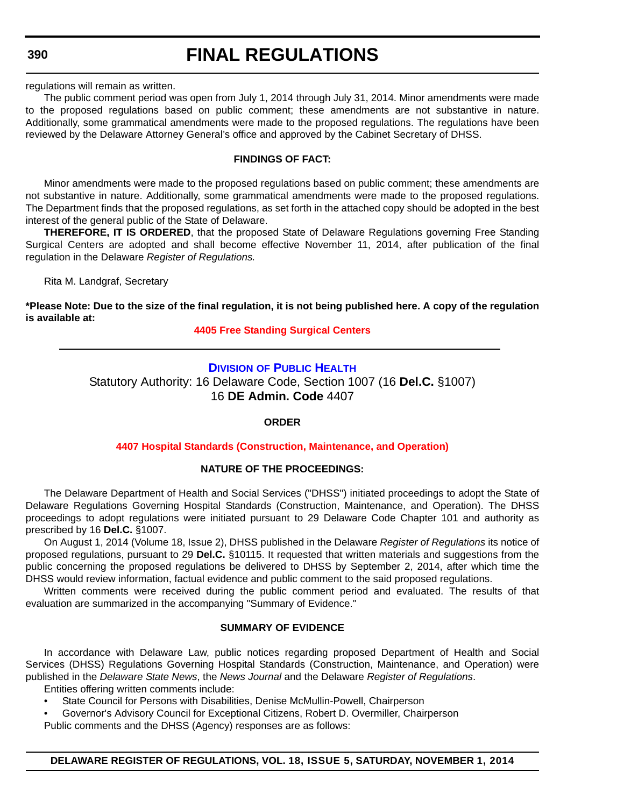**390**

# **FINAL REGULATIONS**

regulations will remain as written.

The public comment period was open from July 1, 2014 through July 31, 2014. Minor amendments were made to the proposed regulations based on public comment; these amendments are not substantive in nature. Additionally, some grammatical amendments were made to the proposed regulations. The regulations have been reviewed by the Delaware Attorney General's office and approved by the Cabinet Secretary of DHSS.

#### **FINDINGS OF FACT:**

Minor amendments were made to the proposed regulations based on public comment; these amendments are not substantive in nature. Additionally, some grammatical amendments were made to the proposed regulations. The Department finds that the proposed regulations, as set forth in the attached copy should be adopted in the best interest of the general public of the State of Delaware.

**THEREFORE, IT IS ORDERED**, that the proposed State of Delaware Regulations governing Free Standing Surgical Centers are adopted and shall become effective November 11, 2014, after publication of the final regulation in the Delaware *Register of Regulations.*

Rita M. Landgraf, Secretary

**\*Please Note: Due to the size of the final regulation, it is not being published here. A copy of the regulation is available at:**

**[4405 Free Standing Surgical Centers](http://regulations.delaware.gov/register/november2014/final/18 DE Reg 378 11-01-14.htm)**

### **DIVISION [OF PUBLIC HEALTH](http://www.dhss.delaware.gov/dhss/dph/index.htm)**

Statutory Authority: 16 Delaware Code, Section 1007 (16 **Del.C.** §1007) 16 **DE Admin. Code** 4407

#### **ORDER**

#### **[4407 Hospital Standards \(Construction, Maintenance, and Operation\)](#page-4-0)**

#### **NATURE OF THE PROCEEDINGS:**

The Delaware Department of Health and Social Services ("DHSS") initiated proceedings to adopt the State of Delaware Regulations Governing Hospital Standards (Construction, Maintenance, and Operation). The DHSS proceedings to adopt regulations were initiated pursuant to 29 Delaware Code Chapter 101 and authority as prescribed by 16 **Del.C.** §1007.

On August 1, 2014 (Volume 18, Issue 2), DHSS published in the Delaware *Register of Regulations* its notice of proposed regulations, pursuant to 29 **Del.C.** §10115. It requested that written materials and suggestions from the public concerning the proposed regulations be delivered to DHSS by September 2, 2014, after which time the DHSS would review information, factual evidence and public comment to the said proposed regulations.

Written comments were received during the public comment period and evaluated. The results of that evaluation are summarized in the accompanying "Summary of Evidence."

# **SUMMARY OF EVIDENCE**

In accordance with Delaware Law, public notices regarding proposed Department of Health and Social Services (DHSS) Regulations Governing Hospital Standards (Construction, Maintenance, and Operation) were published in the *Delaware State News*, the *News Journal* and the Delaware *Register of Regulations*. Entities offering written comments include:

- State Council for Persons with Disabilities, Denise McMullin-Powell, Chairperson
- Governor's Advisory Council for Exceptional Citizens, Robert D. Overmiller, Chairperson

Public comments and the DHSS (Agency) responses are as follows: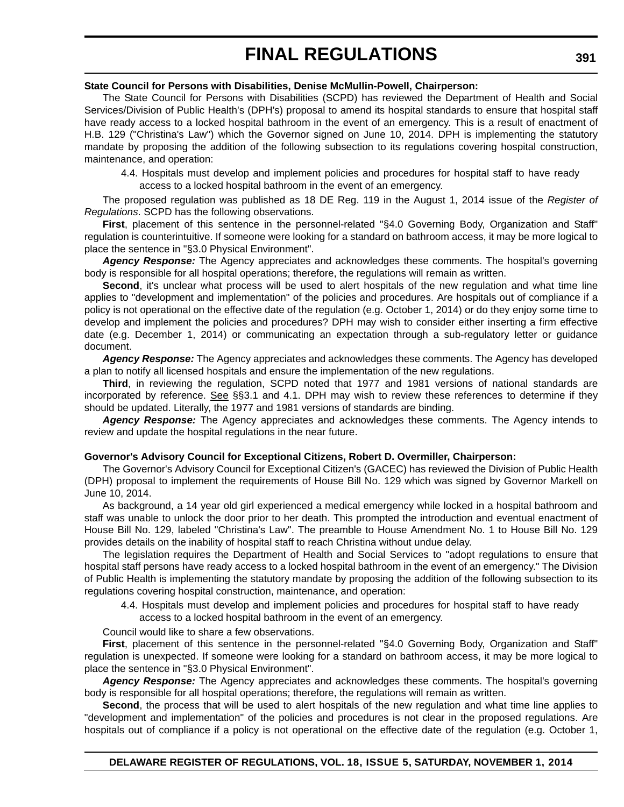### **State Council for Persons with Disabilities, Denise McMullin-Powell, Chairperson:**

The State Council for Persons with Disabilities (SCPD) has reviewed the Department of Health and Social Services/Division of Public Health's (DPH's) proposal to amend its hospital standards to ensure that hospital staff have ready access to a locked hospital bathroom in the event of an emergency. This is a result of enactment of H.B. 129 ("Christina's Law") which the Governor signed on June 10, 2014. DPH is implementing the statutory mandate by proposing the addition of the following subsection to its regulations covering hospital construction, maintenance, and operation:

4.4. Hospitals must develop and implement policies and procedures for hospital staff to have ready access to a locked hospital bathroom in the event of an emergency.

The proposed regulation was published as 18 DE Reg. 119 in the August 1, 2014 issue of the *Register of Regulations*. SCPD has the following observations.

**First**, placement of this sentence in the personnel-related "§4.0 Governing Body, Organization and Staff" regulation is counterintuitive. If someone were looking for a standard on bathroom access, it may be more logical to place the sentence in "§3.0 Physical Environment".

*Agency Response:* The Agency appreciates and acknowledges these comments. The hospital's governing body is responsible for all hospital operations; therefore, the regulations will remain as written.

**Second**, it's unclear what process will be used to alert hospitals of the new regulation and what time line applies to "development and implementation" of the policies and procedures. Are hospitals out of compliance if a policy is not operational on the effective date of the regulation (e.g. October 1, 2014) or do they enjoy some time to develop and implement the policies and procedures? DPH may wish to consider either inserting a firm effective date (e.g. December 1, 2014) or communicating an expectation through a sub-regulatory letter or guidance document.

*Agency Response:* The Agency appreciates and acknowledges these comments. The Agency has developed a plan to notify all licensed hospitals and ensure the implementation of the new regulations.

**Third**, in reviewing the regulation, SCPD noted that 1977 and 1981 versions of national standards are incorporated by reference. See §§3.1 and 4.1. DPH may wish to review these references to determine if they should be updated. Literally, the 1977 and 1981 versions of standards are binding.

*Agency Response:* The Agency appreciates and acknowledges these comments. The Agency intends to review and update the hospital regulations in the near future.

# **Governor's Advisory Council for Exceptional Citizens, Robert D. Overmiller, Chairperson:**

The Governor's Advisory Council for Exceptional Citizen's (GACEC) has reviewed the Division of Public Health (DPH) proposal to implement the requirements of House Bill No. 129 which was signed by Governor Markell on June 10, 2014.

As background, a 14 year old girl experienced a medical emergency while locked in a hospital bathroom and staff was unable to unlock the door prior to her death. This prompted the introduction and eventual enactment of House Bill No. 129, labeled "Christina's Law". The preamble to House Amendment No. 1 to House Bill No. 129 provides details on the inability of hospital staff to reach Christina without undue delay.

The legislation requires the Department of Health and Social Services to "adopt regulations to ensure that hospital staff persons have ready access to a locked hospital bathroom in the event of an emergency." The Division of Public Health is implementing the statutory mandate by proposing the addition of the following subsection to its regulations covering hospital construction, maintenance, and operation:

4.4. Hospitals must develop and implement policies and procedures for hospital staff to have ready access to a locked hospital bathroom in the event of an emergency.

Council would like to share a few observations.

**First**, placement of this sentence in the personnel-related "§4.0 Governing Body, Organization and Staff" regulation is unexpected. If someone were looking for a standard on bathroom access, it may be more logical to place the sentence in "§3.0 Physical Environment".

*Agency Response:* The Agency appreciates and acknowledges these comments. The hospital's governing body is responsible for all hospital operations; therefore, the regulations will remain as written.

**Second**, the process that will be used to alert hospitals of the new regulation and what time line applies to "development and implementation" of the policies and procedures is not clear in the proposed regulations. Are hospitals out of compliance if a policy is not operational on the effective date of the regulation (e.g. October 1,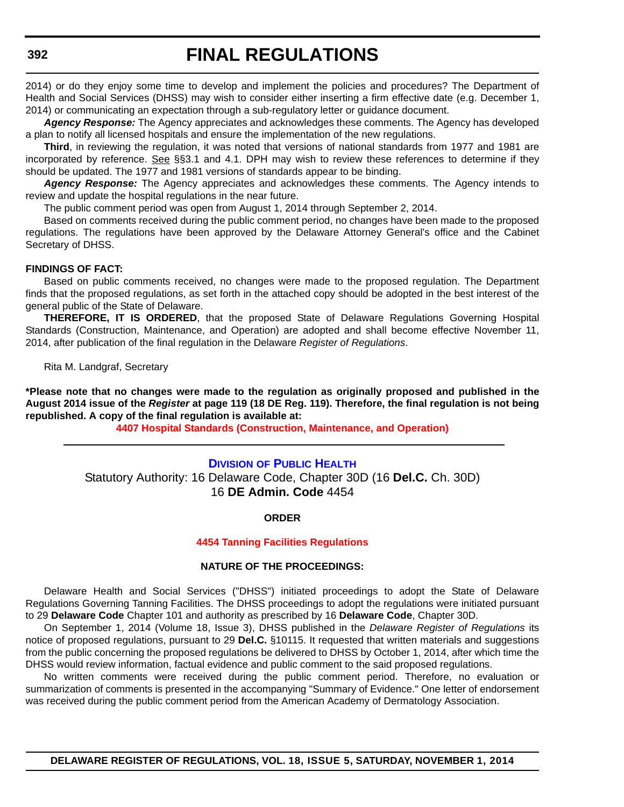2014) or do they enjoy some time to develop and implement the policies and procedures? The Department of Health and Social Services (DHSS) may wish to consider either inserting a firm effective date (e.g. December 1, 2014) or communicating an expectation through a sub-regulatory letter or guidance document.

*Agency Response:* The Agency appreciates and acknowledges these comments. The Agency has developed a plan to notify all licensed hospitals and ensure the implementation of the new regulations.

**Third**, in reviewing the regulation, it was noted that versions of national standards from 1977 and 1981 are incorporated by reference. See §§3.1 and 4.1. DPH may wish to review these references to determine if they should be updated. The 1977 and 1981 versions of standards appear to be binding.

*Agency Response:* The Agency appreciates and acknowledges these comments. The Agency intends to review and update the hospital regulations in the near future.

The public comment period was open from August 1, 2014 through September 2, 2014.

Based on comments received during the public comment period, no changes have been made to the proposed regulations. The regulations have been approved by the Delaware Attorney General's office and the Cabinet Secretary of DHSS.

#### **FINDINGS OF FACT:**

Based on public comments received, no changes were made to the proposed regulation. The Department finds that the proposed regulations, as set forth in the attached copy should be adopted in the best interest of the general public of the State of Delaware.

**THEREFORE, IT IS ORDERED**, that the proposed State of Delaware Regulations Governing Hospital Standards (Construction, Maintenance, and Operation) are adopted and shall become effective November 11, 2014, after publication of the final regulation in the Delaware *Register of Regulations*.

Rita M. Landgraf, Secretary

**\*Please note that no changes were made to the regulation as originally proposed and published in the August 2014 issue of the** *Register* **at page 119 (18 DE Reg. 119). Therefore, the final regulation is not being republished. A copy of the final regulation is available at:**

**[4407 Hospital Standards \(Construction, Maintenance, and Operation\)](http://regulations.delaware.gov/register/november2014/final/18 DE Reg 390 11-01-14.htm)**

#### **DIVISION [OF PUBLIC HEALTH](http://dhss.delaware.gov/dhss/dph/index.html)**

Statutory Authority: 16 Delaware Code, Chapter 30D (16 **Del.C.** Ch. 30D) 16 **DE Admin. Code** 4454

#### **ORDER**

#### **[4454 Tanning Facilities Regulations](#page-4-0)**

#### **NATURE OF THE PROCEEDINGS:**

Delaware Health and Social Services ("DHSS") initiated proceedings to adopt the State of Delaware Regulations Governing Tanning Facilities. The DHSS proceedings to adopt the regulations were initiated pursuant to 29 **Delaware Code** Chapter 101 and authority as prescribed by 16 **Delaware Code**, Chapter 30D.

On September 1, 2014 (Volume 18, Issue 3), DHSS published in the *Delaware Register of Regulations* its notice of proposed regulations, pursuant to 29 **Del.C.** §10115. It requested that written materials and suggestions from the public concerning the proposed regulations be delivered to DHSS by October 1, 2014, after which time the DHSS would review information, factual evidence and public comment to the said proposed regulations.

No written comments were received during the public comment period. Therefore, no evaluation or summarization of comments is presented in the accompanying "Summary of Evidence." One letter of endorsement was received during the public comment period from the American Academy of Dermatology Association.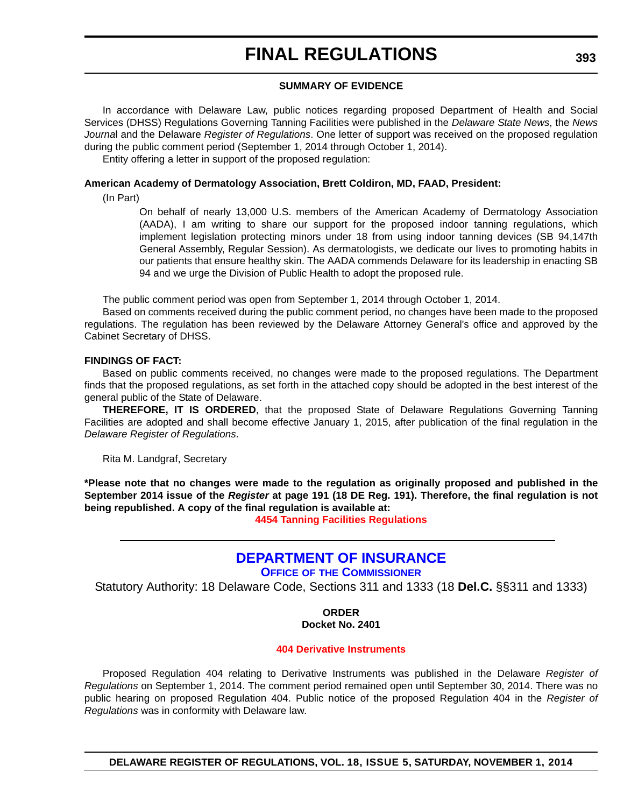### **SUMMARY OF EVIDENCE**

In accordance with Delaware Law, public notices regarding proposed Department of Health and Social Services (DHSS) Regulations Governing Tanning Facilities were published in the *Delaware State News*, the *News Journa*l and the Delaware *Register of Regulations*. One letter of support was received on the proposed regulation during the public comment period (September 1, 2014 through October 1, 2014).

Entity offering a letter in support of the proposed regulation:

#### **American Academy of Dermatology Association, Brett Coldiron, MD, FAAD, President:**

(In Part)

On behalf of nearly 13,000 U.S. members of the American Academy of Dermatology Association (AADA), I am writing to share our support for the proposed indoor tanning regulations, which implement legislation protecting minors under 18 from using indoor tanning devices (SB 94,147th General Assembly, Regular Session). As dermatologists, we dedicate our lives to promoting habits in our patients that ensure healthy skin. The AADA commends Delaware for its leadership in enacting SB 94 and we urge the Division of Public Health to adopt the proposed rule.

The public comment period was open from September 1, 2014 through October 1, 2014.

Based on comments received during the public comment period, no changes have been made to the proposed regulations. The regulation has been reviewed by the Delaware Attorney General's office and approved by the Cabinet Secretary of DHSS.

### **FINDINGS OF FACT:**

Based on public comments received, no changes were made to the proposed regulations. The Department finds that the proposed regulations, as set forth in the attached copy should be adopted in the best interest of the general public of the State of Delaware.

**THEREFORE, IT IS ORDERED**, that the proposed State of Delaware Regulations Governing Tanning Facilities are adopted and shall become effective January 1, 2015, after publication of the final regulation in the *Delaware Register of Regulations*.

Rita M. Landgraf, Secretary

**\*Please note that no changes were made to the regulation as originally proposed and published in the September 2014 issue of the** *Register* **at page 191 (18 DE Reg. 191). Therefore, the final regulation is not being republished. A copy of the final regulation is available at:**

**[4454 Tanning Facilities Regulations](http://regulations.delaware.gov/register/november2014/final/18 DE Reg 392 11-01-14.htm)**

# **[DEPARTMENT OF INSURANCE](http://www.delawareinsurance.gov/)**

**OFFICE OF THE COMMISSIONER**

Statutory Authority: 18 Delaware Code, Sections 311 and 1333 (18 **Del.C.** §§311 and 1333)

**ORDER**

#### **Docket No. 2401**

#### **[404 Derivative Instruments](#page-4-0)**

Proposed Regulation 404 relating to Derivative Instruments was published in the Delaware *Register of Regulations* on September 1, 2014. The comment period remained open until September 30, 2014. There was no public hearing on proposed Regulation 404. Public notice of the proposed Regulation 404 in the *Register of Regulations* was in conformity with Delaware law.

**DELAWARE REGISTER OF REGULATIONS, VOL. 18, ISSUE 5, SATURDAY, NOVEMBER 1, 2014**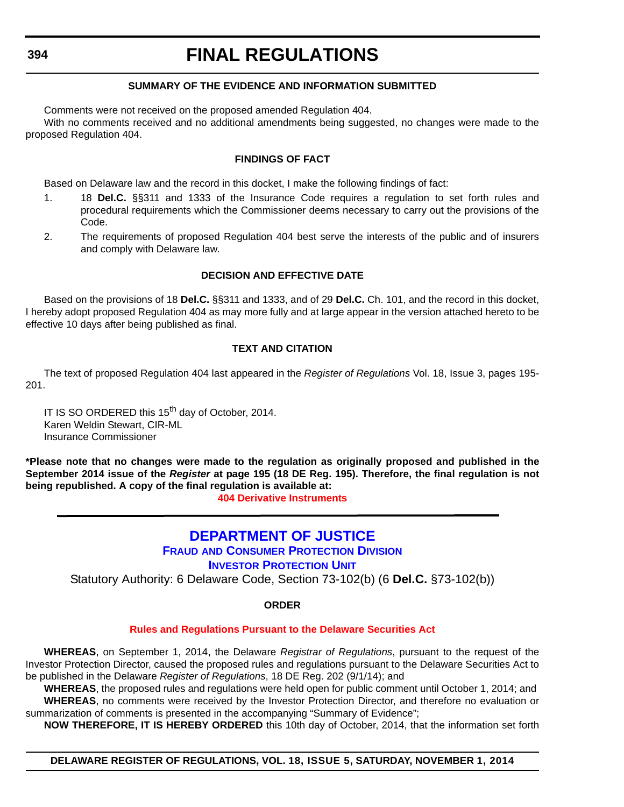# **SUMMARY OF THE EVIDENCE AND INFORMATION SUBMITTED**

Comments were not received on the proposed amended Regulation 404.

With no comments received and no additional amendments being suggested, no changes were made to the proposed Regulation 404.

#### **FINDINGS OF FACT**

Based on Delaware law and the record in this docket, I make the following findings of fact:

- 1. 18 **Del.C.** §§311 and 1333 of the Insurance Code requires a regulation to set forth rules and procedural requirements which the Commissioner deems necessary to carry out the provisions of the Code.
- 2. The requirements of proposed Regulation 404 best serve the interests of the public and of insurers and comply with Delaware law.

### **DECISION AND EFFECTIVE DATE**

Based on the provisions of 18 **Del.C.** §§311 and 1333, and of 29 **Del.C.** Ch. 101, and the record in this docket, I hereby adopt proposed Regulation 404 as may more fully and at large appear in the version attached hereto to be effective 10 days after being published as final.

#### **TEXT AND CITATION**

The text of proposed Regulation 404 last appeared in the *Register of Regulations* Vol. 18, Issue 3, pages 195- 201.

IT IS SO ORDERED this 15<sup>th</sup> day of October, 2014. Karen Weldin Stewart, CIR-ML Insurance Commissioner

**\*Please note that no changes were made to the regulation as originally proposed and published in the September 2014 issue of the** *Register* **at page 195 (18 DE Reg. 195). Therefore, the final regulation is not being republished. A copy of the final regulation is available at:**

**[404 Derivative Instruments](http://regulations.delaware.gov/register/november2014/final/18 DE Reg 393 11-01-14.htm)**

# **[DEPARTMENT OF JUSTICE](http://attorneygeneral.delaware.gov/fraud/index.shtml)**

### **FRAUD AND CONSUMER PROTECTION DIVISION**

**INVESTOR PROTECTION UNIT** 

Statutory Authority: 6 Delaware Code, Section 73-102(b) (6 **Del.C.** §73-102(b))

#### **ORDER**

#### **[Rules and Regulations Pursuant to the Delaware Securities Act](#page-4-0)**

**WHEREAS**, on September 1, 2014, the Delaware *Registrar of Regulations*, pursuant to the request of the Investor Protection Director, caused the proposed rules and regulations pursuant to the Delaware Securities Act to be published in the Delaware *Register of Regulations*, 18 DE Reg. 202 (9/1/14); and

**WHEREAS**, the proposed rules and regulations were held open for public comment until October 1, 2014; and **WHEREAS**, no comments were received by the Investor Protection Director, and therefore no evaluation or summarization of comments is presented in the accompanying "Summary of Evidence";

**NOW THEREFORE, IT IS HEREBY ORDERED** this 10th day of October, 2014, that the information set forth

#### **DELAWARE REGISTER OF REGULATIONS, VOL. 18, ISSUE 5, SATURDAY, NOVEMBER 1, 2014**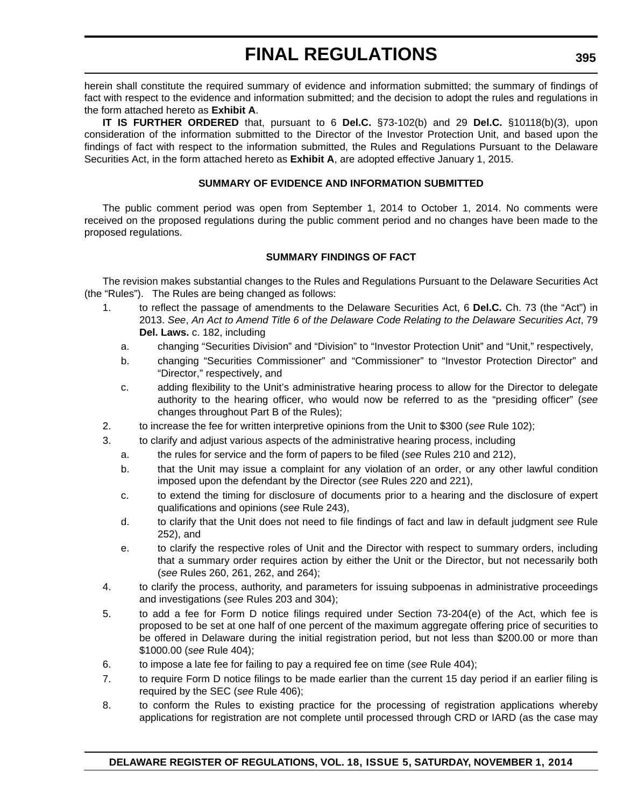herein shall constitute the required summary of evidence and information submitted; the summary of findings of fact with respect to the evidence and information submitted; and the decision to adopt the rules and regulations in the form attached hereto as **Exhibit A**.

**IT IS FURTHER ORDERED** that, pursuant to 6 **Del.C.** §73-102(b) and 29 **Del.C.** §10118(b)(3), upon consideration of the information submitted to the Director of the Investor Protection Unit, and based upon the findings of fact with respect to the information submitted, the Rules and Regulations Pursuant to the Delaware Securities Act, in the form attached hereto as **Exhibit A**, are adopted effective January 1, 2015.

### **SUMMARY OF EVIDENCE AND INFORMATION SUBMITTED**

The public comment period was open from September 1, 2014 to October 1, 2014. No comments were received on the proposed regulations during the public comment period and no changes have been made to the proposed regulations.

# **SUMMARY FINDINGS OF FACT**

The revision makes substantial changes to the Rules and Regulations Pursuant to the Delaware Securities Act (the "Rules"). The Rules are being changed as follows:

- 1. to reflect the passage of amendments to the Delaware Securities Act, 6 **Del.C.** Ch. 73 (the "Act") in 2013. *See*, *An Act to Amend Title 6 of the Delaware Code Relating to the Delaware Securities Act*, 79 **Del. Laws.** c. 182, including
	- a. changing "Securities Division" and "Division" to "Investor Protection Unit" and "Unit," respectively,
	- b. changing "Securities Commissioner" and "Commissioner" to "Investor Protection Director" and "Director," respectively, and
	- c. adding flexibility to the Unit's administrative hearing process to allow for the Director to delegate authority to the hearing officer, who would now be referred to as the "presiding officer" (*see* changes throughout Part B of the Rules);
- 2. to increase the fee for written interpretive opinions from the Unit to \$300 (*see* Rule 102);
- 3. to clarify and adjust various aspects of the administrative hearing process, including
	- a. the rules for service and the form of papers to be filed (*see* Rules 210 and 212),
	- b. that the Unit may issue a complaint for any violation of an order, or any other lawful condition imposed upon the defendant by the Director (*see* Rules 220 and 221),
	- c. to extend the timing for disclosure of documents prior to a hearing and the disclosure of expert qualifications and opinions (*see* Rule 243),
	- d. to clarify that the Unit does not need to file findings of fact and law in default judgment *see* Rule 252), and
	- e. to clarify the respective roles of Unit and the Director with respect to summary orders, including that a summary order requires action by either the Unit or the Director, but not necessarily both (*see* Rules 260, 261, 262, and 264);
- 4. to clarify the process, authority, and parameters for issuing subpoenas in administrative proceedings and investigations (*see* Rules 203 and 304);
- 5. to add a fee for Form D notice filings required under Section 73-204(e) of the Act, which fee is proposed to be set at one half of one percent of the maximum aggregate offering price of securities to be offered in Delaware during the initial registration period, but not less than \$200.00 or more than \$1000.00 (*see* Rule 404);
- 6. to impose a late fee for failing to pay a required fee on time (*see* Rule 404);
- 7. to require Form D notice filings to be made earlier than the current 15 day period if an earlier filing is required by the SEC (*see* Rule 406);
- 8. to conform the Rules to existing practice for the processing of registration applications whereby applications for registration are not complete until processed through CRD or IARD (as the case may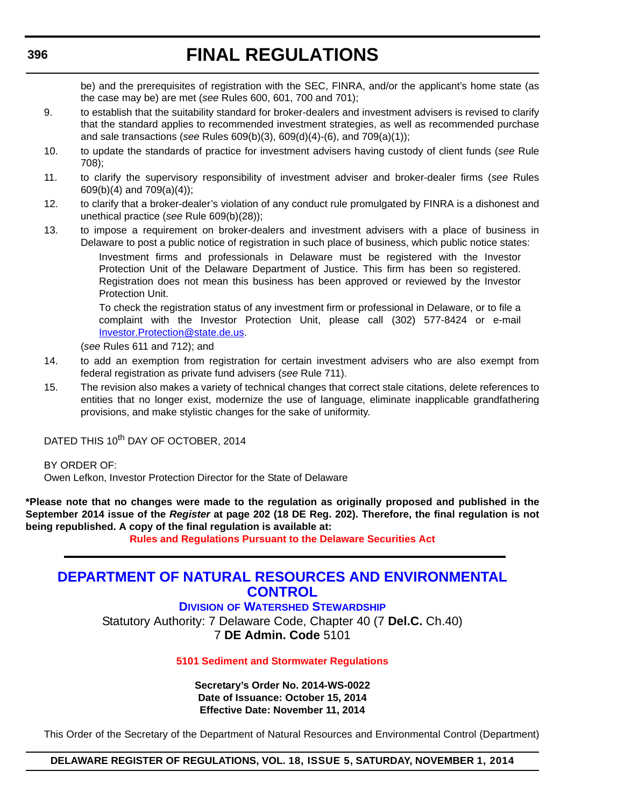be) and the prerequisites of registration with the SEC, FINRA, and/or the applicant's home state (as the case may be) are met (*see* Rules 600, 601, 700 and 701);

- 9. to establish that the suitability standard for broker-dealers and investment advisers is revised to clarify that the standard applies to recommended investment strategies, as well as recommended purchase and sale transactions (*see* Rules 609(b)(3), 609(d)(4)-(6), and 709(a)(1));
- 10. to update the standards of practice for investment advisers having custody of client funds (*see* Rule 708);
- 11. to clarify the supervisory responsibility of investment adviser and broker-dealer firms (*see* Rules 609(b)(4) and 709(a)(4));
- 12. to clarify that a broker-dealer's violation of any conduct rule promulgated by FINRA is a dishonest and unethical practice (*see* Rule 609(b)(28));
- 13. to impose a requirement on broker-dealers and investment advisers with a place of business in Delaware to post a public notice of registration in such place of business, which public notice states:

Investment firms and professionals in Delaware must be registered with the Investor Protection Unit of the Delaware Department of Justice. This firm has been so registered. Registration does not mean this business has been approved or reviewed by the Investor Protection Unit.

To check the registration status of any investment firm or professional in Delaware, or to file a complaint with the Investor Protection Unit, please call (302) 577-8424 or e-mail Investor.Protection@state.de.us.

(*see* Rules 611 and 712); and

- 14. to add an exemption from registration for certain investment advisers who are also exempt from federal registration as private fund advisers (*see* Rule 711).
- 15. The revision also makes a variety of technical changes that correct stale citations, delete references to entities that no longer exist, modernize the use of language, eliminate inapplicable grandfathering provisions, and make stylistic changes for the sake of uniformity.

DATED THIS 10<sup>th</sup> DAY OF OCTOBER, 2014

BY ORDER OF:

Owen Lefkon, Investor Protection Director for the State of Delaware

**\*Please note that no changes were made to the regulation as originally proposed and published in the September 2014 issue of the** *Register* **at page 202 (18 DE Reg. 202). Therefore, the final regulation is not being republished. A copy of the final regulation is available at:**

**[Rules and Regulations Pursuant to the Delaware Securities Act](http://regulations.delaware.gov/register/november2014/final/18 DE Reg 394 11-01-14.htm)**

# **[DEPARTMENT OF NATURAL RESOURCES AND ENVIRONMENTAL](http://www.dnrec.delaware.gov/swc/Pages/portal.aspx)  CONTROL**

**DIVISION OF WATERSHED STEWARDSHIP** Statutory Authority: 7 Delaware Code, Chapter 40 (7 **Del.C.** Ch.40) 7 **DE Admin. Code** 5101

# **[5101 Sediment and Stormwater Regulations](#page-4-0)**

**Secretary's Order No. 2014-WS-0022 Date of Issuance: October 15, 2014 Effective Date: November 11, 2014**

This Order of the Secretary of the Department of Natural Resources and Environmental Control (Department)

**DELAWARE REGISTER OF REGULATIONS, VOL. 18, ISSUE 5, SATURDAY, NOVEMBER 1, 2014**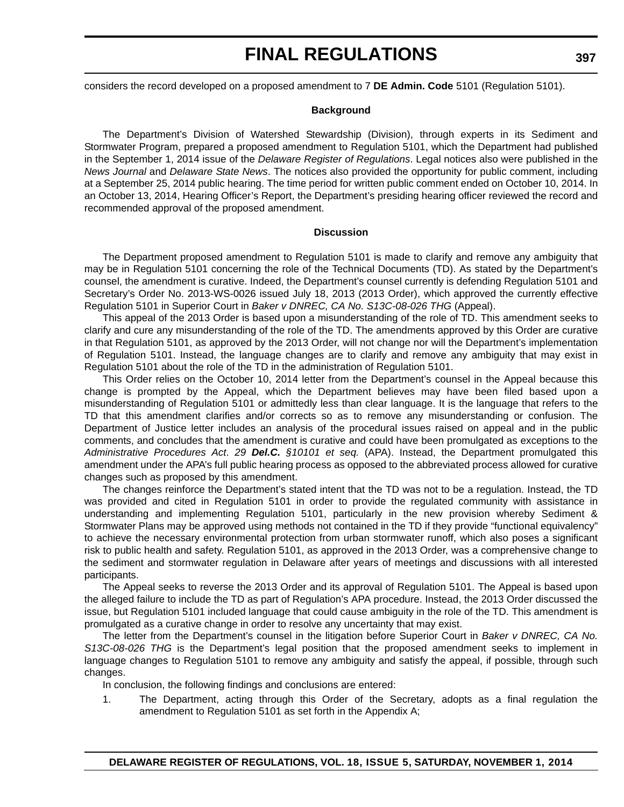considers the record developed on a proposed amendment to 7 **DE Admin. Code** 5101 (Regulation 5101).

#### **Background**

The Department's Division of Watershed Stewardship (Division), through experts in its Sediment and Stormwater Program, prepared a proposed amendment to Regulation 5101, which the Department had published in the September 1, 2014 issue of the *Delaware Register of Regulations*. Legal notices also were published in the *News Journal* and *Delaware State News*. The notices also provided the opportunity for public comment, including at a September 25, 2014 public hearing. The time period for written public comment ended on October 10, 2014. In an October 13, 2014, Hearing Officer's Report, the Department's presiding hearing officer reviewed the record and recommended approval of the proposed amendment.

#### **Discussion**

The Department proposed amendment to Regulation 5101 is made to clarify and remove any ambiguity that may be in Regulation 5101 concerning the role of the Technical Documents (TD). As stated by the Department's counsel, the amendment is curative. Indeed, the Department's counsel currently is defending Regulation 5101 and Secretary's Order No. 2013-WS-0026 issued July 18, 2013 (2013 Order), which approved the currently effective Regulation 5101 in Superior Court in *Baker v DNREC, CA No. S13C-08-026 THG* (Appeal).

This appeal of the 2013 Order is based upon a misunderstanding of the role of TD. This amendment seeks to clarify and cure any misunderstanding of the role of the TD. The amendments approved by this Order are curative in that Regulation 5101, as approved by the 2013 Order, will not change nor will the Department's implementation of Regulation 5101. Instead, the language changes are to clarify and remove any ambiguity that may exist in Regulation 5101 about the role of the TD in the administration of Regulation 5101.

This Order relies on the October 10, 2014 letter from the Department's counsel in the Appeal because this change is prompted by the Appeal, which the Department believes may have been filed based upon a misunderstanding of Regulation 5101 or admittedly less than clear language. It is the language that refers to the TD that this amendment clarifies and/or corrects so as to remove any misunderstanding or confusion. The Department of Justice letter includes an analysis of the procedural issues raised on appeal and in the public comments, and concludes that the amendment is curative and could have been promulgated as exceptions to the *Administrative Procedures Act*. *29 Del.C. §10101 et seq.* (APA). Instead, the Department promulgated this amendment under the APA's full public hearing process as opposed to the abbreviated process allowed for curative changes such as proposed by this amendment.

The changes reinforce the Department's stated intent that the TD was not to be a regulation. Instead, the TD was provided and cited in Regulation 5101 in order to provide the regulated community with assistance in understanding and implementing Regulation 5101, particularly in the new provision whereby Sediment & Stormwater Plans may be approved using methods not contained in the TD if they provide "functional equivalency" to achieve the necessary environmental protection from urban stormwater runoff, which also poses a significant risk to public health and safety. Regulation 5101, as approved in the 2013 Order, was a comprehensive change to the sediment and stormwater regulation in Delaware after years of meetings and discussions with all interested participants.

The Appeal seeks to reverse the 2013 Order and its approval of Regulation 5101. The Appeal is based upon the alleged failure to include the TD as part of Regulation's APA procedure. Instead, the 2013 Order discussed the issue, but Regulation 5101 included language that could cause ambiguity in the role of the TD. This amendment is promulgated as a curative change in order to resolve any uncertainty that may exist.

The letter from the Department's counsel in the litigation before Superior Court in *Baker v DNREC, CA No. S13C-08-026 THG* is the Department's legal position that the proposed amendment seeks to implement in language changes to Regulation 5101 to remove any ambiguity and satisfy the appeal, if possible, through such changes.

In conclusion, the following findings and conclusions are entered:

1. The Department, acting through this Order of the Secretary, adopts as a final regulation the amendment to Regulation 5101 as set forth in the Appendix A;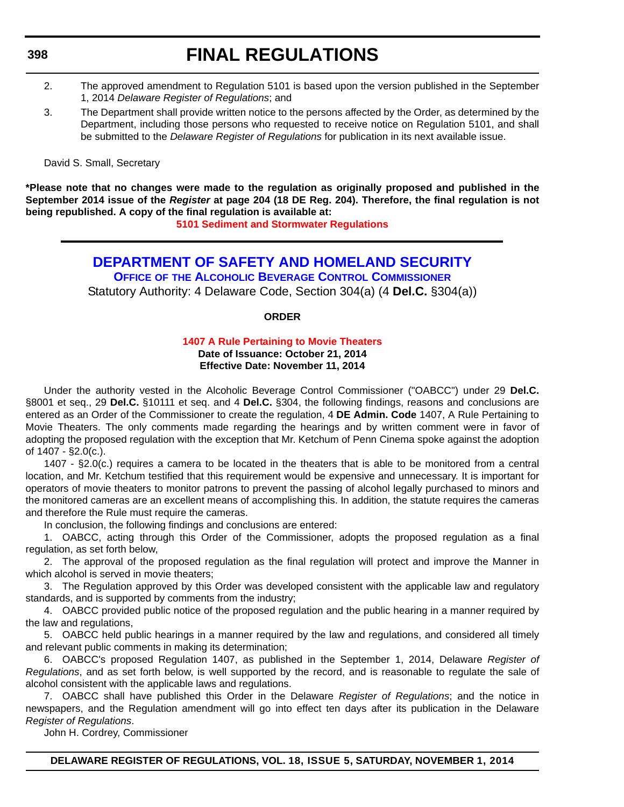#### **398**

# **FINAL REGULATIONS**

- 2. The approved amendment to Regulation 5101 is based upon the version published in the September 1, 2014 *Delaware Register of Regulations*; and
- 3. The Department shall provide written notice to the persons affected by the Order, as determined by the Department, including those persons who requested to receive notice on Regulation 5101, and shall be submitted to the *Delaware Register of Regulations* for publication in its next available issue.

David S. Small, Secretary

**\*Please note that no changes were made to the regulation as originally proposed and published in the September 2014 issue of the** *Register* **at page 204 (18 DE Reg. 204). Therefore, the final regulation is not being republished. A copy of the final regulation is available at:**

**[5101 Sediment and Stormwater Regulations](http://regulations.delaware.gov/register/november2014/final/18 DE Reg 396 11-01-14.htm)**

# **[DEPARTMENT OF SAFETY AND HOMELAND SECURITY](http://date.delaware.gov/OABCC/index.shtml) OFFICE OF THE ALCOHOLIC BEVERAGE CONTROL COMMISSIONER**

Statutory Authority: 4 Delaware Code, Section 304(a) (4 **Del.C.** §304(a))

# **ORDER**

# **[1407 A Rule Pertaining to Movie Theaters](#page-4-0)**

**Date of Issuance: October 21, 2014 Effective Date: November 11, 2014**

Under the authority vested in the Alcoholic Beverage Control Commissioner ("OABCC") under 29 **Del.C.** §8001 et seq., 29 **Del.C.** §10111 et seq. and 4 **Del.C.** §304, the following findings, reasons and conclusions are entered as an Order of the Commissioner to create the regulation, 4 **DE Admin. Code** 1407, A Rule Pertaining to Movie Theaters. The only comments made regarding the hearings and by written comment were in favor of adopting the proposed regulation with the exception that Mr. Ketchum of Penn Cinema spoke against the adoption of 1407 - §2.0(c.).

1407 - §2.0(c.) requires a camera to be located in the theaters that is able to be monitored from a central location, and Mr. Ketchum testified that this requirement would be expensive and unnecessary. It is important for operators of movie theaters to monitor patrons to prevent the passing of alcohol legally purchased to minors and the monitored cameras are an excellent means of accomplishing this. In addition, the statute requires the cameras and therefore the Rule must require the cameras.

In conclusion, the following findings and conclusions are entered:

1. OABCC, acting through this Order of the Commissioner, adopts the proposed regulation as a final regulation, as set forth below,

2. The approval of the proposed regulation as the final regulation will protect and improve the Manner in which alcohol is served in movie theaters;

3. The Regulation approved by this Order was developed consistent with the applicable law and regulatory standards, and is supported by comments from the industry;

4. OABCC provided public notice of the proposed regulation and the public hearing in a manner required by the law and regulations,

5. OABCC held public hearings in a manner required by the law and regulations, and considered all timely and relevant public comments in making its determination;

6. OABCC's proposed Regulation 1407, as published in the September 1, 2014, Delaware *Register of Regulations*, and as set forth below, is well supported by the record, and is reasonable to regulate the sale of alcohol consistent with the applicable laws and regulations.

7. OABCC shall have published this Order in the Delaware *Register of Regulations*; and the notice in newspapers, and the Regulation amendment will go into effect ten days after its publication in the Delaware *Register of Regulations*.

John H. Cordrey, Commissioner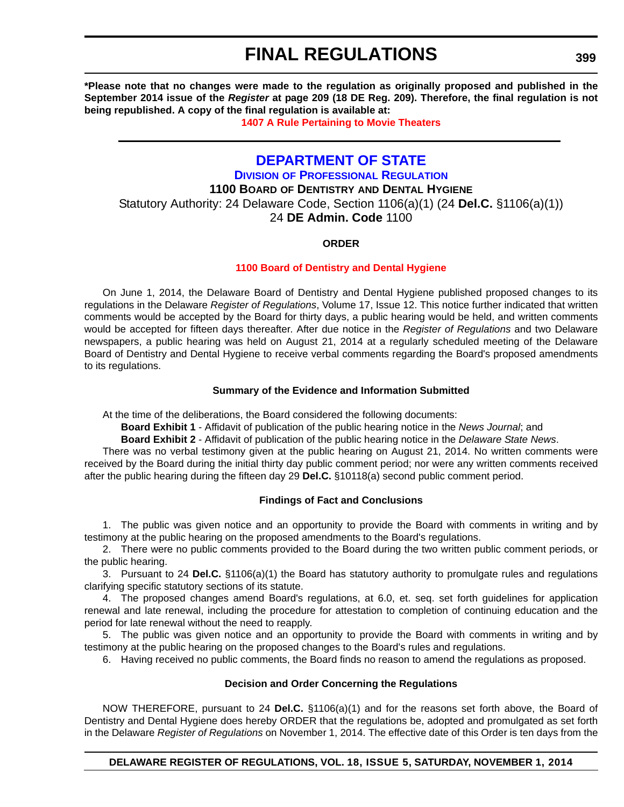**\*Please note that no changes were made to the regulation as originally proposed and published in the September 2014 issue of the** *Register* **at page 209 (18 DE Reg. 209). Therefore, the final regulation is not being republished. A copy of the final regulation is available at:**

**[1407 A Rule Pertaining to Movie Theaters](http://regulations.delaware.gov/register/november2014/final/18 DE Reg 398 11-01-14.htm)**

# **[DEPARTMENT OF STATE](http://dpr.delaware.gov/)**

**DIVISION OF PROFESSIONAL REGULATION**

**1100 BOARD OF DENTISTRY AND DENTAL HYGIENE**

Statutory Authority: 24 Delaware Code, Section 1106(a)(1) (24 **Del.C.** §1106(a)(1)) 24 **DE Admin. Code** 1100

# **ORDER**

#### **[1100 Board of Dentistry and Dental Hygiene](#page-4-0)**

On June 1, 2014, the Delaware Board of Dentistry and Dental Hygiene published proposed changes to its regulations in the Delaware *Register of Regulations*, Volume 17, Issue 12. This notice further indicated that written comments would be accepted by the Board for thirty days, a public hearing would be held, and written comments would be accepted for fifteen days thereafter. After due notice in the *Register of Regulations* and two Delaware newspapers, a public hearing was held on August 21, 2014 at a regularly scheduled meeting of the Delaware Board of Dentistry and Dental Hygiene to receive verbal comments regarding the Board's proposed amendments to its regulations.

### **Summary of the Evidence and Information Submitted**

At the time of the deliberations, the Board considered the following documents:

**Board Exhibit 1** - Affidavit of publication of the public hearing notice in the *News Journal*; and

**Board Exhibit 2** - Affidavit of publication of the public hearing notice in the *Delaware State News*.

There was no verbal testimony given at the public hearing on August 21, 2014. No written comments were received by the Board during the initial thirty day public comment period; nor were any written comments received after the public hearing during the fifteen day 29 **Del.C.** §10118(a) second public comment period.

# **Findings of Fact and Conclusions**

1. The public was given notice and an opportunity to provide the Board with comments in writing and by testimony at the public hearing on the proposed amendments to the Board's regulations.

2. There were no public comments provided to the Board during the two written public comment periods, or the public hearing.

3. Pursuant to 24 **Del.C.** §1106(a)(1) the Board has statutory authority to promulgate rules and regulations clarifying specific statutory sections of its statute.

4. The proposed changes amend Board's regulations, at 6.0, et. seq. set forth guidelines for application renewal and late renewal, including the procedure for attestation to completion of continuing education and the period for late renewal without the need to reapply.

5. The public was given notice and an opportunity to provide the Board with comments in writing and by testimony at the public hearing on the proposed changes to the Board's rules and regulations.

6. Having received no public comments, the Board finds no reason to amend the regulations as proposed.

# **Decision and Order Concerning the Regulations**

NOW THEREFORE, pursuant to 24 **Del.C.** §1106(a)(1) and for the reasons set forth above, the Board of Dentistry and Dental Hygiene does hereby ORDER that the regulations be, adopted and promulgated as set forth in the Delaware *Register of Regulations* on November 1, 2014. The effective date of this Order is ten days from the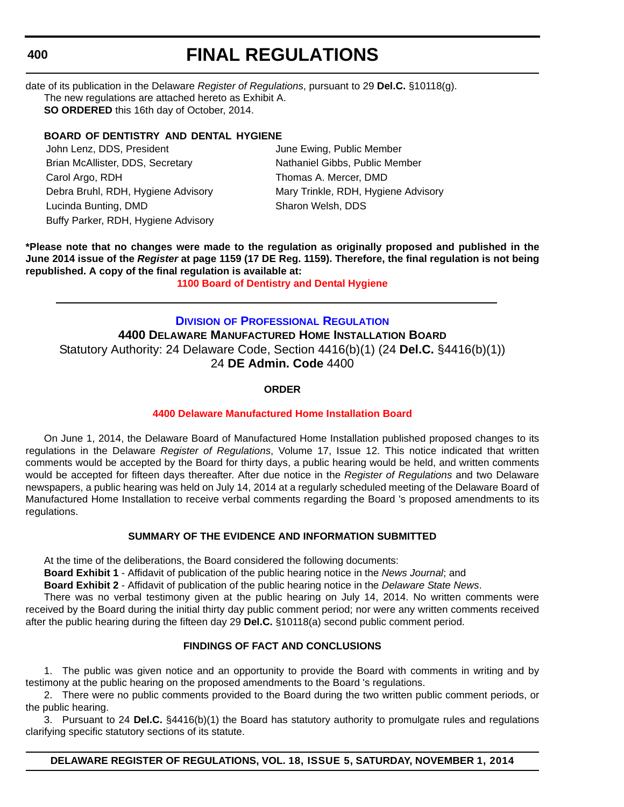#### **400**

# **FINAL REGULATIONS**

date of its publication in the Delaware *Register of Regulations*, pursuant to 29 **Del.C.** §10118(g). The new regulations are attached hereto as Exhibit A. **SO ORDERED** this 16th day of October, 2014.

# **BOARD OF DENTISTRY AND DENTAL HYGIENE**

John Lenz, DDS, President **June Ewing, Public Member** Brian McAllister, DDS, Secretary Nathaniel Gibbs, Public Member Carol Argo, RDH Thomas A. Mercer, DMD Debra Bruhl, RDH, Hygiene Advisory Mary Trinkle, RDH, Hygiene Advisory Lucinda Bunting, DMD Sharon Welsh, DDS Buffy Parker, RDH, Hygiene Advisory

**\*Please note that no changes were made to the regulation as originally proposed and published in the June 2014 issue of the** *Register* **at page 1159 (17 DE Reg. 1159). Therefore, the final regulation is not being republished. A copy of the final regulation is available at:**

**[1100 Board of Dentistry and Dental Hygiene](http://regulations.delaware.gov/register/november2014/final/18 DE Reg 399 11-01-14.htm)**

# **DIVISION [OF PROFESSIONAL REGULATION](http://dpr.delaware.gov/) 4400 DELAWARE MANUFACTURED HOME INSTALLATION BOARD** Statutory Authority: 24 Delaware Code, Section 4416(b)(1) (24 **Del.C.** §4416(b)(1)) 24 **DE Admin. Code** 4400

# **ORDER**

# **[4400 Delaware Manufactured Home Installation Board](#page-4-0)**

On June 1, 2014, the Delaware Board of Manufactured Home Installation published proposed changes to its regulations in the Delaware *Register of Regulations*, Volume 17, Issue 12. This notice indicated that written comments would be accepted by the Board for thirty days, a public hearing would be held, and written comments would be accepted for fifteen days thereafter. After due notice in the *Register of Regulations* and two Delaware newspapers, a public hearing was held on July 14, 2014 at a regularly scheduled meeting of the Delaware Board of Manufactured Home Installation to receive verbal comments regarding the Board 's proposed amendments to its regulations.

# **SUMMARY OF THE EVIDENCE AND INFORMATION SUBMITTED**

At the time of the deliberations, the Board considered the following documents:

**Board Exhibit 1** - Affidavit of publication of the public hearing notice in the *News Journal*; and

**Board Exhibit 2** - Affidavit of publication of the public hearing notice in the *Delaware State News*.

There was no verbal testimony given at the public hearing on July 14, 2014. No written comments were received by the Board during the initial thirty day public comment period; nor were any written comments received after the public hearing during the fifteen day 29 **Del.C.** §10118(a) second public comment period.

# **FINDINGS OF FACT AND CONCLUSIONS**

1. The public was given notice and an opportunity to provide the Board with comments in writing and by testimony at the public hearing on the proposed amendments to the Board 's regulations.

2. There were no public comments provided to the Board during the two written public comment periods, or the public hearing.

3. Pursuant to 24 **Del.C.** §4416(b)(1) the Board has statutory authority to promulgate rules and regulations clarifying specific statutory sections of its statute.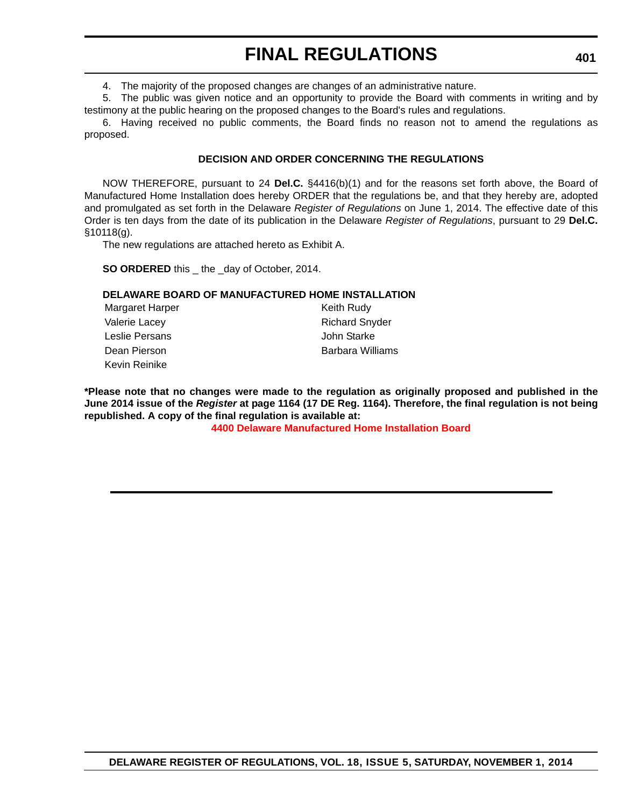4. The majority of the proposed changes are changes of an administrative nature.

5. The public was given notice and an opportunity to provide the Board with comments in writing and by testimony at the public hearing on the proposed changes to the Board's rules and regulations.

6. Having received no public comments, the Board finds no reason not to amend the regulations as proposed.

### **DECISION AND ORDER CONCERNING THE REGULATIONS**

NOW THEREFORE, pursuant to 24 **Del.C.** §4416(b)(1) and for the reasons set forth above, the Board of Manufactured Home Installation does hereby ORDER that the regulations be, and that they hereby are, adopted and promulgated as set forth in the Delaware *Register of Regulations* on June 1, 2014. The effective date of this Order is ten days from the date of its publication in the Delaware *Register of Regulations*, pursuant to 29 **Del.C.** §10118(g).

The new regulations are attached hereto as Exhibit A.

**SO ORDERED** this \_ the \_day of October, 2014.

#### **DELAWARE BOARD OF MANUFACTURED HOME INSTALLATION**

Margaret Harper **Keith Rudy** Keith Rudy Valerie Lacey **Richard Snyder** Richard Snyder Leslie Persans John Starke Dean Pierson **Barbara Williams** Kevin Reinike

**\*Please note that no changes were made to the regulation as originally proposed and published in the June 2014 issue of the** *Register* **at page 1164 (17 DE Reg. 1164). Therefore, the final regulation is not being republished. A copy of the final regulation is available at:**

**[4400 Delaware Manufactured Home Installation Board](http://regulations.delaware.gov/register/november2014/final/18 DE Reg 400 11-01-14.htm)**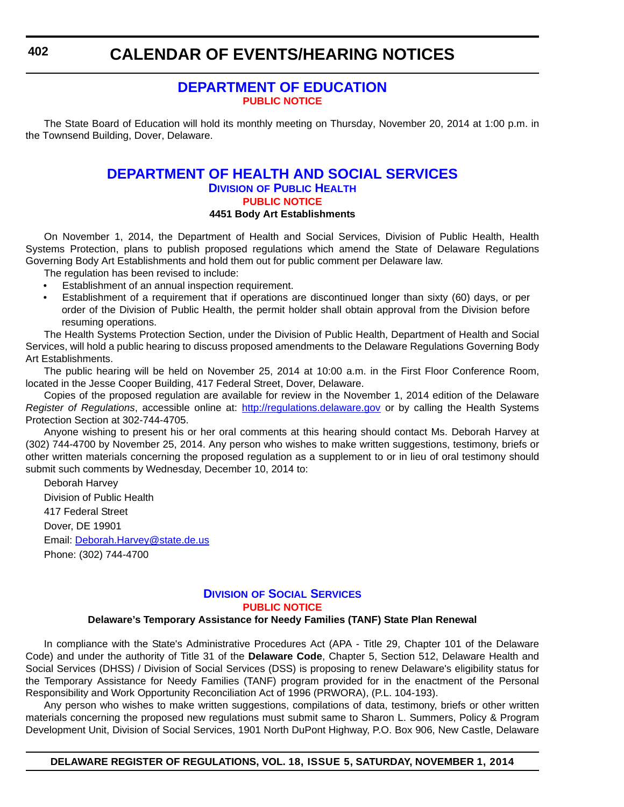# **CALENDAR OF EVENTS/HEARING NOTICES**

# **[DEPARTMENT OF EDUCATION](http://www.doe.k12.de.us/) [PUBLIC NOTICE](#page-4-0)**

The State Board of Education will hold its monthly meeting on Thursday, November 20, 2014 at 1:00 p.m. in the Townsend Building, Dover, Delaware.

# **[DEPARTMENT OF HEALTH AND SOCIAL SERVICES](http://www.dhss.delaware.gov/dhss/dph/index.html) DIVISION OF PUBLIC HEALTH [PUBLIC NOTICE](#page-4-0) 4451 Body Art Establishments**

On November 1, 2014, the Department of Health and Social Services, Division of Public Health, Health Systems Protection, plans to publish proposed regulations which amend the State of Delaware Regulations Governing Body Art Establishments and hold them out for public comment per Delaware law.

The regulation has been revised to include:

- Establishment of an annual inspection requirement.
- Establishment of a requirement that if operations are discontinued longer than sixty (60) days, or per order of the Division of Public Health, the permit holder shall obtain approval from the Division before resuming operations.

The Health Systems Protection Section, under the Division of Public Health, Department of Health and Social Services, will hold a public hearing to discuss proposed amendments to the Delaware Regulations Governing Body Art Establishments.

The public hearing will be held on November 25, 2014 at 10:00 a.m. in the First Floor Conference Room, located in the Jesse Cooper Building, 417 Federal Street, Dover, Delaware.

Copies of the proposed regulation are available for review in the November 1, 2014 edition of the Delaware *Register of Regulations*, accessible online at: http://regulations.delaware.gov or by calling the Health Systems Protection Section at 302-744-4705.

Anyone wishing to present his or her oral comments at this hearing should contact Ms. Deborah Harvey at (302) 744-4700 by November 25, 2014. Any person who wishes to make written suggestions, testimony, briefs or other written materials concerning the proposed regulation as a supplement to or in lieu of oral testimony should submit such comments by Wednesday, December 10, 2014 to:

Deborah Harvey Division of Public Health 417 Federal Street Dover, DE 19901 Email: Deborah.Harvey@state.de.us Phone: (302) 744-4700

# **DIVISION [OF SOCIAL SERVICES](http://www.dhss.delaware.gov/dhss/dss/index.html) [PUBLIC NOTICE](#page-4-0)**

#### **Delaware's Temporary Assistance for Needy Families (TANF) State Plan Renewal**

In compliance with the State's Administrative Procedures Act (APA - Title 29, Chapter 101 of the Delaware Code) and under the authority of Title 31 of the **Delaware Code**, Chapter 5, Section 512, Delaware Health and Social Services (DHSS) / Division of Social Services (DSS) is proposing to renew Delaware's eligibility status for the Temporary Assistance for Needy Families (TANF) program provided for in the enactment of the Personal Responsibility and Work Opportunity Reconciliation Act of 1996 (PRWORA), (P.L. 104-193).

Any person who wishes to make written suggestions, compilations of data, testimony, briefs or other written materials concerning the proposed new regulations must submit same to Sharon L. Summers, Policy & Program Development Unit, Division of Social Services, 1901 North DuPont Highway, P.O. Box 906, New Castle, Delaware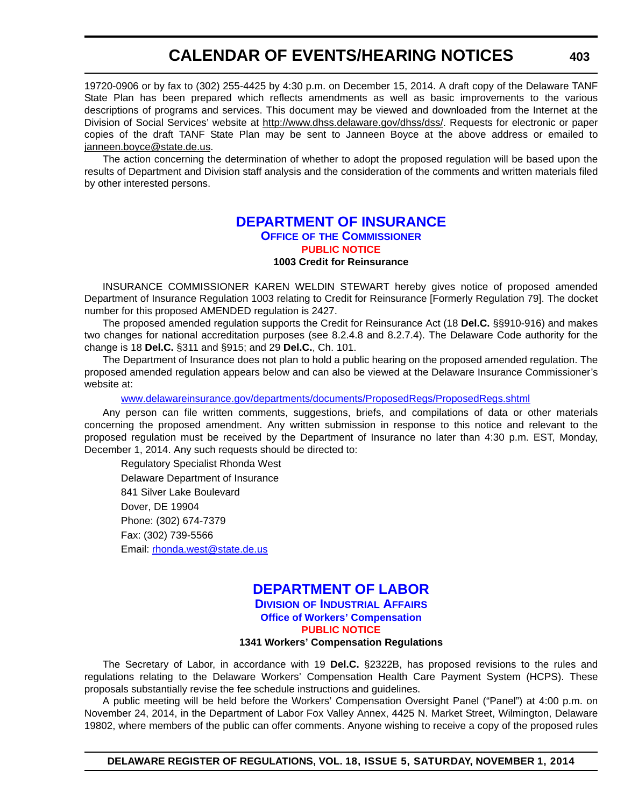# **CALENDAR OF EVENTS/HEARING NOTICES**

19720-0906 or by fax to (302) 255-4425 by 4:30 p.m. on December 15, 2014. A draft copy of the Delaware TANF State Plan has been prepared which reflects amendments as well as basic improvements to the various descriptions of programs and services. This document may be viewed and downloaded from the Internet at the Division of Social Services' website at <http://www.dhss.delaware.gov/dhss/dss/>. Requests for electronic or paper copies of the draft TANF State Plan may be sent to Janneen Boyce at the above address or emailed to [janneen.boyce@state.de.us.](mailto:janneen.boyce@state.de.us)

The action concerning the determination of whether to adopt the proposed regulation will be based upon the results of Department and Division staff analysis and the consideration of the comments and written materials filed by other interested persons.

# **[DEPARTMENT OF INSURANCE](http://www.delawareinsurance.gov/) OFFICE OF THE COMMISSIONER [PUBLIC NOTICE](#page-4-0) 1003 Credit for Reinsurance**

INSURANCE COMMISSIONER KAREN WELDIN STEWART hereby gives notice of proposed amended Department of Insurance Regulation 1003 relating to Credit for Reinsurance [Formerly Regulation 79]. The docket number for this proposed AMENDED regulation is 2427.

The proposed amended regulation supports the Credit for Reinsurance Act (18 **Del.C.** §§910-916) and makes two changes for national accreditation purposes (see 8.2.4.8 and 8.2.7.4). The Delaware Code authority for the change is 18 **Del.C.** §311 and §915; and 29 **Del.C.**, Ch. 101.

The Department of Insurance does not plan to hold a public hearing on the proposed amended regulation. The proposed amended regulation appears below and can also be viewed at the Delaware Insurance Commissioner's website at:

[www.delawareinsurance.gov/departments/documents/ProposedRegs/ProposedRegs.shtml](http://www.delawareinsurance.gov/departments/documents/ProposedRegs/ProposedRegs.shtml)

Any person can file written comments, suggestions, briefs, and compilations of data or other materials concerning the proposed amendment. Any written submission in response to this notice and relevant to the proposed regulation must be received by the Department of Insurance no later than 4:30 p.m. EST, Monday, December 1, 2014. Any such requests should be directed to:

Regulatory Specialist Rhonda West Delaware Department of Insurance 841 Silver Lake Boulevard Dover, DE 19904 Phone: (302) 674-7379 Fax: (302) 739-5566 Email: [rhonda.west@state.de.us](mailto:rhonda.west@state.de.us)

### **[DEPARTMENT OF LABOR](http://dia.delawareworks.com/) DIVISION OF INDUSTRIAL AFFAIRS Office of Workers' Compensation [PUBLIC NOTICE](#page-4-0)**

#### **1341 Workers' Compensation Regulations**

The Secretary of Labor, in accordance with 19 **Del.C.** §2322B, has proposed revisions to the rules and regulations relating to the Delaware Workers' Compensation Health Care Payment System (HCPS). These proposals substantially revise the fee schedule instructions and guidelines.

A public meeting will be held before the Workers' Compensation Oversight Panel ("Panel") at 4:00 p.m. on November 24, 2014, in the Department of Labor Fox Valley Annex, 4425 N. Market Street, Wilmington, Delaware 19802, where members of the public can offer comments. Anyone wishing to receive a copy of the proposed rules

**DELAWARE REGISTER OF REGULATIONS, VOL. 18, ISSUE 5, SATURDAY, NOVEMBER 1, 2014**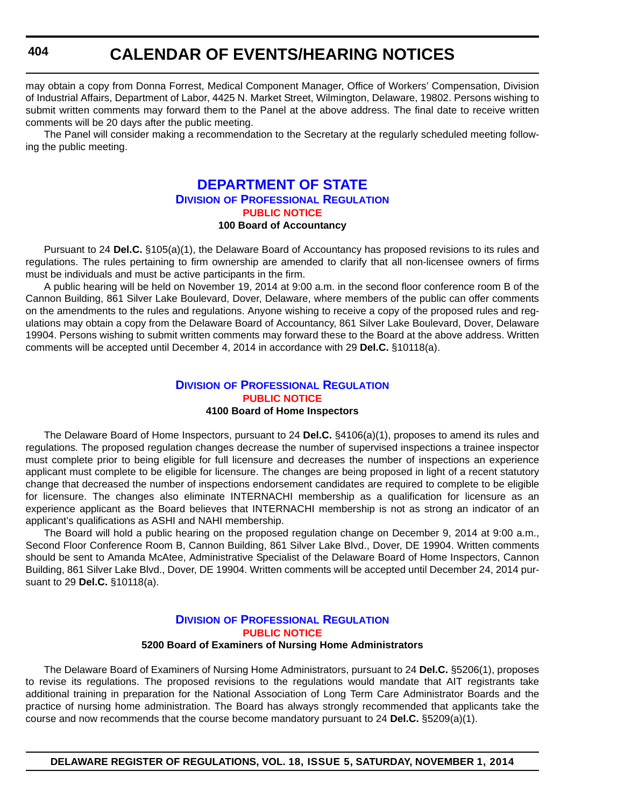# **CALENDAR OF EVENTS/HEARING NOTICES**

may obtain a copy from Donna Forrest, Medical Component Manager, Office of Workers' Compensation, Division of Industrial Affairs, Department of Labor, 4425 N. Market Street, Wilmington, Delaware, 19802. Persons wishing to submit written comments may forward them to the Panel at the above address. The final date to receive written comments will be 20 days after the public meeting.

The Panel will consider making a recommendation to the Secretary at the regularly scheduled meeting following the public meeting.

# **[DEPARTMENT OF STATE](http://dpr.delaware.gov/) DIVISION OF PROFESSIONAL REGULATION [PUBLIC NOTICE](#page-4-0) 100 Board of Accountancy**

Pursuant to 24 **Del.C.** §105(a)(1), the Delaware Board of Accountancy has proposed revisions to its rules and regulations. The rules pertaining to firm ownership are amended to clarify that all non-licensee owners of firms must be individuals and must be active participants in the firm.

A public hearing will be held on November 19, 2014 at 9:00 a.m. in the second floor conference room B of the Cannon Building, 861 Silver Lake Boulevard, Dover, Delaware, where members of the public can offer comments on the amendments to the rules and regulations. Anyone wishing to receive a copy of the proposed rules and regulations may obtain a copy from the Delaware Board of Accountancy, 861 Silver Lake Boulevard, Dover, Delaware 19904. Persons wishing to submit written comments may forward these to the Board at the above address. Written comments will be accepted until December 4, 2014 in accordance with 29 **Del.C.** §10118(a).

#### **DIVISION [OF PROFESSIONAL REGULATION](http://dpr.delaware.gov/) [PUBLIC NOTICE](#page-4-0) 4100 Board of Home Inspectors**

The Delaware Board of Home Inspectors, pursuant to 24 **Del.C.** §4106(a)(1), proposes to amend its rules and regulations*.* The proposed regulation changes decrease the number of supervised inspections a trainee inspector must complete prior to being eligible for full licensure and decreases the number of inspections an experience applicant must complete to be eligible for licensure. The changes are being proposed in light of a recent statutory change that decreased the number of inspections endorsement candidates are required to complete to be eligible for licensure. The changes also eliminate INTERNACHI membership as a qualification for licensure as an experience applicant as the Board believes that INTERNACHI membership is not as strong an indicator of an applicant's qualifications as ASHI and NAHI membership.

The Board will hold a public hearing on the proposed regulation change on December 9, 2014 at 9:00 a.m., Second Floor Conference Room B, Cannon Building, 861 Silver Lake Blvd., Dover, DE 19904. Written comments should be sent to Amanda McAtee, Administrative Specialist of the Delaware Board of Home Inspectors, Cannon Building, 861 Silver Lake Blvd., Dover, DE 19904. Written comments will be accepted until December 24, 2014 pursuant to 29 **Del.C.** §10118(a).

# **DIVISION [OF PROFESSIONAL REGULATION](http://dpr.delaware.gov/) [PUBLIC NOTICE](#page-4-0)**

### **5200 Board of Examiners of Nursing Home Administrators**

The Delaware Board of Examiners of Nursing Home Administrators, pursuant to 24 **Del.C.** §5206(1), proposes to revise its regulations. The proposed revisions to the regulations would mandate that AIT registrants take additional training in preparation for the National Association of Long Term Care Administrator Boards and the practice of nursing home administration. The Board has always strongly recommended that applicants take the course and now recommends that the course become mandatory pursuant to 24 **Del.C.** §5209(a)(1).

**DELAWARE REGISTER OF REGULATIONS, VOL. 18, ISSUE 5, SATURDAY, NOVEMBER 1, 2014**

**404**